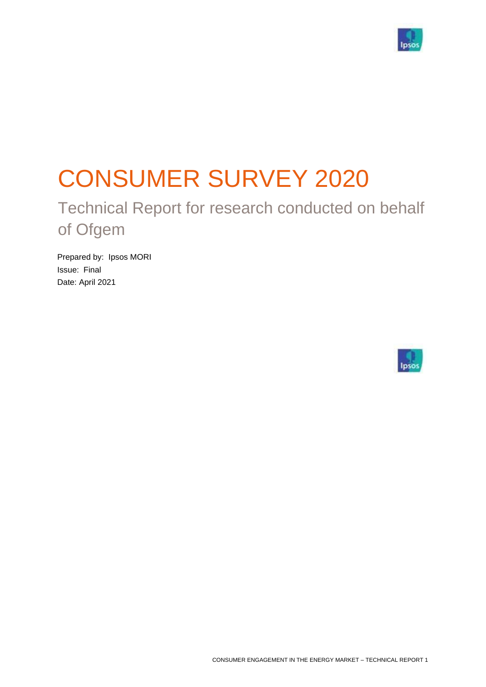

# CONSUMER SURVEY 2020

Technical Report for research conducted on behalf of Ofgem

Prepared by: Ipsos MORI Issue: Final Date: April 2021

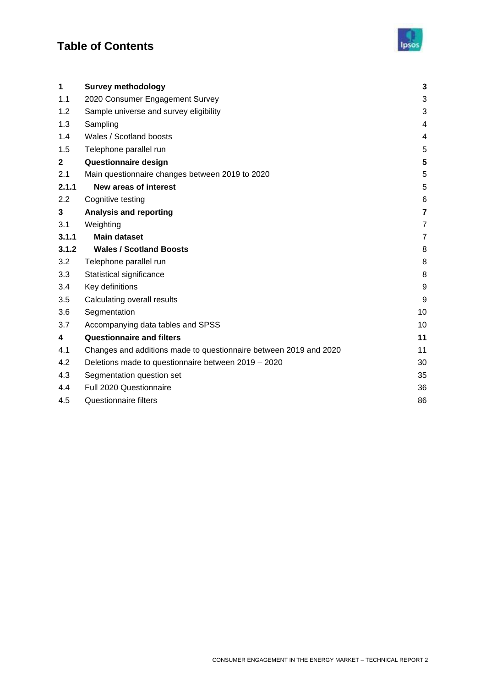# **Table of Contents**



| 1                | <b>Survey methodology</b>                                         | 3              |
|------------------|-------------------------------------------------------------------|----------------|
| 1.1              | 2020 Consumer Engagement Survey                                   | 3              |
| 1.2              | Sample universe and survey eligibility                            | 3              |
| 1.3              | Sampling                                                          | 4              |
| 1.4              | Wales / Scotland boosts                                           | 4              |
| 1.5              | Telephone parallel run                                            | 5              |
| $\mathbf{2}$     | Questionnaire design                                              | 5              |
| 2.1              | Main questionnaire changes between 2019 to 2020                   | 5              |
| 2.1.1            | <b>New areas of interest</b>                                      | 5              |
| $2.2\phantom{0}$ | Cognitive testing                                                 | $\,6$          |
| 3                | <b>Analysis and reporting</b>                                     | $\overline{7}$ |
| 3.1              | Weighting                                                         | 7              |
| 3.1.1            | <b>Main dataset</b>                                               | $\overline{7}$ |
| 3.1.2            | <b>Wales / Scotland Boosts</b>                                    | 8              |
| 3.2              | Telephone parallel run                                            | 8              |
| 3.3              | Statistical significance                                          | 8              |
| 3.4              | Key definitions                                                   | 9              |
| 3.5              | Calculating overall results                                       | 9              |
| 3.6              | Segmentation                                                      | 10             |
| 3.7              | Accompanying data tables and SPSS                                 | 10             |
| 4                | <b>Questionnaire and filters</b>                                  | 11             |
| 4.1              | Changes and additions made to questionnaire between 2019 and 2020 | 11             |
| 4.2              | Deletions made to questionnaire between 2019 - 2020               | 30             |
| 4.3              | Segmentation question set                                         | 35             |
| 4.4              | Full 2020 Questionnaire                                           | 36             |
| 4.5              | <b>Questionnaire filters</b>                                      | 86             |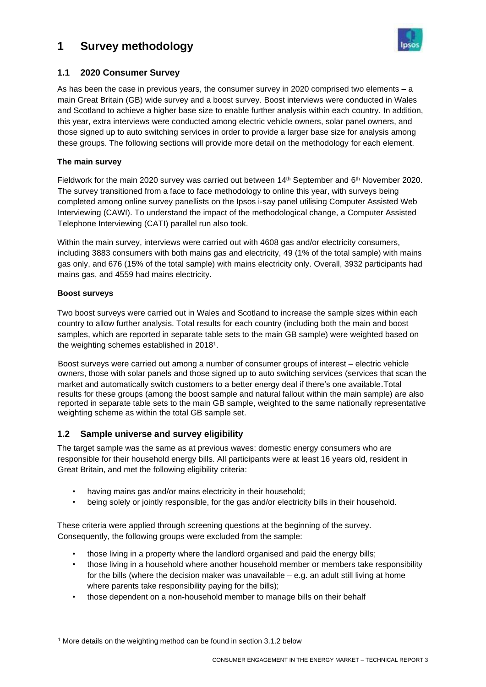# <span id="page-2-0"></span>**1 Survey methodology**



#### <span id="page-2-1"></span>**1.1 2020 Consumer Survey**

As has been the case in previous years, the consumer survey in 2020 comprised two elements – a main Great Britain (GB) wide survey and a boost survey. Boost interviews were conducted in Wales and Scotland to achieve a higher base size to enable further analysis within each country. In addition, this year, extra interviews were conducted among electric vehicle owners, solar panel owners, and those signed up to auto switching services in order to provide a larger base size for analysis among these groups. The following sections will provide more detail on the methodology for each element.

#### **The main survey**

Fieldwork for the main 2020 survey was carried out between  $14<sup>th</sup>$  September and  $6<sup>th</sup>$  November 2020. The survey transitioned from a face to face methodology to online this year, with surveys being completed among online survey panellists on the Ipsos i-say panel utilising Computer Assisted Web Interviewing (CAWI). To understand the impact of the methodological change, a Computer Assisted Telephone Interviewing (CATI) parallel run also took.

Within the main survey, interviews were carried out with 4608 gas and/or electricity consumers, including 3883 consumers with both mains gas and electricity, 49 (1% of the total sample) with mains gas only, and 676 (15% of the total sample) with mains electricity only. Overall, 3932 participants had mains gas, and 4559 had mains electricity.

#### **Boost surveys**

Two boost surveys were carried out in Wales and Scotland to increase the sample sizes within each country to allow further analysis. Total results for each country (including both the main and boost samples, which are reported in separate table sets to the main GB sample) were weighted based on the weighting schemes established in 2018<sup>1</sup> .

Boost surveys were carried out among a number of consumer groups of interest – electric vehicle owners, those with solar panels and those signed up to auto switching services (services that scan the market and automatically switch customers to a better energy deal if there's one available.Total results for these groups (among the boost sample and natural fallout within the main sample) are also reported in separate table sets to the main GB sample, weighted to the same nationally representative weighting scheme as within the total GB sample set.

#### <span id="page-2-2"></span>**1.2 Sample universe and survey eligibility**

The target sample was the same as at previous waves: domestic energy consumers who are responsible for their household energy bills. All participants were at least 16 years old, resident in Great Britain, and met the following eligibility criteria:

- having mains gas and/or mains electricity in their household;
- being solely or jointly responsible, for the gas and/or electricity bills in their household.

These criteria were applied through screening questions at the beginning of the survey. Consequently, the following groups were excluded from the sample:

- those living in a property where the landlord organised and paid the energy bills;
- those living in a household where another household member or members take responsibility for the bills (where the decision maker was unavailable – e.g. an adult still living at home where parents take responsibility paying for the bills);
- those dependent on a non-household member to manage bills on their behalf

<sup>&</sup>lt;sup>1</sup> More details on the weighting method can be found in section 3.1.2 below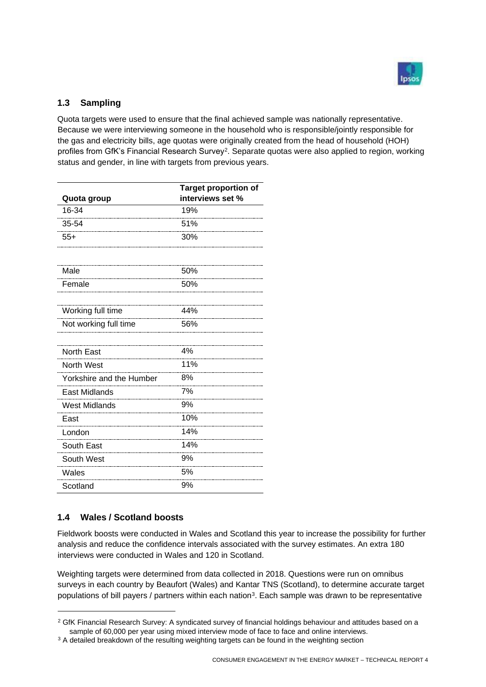

#### <span id="page-3-0"></span>**1.3 Sampling**

Quota targets were used to ensure that the final achieved sample was nationally representative. Because we were interviewing someone in the household who is responsible/jointly responsible for the gas and electricity bills, age quotas were originally created from the head of household (HOH) profiles from GfK's Financial Research Survey<sup>2</sup>. Separate quotas were also applied to region, working status and gender, in line with targets from previous years.

| Quota group              | <b>Target proportion of</b><br>interviews set % |
|--------------------------|-------------------------------------------------|
| 16-34                    | 19%                                             |
| 35-54                    | 51%                                             |
| $55+$                    | 30%                                             |
|                          |                                                 |
| Male                     | 50%                                             |
| Female                   | 50%                                             |
|                          |                                                 |
| Working full time        | 44%                                             |
| Not working full time    | 56%                                             |
|                          |                                                 |
| <b>North East</b>        | 4%                                              |
| <b>North West</b>        | 11%                                             |
| Yorkshire and the Humber | 8%                                              |
| East Midlands            | 7%                                              |
| <b>West Midlands</b>     | 9%                                              |
| East                     | 10%                                             |
| London                   | 14%                                             |
| South East               | 14%                                             |
| South West               | 9%                                              |
| Wales                    | 5%                                              |
| Scotland                 | 9%                                              |

## <span id="page-3-1"></span>**1.4 Wales / Scotland boosts**

Fieldwork boosts were conducted in Wales and Scotland this year to increase the possibility for further analysis and reduce the confidence intervals associated with the survey estimates. An extra 180 interviews were conducted in Wales and 120 in Scotland.

Weighting targets were determined from data collected in 2018. Questions were run on omnibus surveys in each country by Beaufort (Wales) and Kantar TNS (Scotland), to determine accurate target populations of bill payers / partners within each nation<sup>3</sup>. Each sample was drawn to be representative

<sup>&</sup>lt;sup>2</sup> GfK Financial Research Survey: A syndicated survey of financial holdings behaviour and attitudes based on a sample of 60,000 per year using mixed interview mode of face to face and online interviews.

<sup>&</sup>lt;sup>3</sup> A detailed breakdown of the resulting weighting targets can be found in the weighting section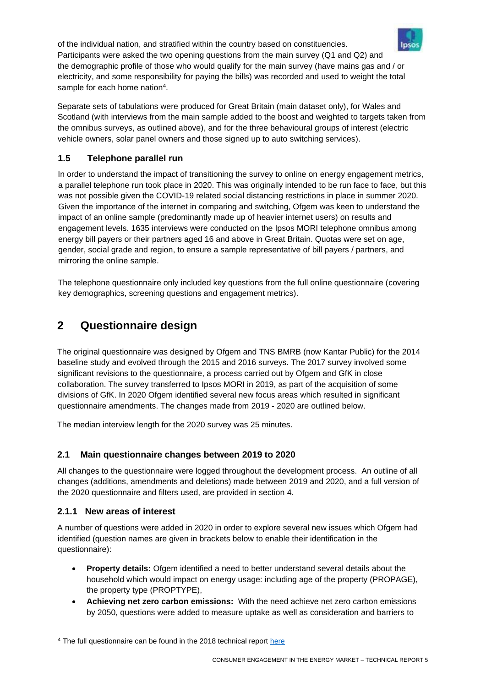of the individual nation, and stratified within the country based on constituencies. Participants were asked the two opening questions from the main survey (Q1 and Q2) and the demographic profile of those who would qualify for the main survey (have mains gas and / or electricity, and some responsibility for paying the bills) was recorded and used to weight the total sample for each home nation<sup>4</sup>.

Separate sets of tabulations were produced for Great Britain (main dataset only), for Wales and Scotland (with interviews from the main sample added to the boost and weighted to targets taken from the omnibus surveys, as outlined above), and for the three behavioural groups of interest (electric vehicle owners, solar panel owners and those signed up to auto switching services).

## <span id="page-4-0"></span>**1.5 Telephone parallel run**

In order to understand the impact of transitioning the survey to online on energy engagement metrics, a parallel telephone run took place in 2020. This was originally intended to be run face to face, but this was not possible given the COVID-19 related social distancing restrictions in place in summer 2020. Given the importance of the internet in comparing and switching, Ofgem was keen to understand the impact of an online sample (predominantly made up of heavier internet users) on results and engagement levels. 1635 interviews were conducted on the Ipsos MORI telephone omnibus among energy bill payers or their partners aged 16 and above in Great Britain. Quotas were set on age, gender, social grade and region, to ensure a sample representative of bill payers / partners, and mirroring the online sample.

The telephone questionnaire only included key questions from the full online questionnaire (covering key demographics, screening questions and engagement metrics).

# <span id="page-4-1"></span>**2 Questionnaire design**

The original questionnaire was designed by Ofgem and TNS BMRB (now Kantar Public) for the 2014 baseline study and evolved through the 2015 and 2016 surveys. The 2017 survey involved some significant revisions to the questionnaire, a process carried out by Ofgem and GfK in close collaboration. The survey transferred to Ipsos MORI in 2019, as part of the acquisition of some divisions of GfK. In 2020 Ofgem identified several new focus areas which resulted in significant questionnaire amendments. The changes made from 2019 - 2020 are outlined below.

The median interview length for the 2020 survey was 25 minutes.

## <span id="page-4-2"></span>**2.1 Main questionnaire changes between 2019 to 2020**

All changes to the questionnaire were logged throughout the development process. An outline of all changes (additions, amendments and deletions) made between 2019 and 2020, and a full version of the 2020 questionnaire and filters used, are provided in section 4.

#### <span id="page-4-3"></span>**2.1.1 New areas of interest**

A number of questions were added in 2020 in order to explore several new issues which Ofgem had identified (question names are given in brackets below to enable their identification in the questionnaire):

- **Property details:** Ofgem identified a need to better understand several details about the household which would impact on energy usage: including age of the property (PROPAGE), the property type (PROPTYPE),
- **Achieving net zero carbon emissions:** With the need achieve net zero carbon emissions by 2050, questions were added to measure uptake as well as consideration and barriers to



<sup>&</sup>lt;sup>4</sup> The full questionnaire can be found in the 2018 technical report [here](https://www.ofgem.gov.uk/system/files/docs/2018/10/consumer_engagement_survey_2018_technical_report_0.pdf)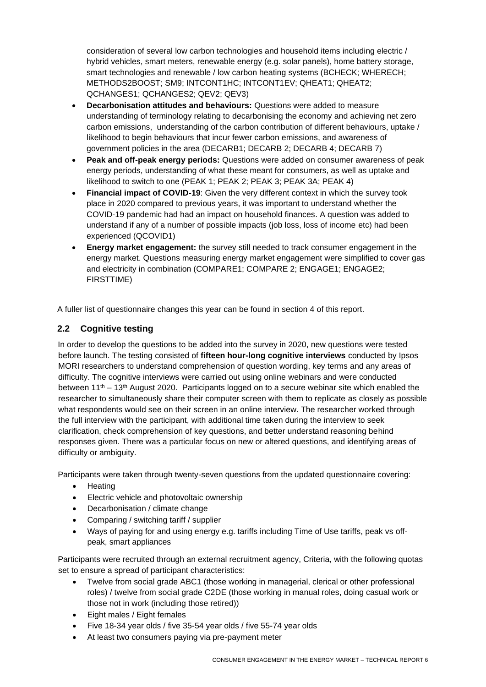consideration of several low carbon technologies and household items including electric / hybrid vehicles, smart meters, renewable energy (e.g. solar panels), home battery storage, smart technologies and renewable / low carbon heating systems (BCHECK; WHERECH; METHODS2BOOST; SM9; INTCONT1HC; INTCONT1EV; QHEAT1; QHEAT2; QCHANGES1; QCHANGES2; QEV2; QEV3)

- **Decarbonisation attitudes and behaviours:** Questions were added to measure understanding of terminology relating to decarbonising the economy and achieving net zero carbon emissions, understanding of the carbon contribution of different behaviours, uptake / likelihood to begin behaviours that incur fewer carbon emissions, and awareness of government policies in the area (DECARB1; DECARB 2; DECARB 4; DECARB 7)
- **Peak and off-peak energy periods:** Questions were added on consumer awareness of peak energy periods, understanding of what these meant for consumers, as well as uptake and likelihood to switch to one (PEAK 1; PEAK 2; PEAK 3; PEAK 3A; PEAK 4)
- **Financial impact of COVID-19:** Given the very different context in which the survey took place in 2020 compared to previous years, it was important to understand whether the COVID-19 pandemic had had an impact on household finances. A question was added to understand if any of a number of possible impacts (job loss, loss of income etc) had been experienced (QCOVID1)
- **Energy market engagement:** the survey still needed to track consumer engagement in the energy market. Questions measuring energy market engagement were simplified to cover gas and electricity in combination (COMPARE1; COMPARE 2; ENGAGE1; ENGAGE2; FIRSTTIME)

A fuller list of questionnaire changes this year can be found in section 4 of this report.

#### <span id="page-5-0"></span>**2.2 Cognitive testing**

In order to develop the questions to be added into the survey in 2020, new questions were tested before launch. The testing consisted of **fifteen hour-long cognitive interviews** conducted by Ipsos MORI researchers to understand comprehension of question wording, key terms and any areas of difficulty. The cognitive interviews were carried out using online webinars and were conducted between  $11<sup>th</sup> - 13<sup>th</sup>$  August 2020. Participants logged on to a secure webinar site which enabled the researcher to simultaneously share their computer screen with them to replicate as closely as possible what respondents would see on their screen in an online interview. The researcher worked through the full interview with the participant, with additional time taken during the interview to seek clarification, check comprehension of key questions, and better understand reasoning behind responses given. There was a particular focus on new or altered questions, and identifying areas of difficulty or ambiguity.

Participants were taken through twenty-seven questions from the updated questionnaire covering:

- Heating
- Electric vehicle and photovoltaic ownership
- Decarbonisation / climate change
- Comparing / switching tariff / supplier
- Ways of paying for and using energy e.g. tariffs including Time of Use tariffs, peak vs offpeak, smart appliances

Participants were recruited through an external recruitment agency, Criteria, with the following quotas set to ensure a spread of participant characteristics:

- Twelve from social grade ABC1 (those working in managerial, clerical or other professional roles) / twelve from social grade C2DE (those working in manual roles, doing casual work or those not in work (including those retired))
- Eight males / Eight females
- Five 18-34 year olds / five 35-54 year olds / five 55-74 year olds
- At least two consumers paying via pre-payment meter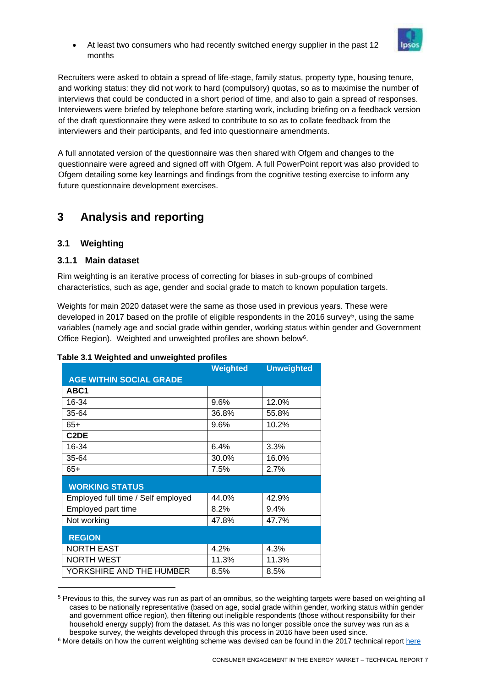• At least two consumers who had recently switched energy supplier in the past 12 months



Recruiters were asked to obtain a spread of life-stage, family status, property type, housing tenure, and working status: they did not work to hard (compulsory) quotas, so as to maximise the number of interviews that could be conducted in a short period of time, and also to gain a spread of responses. Interviewers were briefed by telephone before starting work, including briefing on a feedback version of the draft questionnaire they were asked to contribute to so as to collate feedback from the interviewers and their participants, and fed into questionnaire amendments.

A full annotated version of the questionnaire was then shared with Ofgem and changes to the questionnaire were agreed and signed off with Ofgem. A full PowerPoint report was also provided to Ofgem detailing some key learnings and findings from the cognitive testing exercise to inform any future questionnaire development exercises.

# <span id="page-6-0"></span>**3 Analysis and reporting**

#### <span id="page-6-1"></span>**3.1 Weighting**

#### <span id="page-6-2"></span>**3.1.1 Main dataset**

Rim weighting is an iterative process of correcting for biases in sub-groups of combined characteristics, such as age, gender and social grade to match to known population targets.

Weights for main 2020 dataset were the same as those used in previous years. These were developed in 2017 based on the profile of eligible respondents in the 2016 survey<sup>5</sup>, using the same variables (namely age and social grade within gender, working status within gender and Government Office Region). Weighted and unweighted profiles are shown below<sup>6</sup>.

|                                    | Weighted | <b>Unweighted</b> |
|------------------------------------|----------|-------------------|
| <b>AGE WITHIN SOCIAL GRADE</b>     |          |                   |
| ABC <sub>1</sub>                   |          |                   |
| 16-34                              | 9.6%     | 12.0%             |
| 35-64                              | 36.8%    | 55.8%             |
| $65+$                              | 9.6%     | 10.2%             |
| C <sub>2</sub> DE                  |          |                   |
| 16-34                              | 6.4%     | 3.3%              |
| 35-64                              | 30.0%    | 16.0%             |
| $65+$                              | 7.5%     | 2.7%              |
| <b>WORKING STATUS</b>              |          |                   |
| Employed full time / Self employed | 44.0%    | 42.9%             |
| Employed part time                 | 8.2%     | 9.4%              |
| Not working                        | 47.8%    | 47.7%             |
| <b>REGION</b>                      |          |                   |
| <b>NORTH EAST</b>                  | 4.2%     | 4.3%              |
| <b>NORTH WEST</b>                  | 11.3%    | 11.3%             |
| YORKSHIRE AND THE HUMBER           | 8.5%     | 8.5%              |

#### **Table 3.1 Weighted and unweighted profiles**

<sup>5</sup> Previous to this, the survey was run as part of an omnibus, so the weighting targets were based on weighting all cases to be nationally representative (based on age, social grade within gender, working status within gender and government office region), then filtering out ineligible respondents (those without responsibility for their household energy supply) from the dataset. As this was no longer possible once the survey was run as a bespoke survey, the weights developed through this process in 2016 have been used since.

<sup>&</sup>lt;sup>6</sup> More details on how the current weighting scheme was devised can be found in the 2017 technical repor[t here](https://www.ofgem.gov.uk/system/files/docs/2017/09/consumer_engagement_survey_2017_technical_report_0.pdf)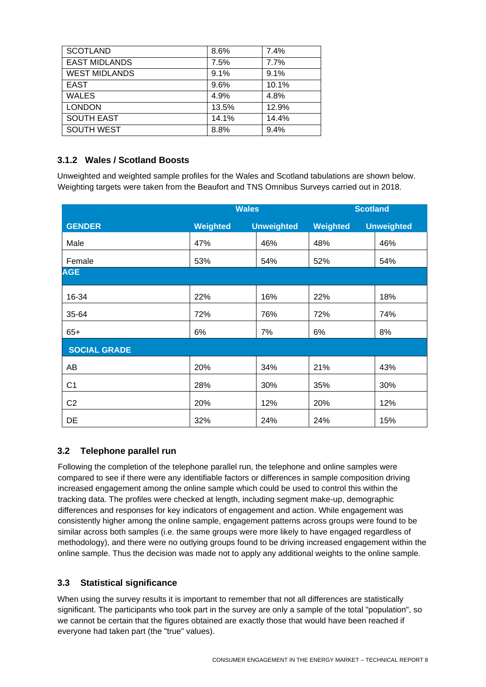| <b>SCOTLAND</b>      | 8.6%  | 7.4%  |
|----------------------|-------|-------|
| <b>EAST MIDLANDS</b> | 7.5%  | 7.7%  |
| <b>WEST MIDLANDS</b> | 9.1%  | 9.1%  |
| <b>EAST</b>          | 9.6%  | 10.1% |
| <b>WALES</b>         | 4.9%  | 4.8%  |
| <b>LONDON</b>        | 13.5% | 12.9% |
| <b>SOUTH EAST</b>    | 14.1% | 14.4% |
| <b>SOUTH WEST</b>    | 8.8%  | 9.4%  |

## <span id="page-7-0"></span>**3.1.2 Wales / Scotland Boosts**

Unweighted and weighted sample profiles for the Wales and Scotland tabulations are shown below. Weighting targets were taken from the Beaufort and TNS Omnibus Surveys carried out in 2018.

|                     | <b>Wales</b> |                   | <b>Scotland</b> |                   |
|---------------------|--------------|-------------------|-----------------|-------------------|
| <b>GENDER</b>       | Weighted     | <b>Unweighted</b> | Weighted        | <b>Unweighted</b> |
| Male                | 47%          | 46%               | 48%             | 46%               |
| Female              | 53%          | 54%               | 52%             | 54%               |
| <b>AGE</b>          |              |                   |                 |                   |
| 16-34               | 22%          | 16%               | 22%             | 18%               |
| 35-64               | 72%          | 76%               | 72%             | 74%               |
| $65+$               | 6%           | 7%                | 6%              | 8%                |
| <b>SOCIAL GRADE</b> |              |                   |                 |                   |
| AB                  | 20%          | 34%               | 21%             | 43%               |
| C <sub>1</sub>      | 28%          | 30%               | 35%             | 30%               |
| C <sub>2</sub>      | 20%          | 12%               | 20%             | 12%               |
| DE                  | 32%          | 24%               | 24%             | 15%               |

## <span id="page-7-1"></span>**3.2 Telephone parallel run**

Following the completion of the telephone parallel run, the telephone and online samples were compared to see if there were any identifiable factors or differences in sample composition driving increased engagement among the online sample which could be used to control this within the tracking data. The profiles were checked at length, including segment make-up, demographic differences and responses for key indicators of engagement and action. While engagement was consistently higher among the online sample, engagement patterns across groups were found to be similar across both samples (i.e. the same groups were more likely to have engaged regardless of methodology), and there were no outlying groups found to be driving increased engagement within the online sample. Thus the decision was made not to apply any additional weights to the online sample.

#### <span id="page-7-2"></span>**3.3 Statistical significance**

When using the survey results it is important to remember that not all differences are statistically significant. The participants who took part in the survey are only a sample of the total "population", so we cannot be certain that the figures obtained are exactly those that would have been reached if everyone had taken part (the "true" values).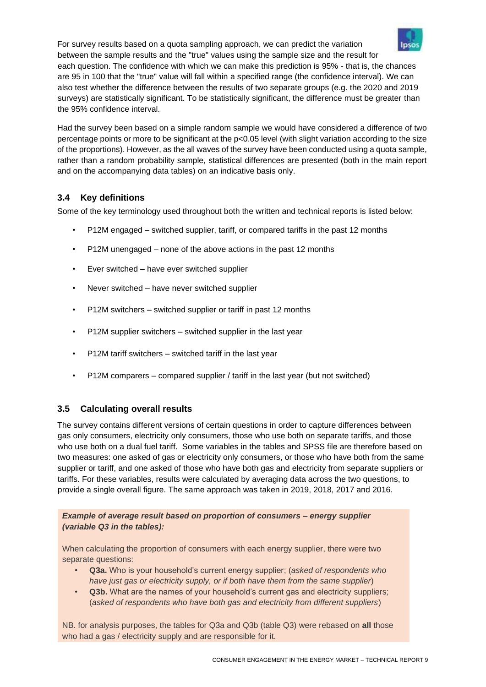For survey results based on a quota sampling approach, we can predict the variation between the sample results and the "true" values using the sample size and the result for each question. The confidence with which we can make this prediction is 95% - that is, the chances are 95 in 100 that the "true" value will fall within a specified range (the confidence interval). We can also test whether the difference between the results of two separate groups (e.g. the 2020 and 2019 surveys) are statistically significant. To be statistically significant, the difference must be greater than the 95% confidence interval.

Had the survey been based on a simple random sample we would have considered a difference of two percentage points or more to be significant at the p<0.05 level (with slight variation according to the size of the proportions). However, as the all waves of the survey have been conducted using a quota sample, rather than a random probability sample, statistical differences are presented (both in the main report and on the accompanying data tables) on an indicative basis only.

## <span id="page-8-0"></span>**3.4 Key definitions**

Some of the key terminology used throughout both the written and technical reports is listed below:

- P12M engaged switched supplier, tariff, or compared tariffs in the past 12 months
- P12M unengaged none of the above actions in the past 12 months
- Ever switched have ever switched supplier
- Never switched have never switched supplier
- P12M switchers switched supplier or tariff in past 12 months
- P12M supplier switchers switched supplier in the last year
- P12M tariff switchers switched tariff in the last year
- P12M comparers compared supplier / tariff in the last year (but not switched)

#### <span id="page-8-1"></span>**3.5 Calculating overall results**

The survey contains different versions of certain questions in order to capture differences between gas only consumers, electricity only consumers, those who use both on separate tariffs, and those who use both on a dual fuel tariff. Some variables in the tables and SPSS file are therefore based on two measures: one asked of gas or electricity only consumers, or those who have both from the same supplier or tariff, and one asked of those who have both gas and electricity from separate suppliers or tariffs. For these variables, results were calculated by averaging data across the two questions, to provide a single overall figure. The same approach was taken in 2019, 2018, 2017 and 2016.

#### *Example of average result based on proportion of consumers – energy supplier (variable Q3 in the tables):*

When calculating the proportion of consumers with each energy supplier, there were two separate questions:

- **Q3a.** Who is your household's current energy supplier; (*asked of respondents who have just gas or electricity supply, or if both have them from the same supplier*)
- **Q3b.** What are the names of your household's current gas and electricity suppliers; (*asked of respondents who have both gas and electricity from different suppliers*)

NB. for analysis purposes, the tables for Q3a and Q3b (table Q3) were rebased on **all** those who had a gas / electricity supply and are responsible for it.

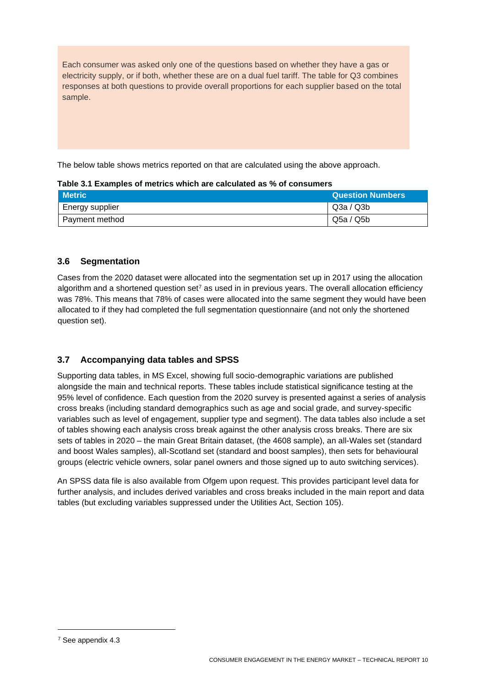Each consumer was asked only one of the questions based on whether they have a gas or electricity supply, or if both, whether these are on a dual fuel tariff. The table for Q3 combines responses at both questions to provide overall proportions for each supplier based on the total sample.

The below table shows metrics reported on that are calculated using the above approach.

| Table 3.1 Examples of metrics which are calculated as % of consumers |  |
|----------------------------------------------------------------------|--|
|----------------------------------------------------------------------|--|

| <b>Metric</b>   | <b>Question Numbers</b> |
|-----------------|-------------------------|
| Energy supplier | Q3a / Q3b               |
| Payment method  | Q5a / Q5b               |

#### <span id="page-9-0"></span>**3.6 Segmentation**

Cases from the 2020 dataset were allocated into the segmentation set up in 2017 using the allocation algorithm and a shortened question set<sup>7</sup> as used in in previous years. The overall allocation efficiency was 78%. This means that 78% of cases were allocated into the same segment they would have been allocated to if they had completed the full segmentation questionnaire (and not only the shortened question set).

#### <span id="page-9-1"></span>**3.7 Accompanying data tables and SPSS**

Supporting data tables, in MS Excel, showing full socio-demographic variations are published alongside the main and technical reports. These tables include statistical significance testing at the 95% level of confidence. Each question from the 2020 survey is presented against a series of analysis cross breaks (including standard demographics such as age and social grade, and survey-specific variables such as level of engagement, supplier type and segment). The data tables also include a set of tables showing each analysis cross break against the other analysis cross breaks. There are six sets of tables in 2020 – the main Great Britain dataset, (the 4608 sample), an all-Wales set (standard and boost Wales samples), all-Scotland set (standard and boost samples), then sets for behavioural groups (electric vehicle owners, solar panel owners and those signed up to auto switching services).

An SPSS data file is also available from Ofgem upon request. This provides participant level data for further analysis, and includes derived variables and cross breaks included in the main report and data tables (but excluding variables suppressed under the Utilities Act, Section 105).

<sup>7</sup> See appendix 4.3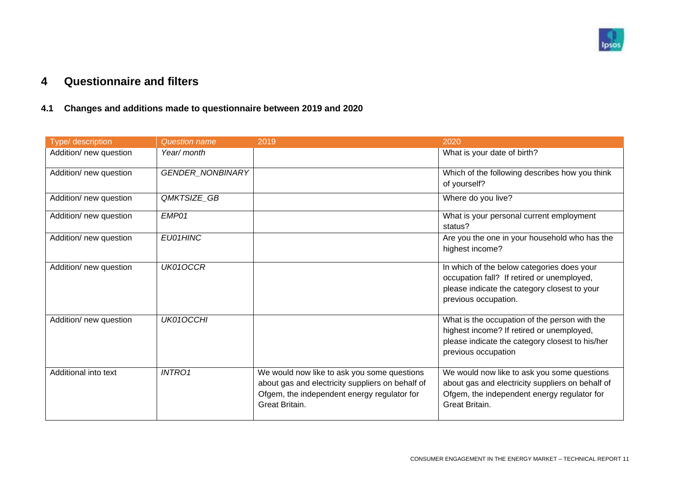

# **4 Questionnaire and filters**

## **4.1 Changes and additions made to questionnaire between 2019 and 2020**

<span id="page-10-1"></span><span id="page-10-0"></span>

| Type/ description      | <b>Question name</b> | 2019                                                                                                                                                             | 2020                                                                                                                                                                 |
|------------------------|----------------------|------------------------------------------------------------------------------------------------------------------------------------------------------------------|----------------------------------------------------------------------------------------------------------------------------------------------------------------------|
| Addition/ new question | Year/ month          |                                                                                                                                                                  | What is your date of birth?                                                                                                                                          |
| Addition/ new question | GENDER_NONBINARY     |                                                                                                                                                                  | Which of the following describes how you think<br>of yourself?                                                                                                       |
| Addition/ new question | QMKTSIZE_GB          |                                                                                                                                                                  | Where do you live?                                                                                                                                                   |
| Addition/ new question | EMP01                |                                                                                                                                                                  | What is your personal current employment<br>status?                                                                                                                  |
| Addition/ new question | EU01HINC             |                                                                                                                                                                  | Are you the one in your household who has the<br>highest income?                                                                                                     |
| Addition/ new question | UK01OCCR             |                                                                                                                                                                  | In which of the below categories does your<br>occupation fall? If retired or unemployed,<br>please indicate the category closest to your<br>previous occupation.     |
| Addition/ new question | UK01OCCHI            |                                                                                                                                                                  | What is the occupation of the person with the<br>highest income? If retired or unemployed,<br>please indicate the category closest to his/her<br>previous occupation |
| Additional into text   | <b>INTRO1</b>        | We would now like to ask you some questions<br>about gas and electricity suppliers on behalf of<br>Ofgem, the independent energy regulator for<br>Great Britain. | We would now like to ask you some questions<br>about gas and electricity suppliers on behalf of<br>Ofgem, the independent energy regulator for<br>Great Britain.     |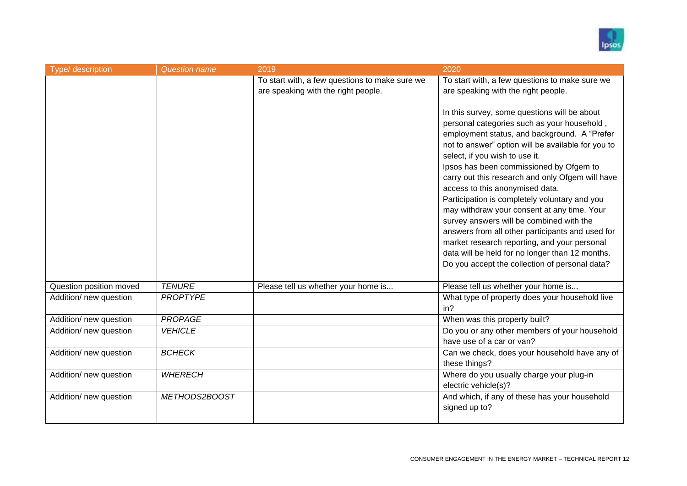

| Type/ description       | <b>Question name</b> | 2019                                           | 2020                                                                                               |
|-------------------------|----------------------|------------------------------------------------|----------------------------------------------------------------------------------------------------|
|                         |                      | To start with, a few questions to make sure we | To start with, a few questions to make sure we                                                     |
|                         |                      | are speaking with the right people.            | are speaking with the right people.                                                                |
|                         |                      |                                                | In this survey, some questions will be about                                                       |
|                         |                      |                                                | personal categories such as your household,                                                        |
|                         |                      |                                                | employment status, and background. A "Prefer<br>not to answer" option will be available for you to |
|                         |                      |                                                | select, if you wish to use it.                                                                     |
|                         |                      |                                                | Ipsos has been commissioned by Ofgem to<br>carry out this research and only Ofgem will have        |
|                         |                      |                                                | access to this anonymised data.                                                                    |
|                         |                      |                                                | Participation is completely voluntary and you                                                      |
|                         |                      |                                                | may withdraw your consent at any time. Your<br>survey answers will be combined with the            |
|                         |                      |                                                | answers from all other participants and used for                                                   |
|                         |                      |                                                | market research reporting, and your personal                                                       |
|                         |                      |                                                | data will be held for no longer than 12 months.<br>Do you accept the collection of personal data?  |
|                         |                      |                                                |                                                                                                    |
| Question position moved | <b>TENURE</b>        | Please tell us whether your home is            | Please tell us whether your home is                                                                |
| Addition/ new question  | <b>PROPTYPE</b>      |                                                | What type of property does your household live                                                     |
|                         |                      |                                                | in?                                                                                                |
| Addition/ new question  | <b>PROPAGE</b>       |                                                | When was this property built?                                                                      |
| Addition/ new question  | <b>VEHICLE</b>       |                                                | Do you or any other members of your household<br>have use of a car or van?                         |
|                         |                      |                                                |                                                                                                    |
| Addition/ new question  | <b>BCHECK</b>        |                                                | Can we check, does your household have any of<br>these things?                                     |
| Addition/ new question  | <b>WHERECH</b>       |                                                | Where do you usually charge your plug-in                                                           |
|                         |                      |                                                | electric vehicle(s)?                                                                               |
| Addition/ new question  | METHODS2BOOST        |                                                | And which, if any of these has your household                                                      |
|                         |                      |                                                | signed up to?                                                                                      |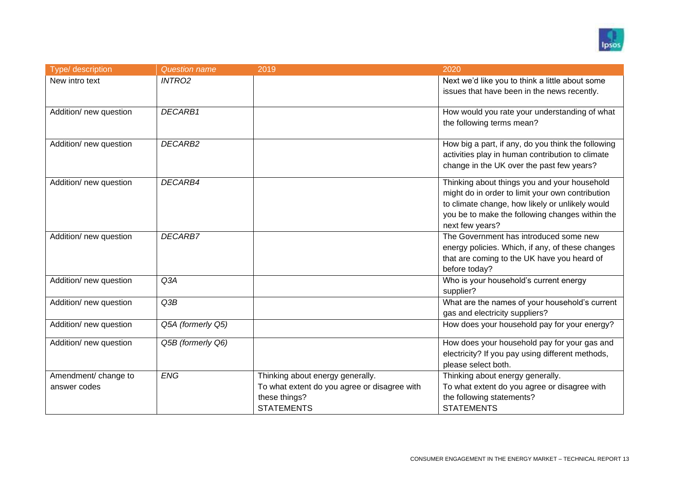

| Type/ description      | <b>Question name</b> | 2019                                         | 2020                                               |
|------------------------|----------------------|----------------------------------------------|----------------------------------------------------|
| New intro text         | <b>INTRO2</b>        |                                              | Next we'd like you to think a little about some    |
|                        |                      |                                              | issues that have been in the news recently.        |
|                        | DECARB1              |                                              | How would you rate your understanding of what      |
| Addition/ new question |                      |                                              | the following terms mean?                          |
|                        |                      |                                              |                                                    |
| Addition/ new question | DECARB2              |                                              | How big a part, if any, do you think the following |
|                        |                      |                                              | activities play in human contribution to climate   |
|                        |                      |                                              | change in the UK over the past few years?          |
| Addition/ new question | DECARB4              |                                              | Thinking about things you and your household       |
|                        |                      |                                              | might do in order to limit your own contribution   |
|                        |                      |                                              | to climate change, how likely or unlikely would    |
|                        |                      |                                              | you be to make the following changes within the    |
|                        |                      |                                              | next few years?                                    |
| Addition/ new question | <b>DECARB7</b>       |                                              | The Government has introduced some new             |
|                        |                      |                                              | energy policies. Which, if any, of these changes   |
|                        |                      |                                              | that are coming to the UK have you heard of        |
|                        |                      |                                              | before today?                                      |
| Addition/ new question | Q3A                  |                                              | Who is your household's current energy             |
|                        |                      |                                              | supplier?                                          |
| Addition/ new question | Q3B                  |                                              | What are the names of your household's current     |
|                        |                      |                                              | gas and electricity suppliers?                     |
| Addition/ new question | Q5A (formerly Q5)    |                                              | How does your household pay for your energy?       |
| Addition/ new question | Q5B (formerly Q6)    |                                              | How does your household pay for your gas and       |
|                        |                      |                                              | electricity? If you pay using different methods,   |
|                        |                      |                                              | please select both.                                |
| Amendment/ change to   | ENG                  | Thinking about energy generally.             | Thinking about energy generally.                   |
| answer codes           |                      | To what extent do you agree or disagree with | To what extent do you agree or disagree with       |
|                        |                      | these things?                                | the following statements?                          |
|                        |                      | <b>STATEMENTS</b>                            | <b>STATEMENTS</b>                                  |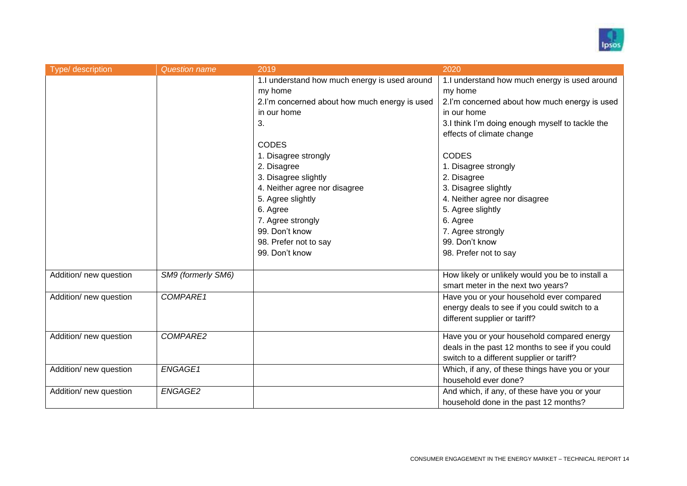

| Type/ description      | <b>Question name</b> | 2019                                          | 2020                                             |
|------------------------|----------------------|-----------------------------------------------|--------------------------------------------------|
|                        |                      | 1.I understand how much energy is used around | 1.I understand how much energy is used around    |
|                        |                      | my home                                       | my home                                          |
|                        |                      | 2.I'm concerned about how much energy is used | 2.I'm concerned about how much energy is used    |
|                        |                      | in our home                                   | in our home                                      |
|                        |                      | 3.                                            | 3.I think I'm doing enough myself to tackle the  |
|                        |                      |                                               | effects of climate change                        |
|                        |                      | <b>CODES</b>                                  |                                                  |
|                        |                      | 1. Disagree strongly                          | <b>CODES</b>                                     |
|                        |                      | 2. Disagree                                   | 1. Disagree strongly                             |
|                        |                      | 3. Disagree slightly                          | 2. Disagree                                      |
|                        |                      | 4. Neither agree nor disagree                 | 3. Disagree slightly                             |
|                        |                      | 5. Agree slightly                             | 4. Neither agree nor disagree                    |
|                        |                      | 6. Agree                                      | 5. Agree slightly                                |
|                        |                      | 7. Agree strongly                             | 6. Agree                                         |
|                        |                      | 99. Don't know                                | 7. Agree strongly                                |
|                        |                      | 98. Prefer not to say                         | 99. Don't know                                   |
|                        |                      | 99. Don't know                                | 98. Prefer not to say                            |
|                        |                      |                                               |                                                  |
| Addition/ new question | SM9 (formerly SM6)   |                                               | How likely or unlikely would you be to install a |
|                        |                      |                                               | smart meter in the next two years?               |
| Addition/ new question | COMPARE1             |                                               | Have you or your household ever compared         |
|                        |                      |                                               | energy deals to see if you could switch to a     |
|                        |                      |                                               | different supplier or tariff?                    |
| Addition/ new question | COMPARE2             |                                               | Have you or your household compared energy       |
|                        |                      |                                               | deals in the past 12 months to see if you could  |
|                        |                      |                                               | switch to a different supplier or tariff?        |
| Addition/ new question | ENGAGE1              |                                               | Which, if any, of these things have you or your  |
|                        |                      |                                               | household ever done?                             |
| Addition/ new question | ENGAGE2              |                                               | And which, if any, of these have you or your     |
|                        |                      |                                               |                                                  |
|                        |                      |                                               | household done in the past 12 months?            |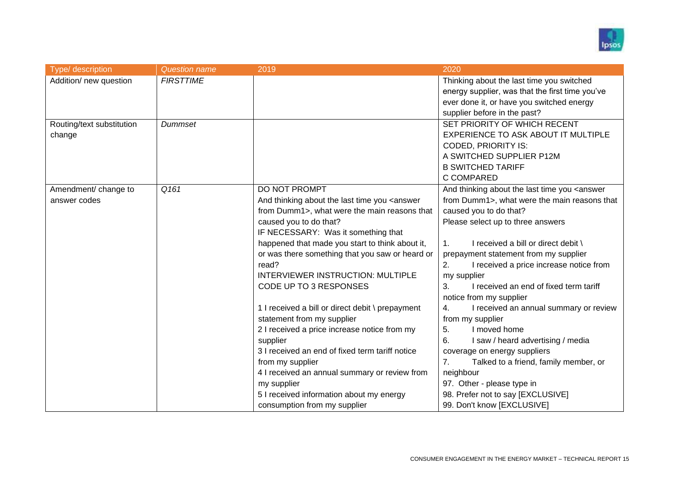

| Type/ description         | <b>Question name</b> | 2019                                                                                                                   | 2020                                                           |
|---------------------------|----------------------|------------------------------------------------------------------------------------------------------------------------|----------------------------------------------------------------|
| Addition/ new question    | <b>FIRSTTIME</b>     |                                                                                                                        | Thinking about the last time you switched                      |
|                           |                      |                                                                                                                        | energy supplier, was that the first time you've                |
|                           |                      |                                                                                                                        | ever done it, or have you switched energy                      |
|                           |                      |                                                                                                                        | supplier before in the past?                                   |
| Routing/text substitution | Dummset              |                                                                                                                        | SET PRIORITY OF WHICH RECENT                                   |
| change                    |                      |                                                                                                                        | EXPERIENCE TO ASK ABOUT IT MULTIPLE                            |
|                           |                      |                                                                                                                        | <b>CODED, PRIORITY IS:</b>                                     |
|                           |                      |                                                                                                                        | A SWITCHED SUPPLIER P12M                                       |
|                           |                      |                                                                                                                        | <b>B SWITCHED TARIFF</b>                                       |
|                           |                      |                                                                                                                        | C COMPARED                                                     |
| Amendment/ change to      | Q161                 | DO NOT PROMPT                                                                                                          | And thinking about the last time you <answer< td=""></answer<> |
| answer codes              |                      | And thinking about the last time you <answer< td=""><td>from Dumm1&gt;, what were the main reasons that</td></answer<> | from Dumm1>, what were the main reasons that                   |
|                           |                      | from Dumm1>, what were the main reasons that                                                                           | caused you to do that?                                         |
|                           |                      | caused you to do that?                                                                                                 | Please select up to three answers                              |
|                           |                      | IF NECESSARY: Was it something that                                                                                    |                                                                |
|                           |                      | happened that made you start to think about it,                                                                        | I received a bill or direct debit \<br>1.                      |
|                           |                      | or was there something that you saw or heard or                                                                        | prepayment statement from my supplier                          |
|                           |                      | read?                                                                                                                  | I received a price increase notice from<br>2.                  |
|                           |                      | INTERVIEWER INSTRUCTION: MULTIPLE                                                                                      | my supplier                                                    |
|                           |                      | CODE UP TO 3 RESPONSES                                                                                                 | 3.<br>I received an end of fixed term tariff                   |
|                           |                      |                                                                                                                        | notice from my supplier                                        |
|                           |                      | 1 I received a bill or direct debit \ prepayment                                                                       | I received an annual summary or review<br>4.                   |
|                           |                      | statement from my supplier                                                                                             | from my supplier                                               |
|                           |                      | 2 I received a price increase notice from my                                                                           | I moved home<br>5.                                             |
|                           |                      | supplier                                                                                                               | I saw / heard advertising / media<br>6.                        |
|                           |                      | 3 I received an end of fixed term tariff notice                                                                        | coverage on energy suppliers                                   |
|                           |                      | from my supplier                                                                                                       | Talked to a friend, family member, or<br>7.                    |
|                           |                      | 4 I received an annual summary or review from                                                                          | neighbour                                                      |
|                           |                      | my supplier                                                                                                            | 97. Other - please type in                                     |
|                           |                      | 5 I received information about my energy                                                                               | 98. Prefer not to say [EXCLUSIVE]                              |
|                           |                      | consumption from my supplier                                                                                           | 99. Don't know [EXCLUSIVE]                                     |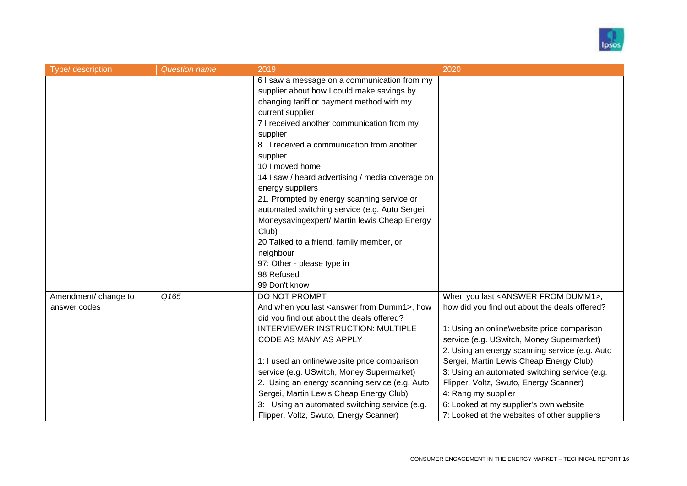

| Type/ description    | <b>Question name</b> | 2019                                                      | 2020                                              |
|----------------------|----------------------|-----------------------------------------------------------|---------------------------------------------------|
|                      |                      | 6 I saw a message on a communication from my              |                                                   |
|                      |                      | supplier about how I could make savings by                |                                                   |
|                      |                      | changing tariff or payment method with my                 |                                                   |
|                      |                      | current supplier                                          |                                                   |
|                      |                      | 7 I received another communication from my                |                                                   |
|                      |                      | supplier                                                  |                                                   |
|                      |                      | 8. I received a communication from another                |                                                   |
|                      |                      |                                                           |                                                   |
|                      |                      | supplier                                                  |                                                   |
|                      |                      | 10 I moved home                                           |                                                   |
|                      |                      | 14 I saw / heard advertising / media coverage on          |                                                   |
|                      |                      | energy suppliers                                          |                                                   |
|                      |                      | 21. Prompted by energy scanning service or                |                                                   |
|                      |                      | automated switching service (e.g. Auto Sergei,            |                                                   |
|                      |                      | Moneysavingexpert/ Martin lewis Cheap Energy              |                                                   |
|                      |                      | Club)                                                     |                                                   |
|                      |                      | 20 Talked to a friend, family member, or                  |                                                   |
|                      |                      | neighbour                                                 |                                                   |
|                      |                      | 97: Other - please type in                                |                                                   |
|                      |                      | 98 Refused                                                |                                                   |
|                      |                      | 99 Don't know                                             |                                                   |
| Amendment/ change to | Q165                 | DO NOT PROMPT                                             | When you last <answer dumm1="" from="">,</answer> |
| answer codes         |                      | And when you last <answer dumm1="" from="">, how</answer> | how did you find out about the deals offered?     |
|                      |                      | did you find out about the deals offered?                 |                                                   |
|                      |                      | <b>INTERVIEWER INSTRUCTION: MULTIPLE</b>                  | 1: Using an online\website price comparison       |
|                      |                      | CODE AS MANY AS APPLY                                     | service (e.g. USwitch, Money Supermarket)         |
|                      |                      |                                                           | 2. Using an energy scanning service (e.g. Auto    |
|                      |                      | 1: I used an online\website price comparison              | Sergei, Martin Lewis Cheap Energy Club)           |
|                      |                      | service (e.g. USwitch, Money Supermarket)                 | 3: Using an automated switching service (e.g.     |
|                      |                      | 2. Using an energy scanning service (e.g. Auto            | Flipper, Voltz, Swuto, Energy Scanner)            |
|                      |                      | Sergei, Martin Lewis Cheap Energy Club)                   | 4: Rang my supplier                               |
|                      |                      | 3: Using an automated switching service (e.g.             | 6: Looked at my supplier's own website            |
|                      |                      |                                                           |                                                   |
|                      |                      | Flipper, Voltz, Swuto, Energy Scanner)                    | 7: Looked at the websites of other suppliers      |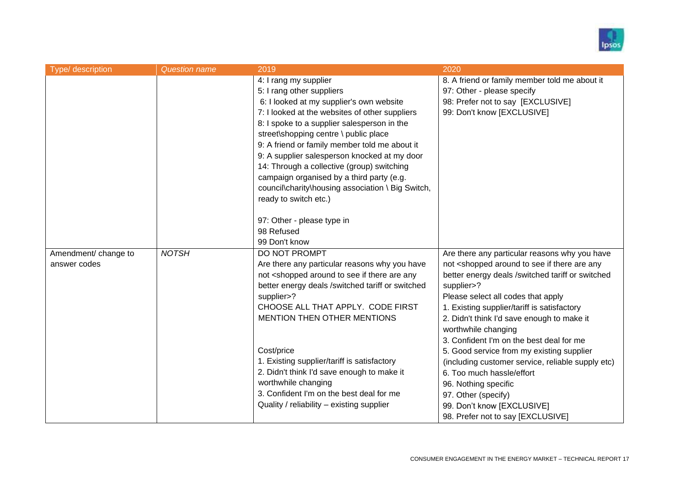

| Type/ description    | <b>Question name</b> | 2019                                                                                                                                        | 2020                                                                               |
|----------------------|----------------------|---------------------------------------------------------------------------------------------------------------------------------------------|------------------------------------------------------------------------------------|
|                      |                      | 4: I rang my supplier                                                                                                                       | 8. A friend or family member told me about it                                      |
|                      |                      | 5: I rang other suppliers                                                                                                                   | 97: Other - please specify                                                         |
|                      |                      | 6: I looked at my supplier's own website                                                                                                    | 98: Prefer not to say [EXCLUSIVE]                                                  |
|                      |                      | 7: I looked at the websites of other suppliers                                                                                              | 99: Don't know [EXCLUSIVE]                                                         |
|                      |                      | 8: I spoke to a supplier salesperson in the                                                                                                 |                                                                                    |
|                      |                      | street\shopping centre \ public place                                                                                                       |                                                                                    |
|                      |                      | 9: A friend or family member told me about it                                                                                               |                                                                                    |
|                      |                      | 9: A supplier salesperson knocked at my door                                                                                                |                                                                                    |
|                      |                      | 14: Through a collective (group) switching                                                                                                  |                                                                                    |
|                      |                      | campaign organised by a third party (e.g.                                                                                                   |                                                                                    |
|                      |                      | council\charity\housing association \ Big Switch,                                                                                           |                                                                                    |
|                      |                      | ready to switch etc.)                                                                                                                       |                                                                                    |
|                      |                      |                                                                                                                                             |                                                                                    |
|                      |                      | 97: Other - please type in                                                                                                                  |                                                                                    |
|                      |                      | 98 Refused                                                                                                                                  |                                                                                    |
|                      |                      | 99 Don't know                                                                                                                               |                                                                                    |
| Amendment/ change to | <b>NOTSH</b>         | DO NOT PROMPT                                                                                                                               | Are there any particular reasons why you have                                      |
| answer codes         |                      | Are there any particular reasons why you have                                                                                               | not <shopped any<="" are="" around="" if="" see="" td="" there="" to=""></shopped> |
|                      |                      | not <shopped any<="" are="" around="" if="" see="" td="" there="" to=""><td>better energy deals /switched tariff or switched</td></shopped> | better energy deals /switched tariff or switched                                   |
|                      |                      | better energy deals /switched tariff or switched                                                                                            | supplier>?                                                                         |
|                      |                      | supplier>?                                                                                                                                  | Please select all codes that apply                                                 |
|                      |                      | CHOOSE ALL THAT APPLY. CODE FIRST                                                                                                           | 1. Existing supplier/tariff is satisfactory                                        |
|                      |                      | MENTION THEN OTHER MENTIONS                                                                                                                 | 2. Didn't think I'd save enough to make it                                         |
|                      |                      |                                                                                                                                             | worthwhile changing                                                                |
|                      |                      |                                                                                                                                             | 3. Confident I'm on the best deal for me                                           |
|                      |                      | Cost/price                                                                                                                                  | 5. Good service from my existing supplier                                          |
|                      |                      | 1. Existing supplier/tariff is satisfactory                                                                                                 | (including customer service, reliable supply etc)                                  |
|                      |                      | 2. Didn't think I'd save enough to make it                                                                                                  | 6. Too much hassle/effort                                                          |
|                      |                      | worthwhile changing<br>3. Confident I'm on the best deal for me                                                                             | 96. Nothing specific                                                               |
|                      |                      |                                                                                                                                             | 97. Other (specify)                                                                |
|                      |                      | Quality / reliability - existing supplier                                                                                                   | 99. Don't know [EXCLUSIVE]                                                         |
|                      |                      |                                                                                                                                             | 98. Prefer not to say [EXCLUSIVE]                                                  |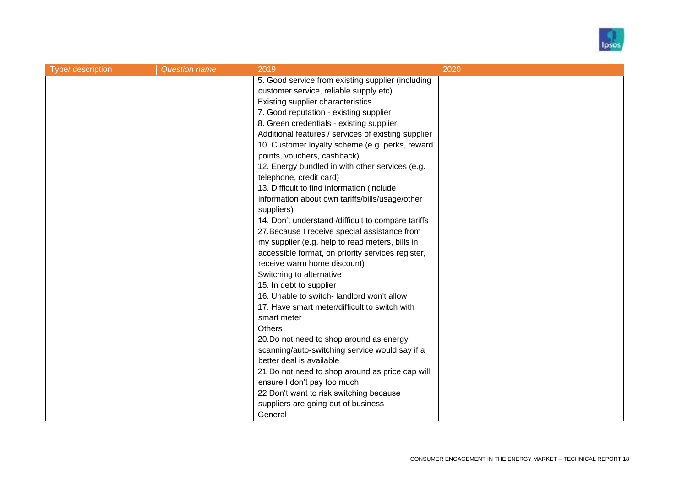

| Type/ description | <b>Question name</b> | 2019                                                | 2020 |
|-------------------|----------------------|-----------------------------------------------------|------|
|                   |                      | 5. Good service from existing supplier (including   |      |
|                   |                      | customer service, reliable supply etc)              |      |
|                   |                      | Existing supplier characteristics                   |      |
|                   |                      | 7. Good reputation - existing supplier              |      |
|                   |                      | 8. Green credentials - existing supplier            |      |
|                   |                      | Additional features / services of existing supplier |      |
|                   |                      | 10. Customer loyalty scheme (e.g. perks, reward     |      |
|                   |                      | points, vouchers, cashback)                         |      |
|                   |                      | 12. Energy bundled in with other services (e.g.     |      |
|                   |                      | telephone, credit card)                             |      |
|                   |                      | 13. Difficult to find information (include          |      |
|                   |                      | information about own tariffs/bills/usage/other     |      |
|                   |                      | suppliers)                                          |      |
|                   |                      | 14. Don't understand /difficult to compare tariffs  |      |
|                   |                      | 27. Because I receive special assistance from       |      |
|                   |                      | my supplier (e.g. help to read meters, bills in     |      |
|                   |                      | accessible format, on priority services register,   |      |
|                   |                      | receive warm home discount)                         |      |
|                   |                      | Switching to alternative                            |      |
|                   |                      | 15. In debt to supplier                             |      |
|                   |                      | 16. Unable to switch- landlord won't allow          |      |
|                   |                      | 17. Have smart meter/difficult to switch with       |      |
|                   |                      | smart meter                                         |      |
|                   |                      | <b>Others</b>                                       |      |
|                   |                      | 20.Do not need to shop around as energy             |      |
|                   |                      | scanning/auto-switching service would say if a      |      |
|                   |                      | better deal is available                            |      |
|                   |                      | 21 Do not need to shop around as price cap will     |      |
|                   |                      | ensure I don't pay too much                         |      |
|                   |                      | 22 Don't want to risk switching because             |      |
|                   |                      | suppliers are going out of business                 |      |
|                   |                      | General                                             |      |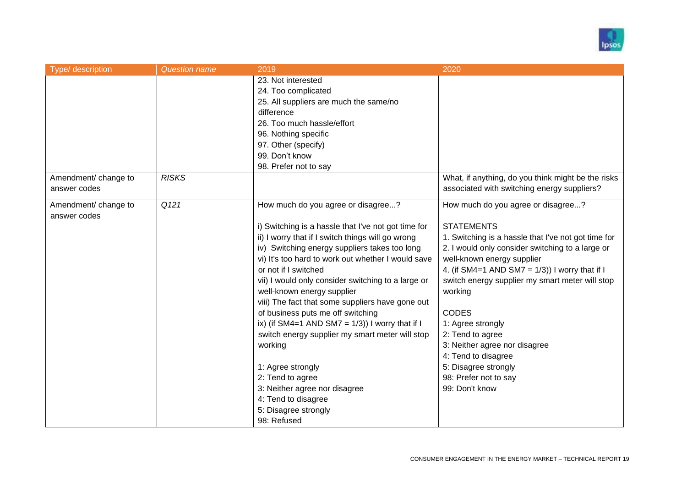

| Type/ description                    | <b>Question name</b> | 2019                                                                                                                                                                                                                                                                                                                                                                                                                                                                                                                                                                                                                                                                                                                   | 2020                                                                                                                                                                                                                                                                                                                                                                                                                                                                                                    |
|--------------------------------------|----------------------|------------------------------------------------------------------------------------------------------------------------------------------------------------------------------------------------------------------------------------------------------------------------------------------------------------------------------------------------------------------------------------------------------------------------------------------------------------------------------------------------------------------------------------------------------------------------------------------------------------------------------------------------------------------------------------------------------------------------|---------------------------------------------------------------------------------------------------------------------------------------------------------------------------------------------------------------------------------------------------------------------------------------------------------------------------------------------------------------------------------------------------------------------------------------------------------------------------------------------------------|
|                                      |                      | 23. Not interested<br>24. Too complicated<br>25. All suppliers are much the same/no<br>difference<br>26. Too much hassle/effort<br>96. Nothing specific<br>97. Other (specify)<br>99. Don't know<br>98. Prefer not to say                                                                                                                                                                                                                                                                                                                                                                                                                                                                                              |                                                                                                                                                                                                                                                                                                                                                                                                                                                                                                         |
| Amendment/ change to<br>answer codes | <b>RISKS</b>         |                                                                                                                                                                                                                                                                                                                                                                                                                                                                                                                                                                                                                                                                                                                        | What, if anything, do you think might be the risks<br>associated with switching energy suppliers?                                                                                                                                                                                                                                                                                                                                                                                                       |
| Amendment/ change to<br>answer codes | Q121                 | How much do you agree or disagree?<br>i) Switching is a hassle that I've not got time for<br>ii) I worry that if I switch things will go wrong<br>iv) Switching energy suppliers takes too long<br>vi) It's too hard to work out whether I would save<br>or not if I switched<br>vii) I would only consider switching to a large or<br>well-known energy supplier<br>viii) The fact that some suppliers have gone out<br>of business puts me off switching<br>ix) (if SM4=1 AND SM7 = $1/3$ )) I worry that if I<br>switch energy supplier my smart meter will stop<br>working<br>1: Agree strongly<br>2: Tend to agree<br>3: Neither agree nor disagree<br>4: Tend to disagree<br>5: Disagree strongly<br>98: Refused | How much do you agree or disagree?<br><b>STATEMENTS</b><br>1. Switching is a hassle that I've not got time for<br>2. I would only consider switching to a large or<br>well-known energy supplier<br>4. (if SM4=1 AND SM7 = $1/3$ )) I worry that if I<br>switch energy supplier my smart meter will stop<br>working<br><b>CODES</b><br>1: Agree strongly<br>2: Tend to agree<br>3: Neither agree nor disagree<br>4: Tend to disagree<br>5: Disagree strongly<br>98: Prefer not to say<br>99: Don't know |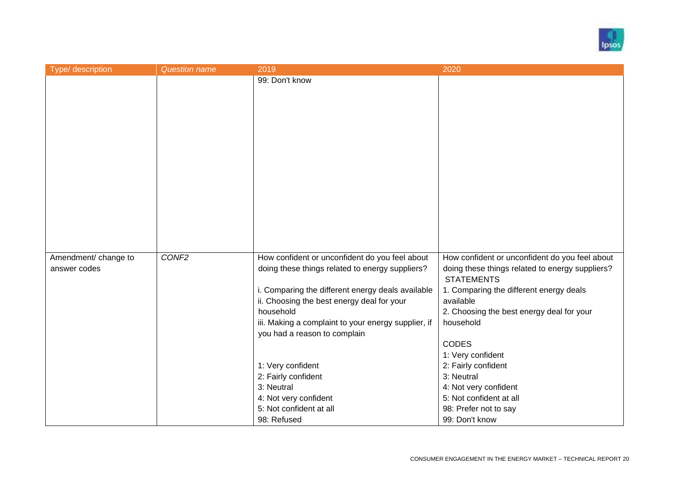

| Type/ description    | <b>Question name</b> | 2019                                                | 2020                                                                 |
|----------------------|----------------------|-----------------------------------------------------|----------------------------------------------------------------------|
|                      |                      | 99: Don't know                                      |                                                                      |
|                      |                      |                                                     |                                                                      |
|                      |                      |                                                     |                                                                      |
|                      |                      |                                                     |                                                                      |
|                      |                      |                                                     |                                                                      |
|                      |                      |                                                     |                                                                      |
|                      |                      |                                                     |                                                                      |
|                      |                      |                                                     |                                                                      |
|                      |                      |                                                     |                                                                      |
|                      |                      |                                                     |                                                                      |
|                      |                      |                                                     |                                                                      |
|                      |                      |                                                     |                                                                      |
|                      |                      |                                                     |                                                                      |
|                      |                      |                                                     |                                                                      |
|                      |                      |                                                     |                                                                      |
| Amendment/ change to | CONF <sub>2</sub>    | How confident or unconfident do you feel about      | How confident or unconfident do you feel about                       |
| answer codes         |                      | doing these things related to energy suppliers?     | doing these things related to energy suppliers?<br><b>STATEMENTS</b> |
|                      |                      | i. Comparing the different energy deals available   | 1. Comparing the different energy deals                              |
|                      |                      | ii. Choosing the best energy deal for your          | available                                                            |
|                      |                      | household                                           | 2. Choosing the best energy deal for your                            |
|                      |                      | iii. Making a complaint to your energy supplier, if | household                                                            |
|                      |                      | you had a reason to complain                        | <b>CODES</b>                                                         |
|                      |                      |                                                     | 1: Very confident                                                    |
|                      |                      | 1: Very confident                                   | 2: Fairly confident                                                  |
|                      |                      | 2: Fairly confident                                 | 3: Neutral                                                           |
|                      |                      | 3: Neutral                                          | 4: Not very confident                                                |
|                      |                      | 4: Not very confident                               | 5: Not confident at all                                              |
|                      |                      | 5: Not confident at all                             | 98: Prefer not to say                                                |
|                      |                      | 98: Refused                                         | 99: Don't know                                                       |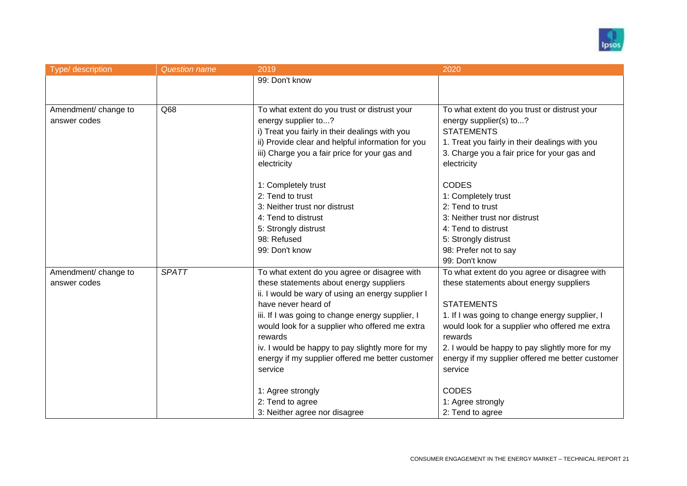

| Type/ description    | <b>Question name</b> | 2019                                              | 2020                                             |
|----------------------|----------------------|---------------------------------------------------|--------------------------------------------------|
|                      |                      | 99: Don't know                                    |                                                  |
|                      |                      |                                                   |                                                  |
|                      |                      |                                                   |                                                  |
| Amendment/ change to | $\overline{Q68}$     | To what extent do you trust or distrust your      | To what extent do you trust or distrust your     |
| answer codes         |                      | energy supplier to?                               | energy supplier(s) to?                           |
|                      |                      | i) Treat you fairly in their dealings with you    | <b>STATEMENTS</b>                                |
|                      |                      | ii) Provide clear and helpful information for you | 1. Treat you fairly in their dealings with you   |
|                      |                      | iii) Charge you a fair price for your gas and     | 3. Charge you a fair price for your gas and      |
|                      |                      | electricity                                       | electricity                                      |
|                      |                      | 1: Completely trust                               | <b>CODES</b>                                     |
|                      |                      | 2: Tend to trust                                  | 1: Completely trust                              |
|                      |                      | 3: Neither trust nor distrust                     | 2: Tend to trust                                 |
|                      |                      | 4: Tend to distrust                               | 3: Neither trust nor distrust                    |
|                      |                      |                                                   | 4: Tend to distrust                              |
|                      |                      | 5: Strongly distrust<br>98: Refused               |                                                  |
|                      |                      | 99: Don't know                                    | 5: Strongly distrust<br>98: Prefer not to say    |
|                      |                      |                                                   | 99: Don't know                                   |
|                      | <b>SPATT</b>         |                                                   |                                                  |
| Amendment/ change to |                      | To what extent do you agree or disagree with      | To what extent do you agree or disagree with     |
| answer codes         |                      | these statements about energy suppliers           | these statements about energy suppliers          |
|                      |                      | ii. I would be wary of using an energy supplier I |                                                  |
|                      |                      | have never heard of                               | <b>STATEMENTS</b>                                |
|                      |                      | iii. If I was going to change energy supplier, I  | 1. If I was going to change energy supplier, I   |
|                      |                      | would look for a supplier who offered me extra    | would look for a supplier who offered me extra   |
|                      |                      | rewards                                           | rewards                                          |
|                      |                      | iv. I would be happy to pay slightly more for my  | 2. I would be happy to pay slightly more for my  |
|                      |                      | energy if my supplier offered me better customer  | energy if my supplier offered me better customer |
|                      |                      | service                                           | service                                          |
|                      |                      | 1: Agree strongly                                 | <b>CODES</b>                                     |
|                      |                      | 2: Tend to agree                                  | 1: Agree strongly                                |
|                      |                      | 3: Neither agree nor disagree                     | 2: Tend to agree                                 |
|                      |                      |                                                   |                                                  |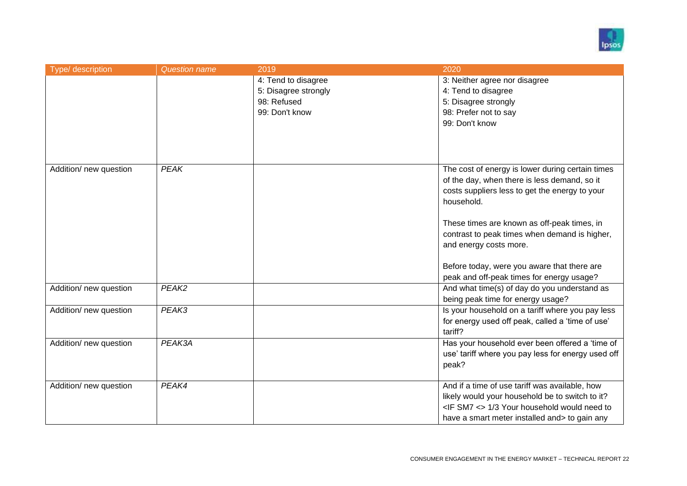

| Type/ description      | <b>Question name</b> | 2019                 | 2020                                                   |
|------------------------|----------------------|----------------------|--------------------------------------------------------|
|                        |                      | 4: Tend to disagree  | 3: Neither agree nor disagree                          |
|                        |                      | 5: Disagree strongly | 4: Tend to disagree                                    |
|                        |                      | 98: Refused          | 5: Disagree strongly                                   |
|                        |                      | 99: Don't know       | 98: Prefer not to say                                  |
|                        |                      |                      | 99: Don't know                                         |
|                        |                      |                      |                                                        |
|                        |                      |                      |                                                        |
|                        |                      |                      |                                                        |
| Addition/ new question | PEAK                 |                      | The cost of energy is lower during certain times       |
|                        |                      |                      | of the day, when there is less demand, so it           |
|                        |                      |                      | costs suppliers less to get the energy to your         |
|                        |                      |                      | household.                                             |
|                        |                      |                      |                                                        |
|                        |                      |                      | These times are known as off-peak times, in            |
|                        |                      |                      | contrast to peak times when demand is higher,          |
|                        |                      |                      | and energy costs more.                                 |
|                        |                      |                      |                                                        |
|                        |                      |                      | Before today, were you aware that there are            |
|                        |                      |                      | peak and off-peak times for energy usage?              |
| Addition/ new question | PEAK2                |                      | And what time(s) of day do you understand as           |
|                        |                      |                      | being peak time for energy usage?                      |
| Addition/ new question | PEAK3                |                      | Is your household on a tariff where you pay less       |
|                        |                      |                      | for energy used off peak, called a 'time of use'       |
|                        |                      |                      | tariff?                                                |
| Addition/ new question | PEAK3A               |                      | Has your household ever been offered a 'time of        |
|                        |                      |                      | use' tariff where you pay less for energy used off     |
|                        |                      |                      | peak?                                                  |
| Addition/ new question | PEAK4                |                      | And if a time of use tariff was available, how         |
|                        |                      |                      | likely would your household be to switch to it?        |
|                        |                      |                      | <if <="" sm7=""> 1/3 Your household would need to</if> |
|                        |                      |                      | have a smart meter installed and> to gain any          |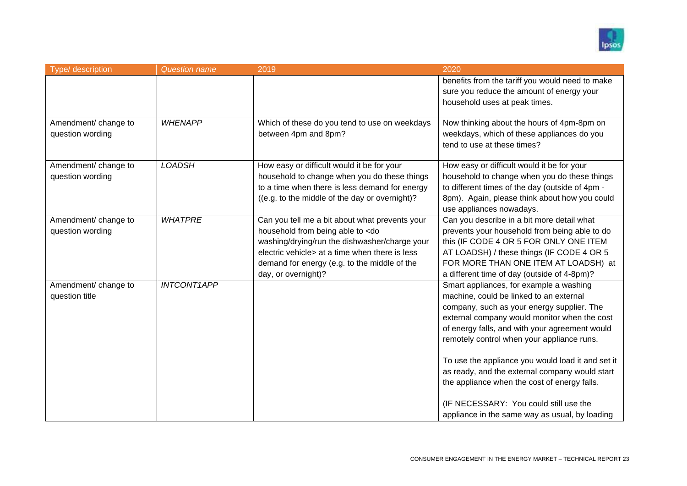

| Type/ description                        | <b>Question name</b> | 2019                                                                                                                                                                                                                                                                       | 2020                                                                                                                                                                                                                                                                                                                                                                                                                                    |
|------------------------------------------|----------------------|----------------------------------------------------------------------------------------------------------------------------------------------------------------------------------------------------------------------------------------------------------------------------|-----------------------------------------------------------------------------------------------------------------------------------------------------------------------------------------------------------------------------------------------------------------------------------------------------------------------------------------------------------------------------------------------------------------------------------------|
|                                          |                      |                                                                                                                                                                                                                                                                            | benefits from the tariff you would need to make<br>sure you reduce the amount of energy your<br>household uses at peak times.                                                                                                                                                                                                                                                                                                           |
| Amendment/ change to<br>question wording | <b>WHENAPP</b>       | Which of these do you tend to use on weekdays<br>between 4pm and 8pm?                                                                                                                                                                                                      | Now thinking about the hours of 4pm-8pm on<br>weekdays, which of these appliances do you<br>tend to use at these times?                                                                                                                                                                                                                                                                                                                 |
| Amendment/ change to<br>question wording | <b>LOADSH</b>        | How easy or difficult would it be for your<br>household to change when you do these things<br>to a time when there is less demand for energy<br>((e.g. to the middle of the day or overnight)?                                                                             | How easy or difficult would it be for your<br>household to change when you do these things<br>to different times of the day (outside of 4pm -<br>8pm). Again, please think about how you could<br>use appliances nowadays.                                                                                                                                                                                                              |
| Amendment/ change to<br>question wording | <b>WHATPRE</b>       | Can you tell me a bit about what prevents your<br>household from being able to <do<br>washing/drying/run the dishwasher/charge your<br/>electric vehicle&gt; at a time when there is less<br/>demand for energy (e.g. to the middle of the<br/>day, or overnight)?</do<br> | Can you describe in a bit more detail what<br>prevents your household from being able to do<br>this (IF CODE 4 OR 5 FOR ONLY ONE ITEM<br>AT LOADSH) / these things (IF CODE 4 OR 5<br>FOR MORE THAN ONE ITEM AT LOADSH) at<br>a different time of day (outside of 4-8pm)?                                                                                                                                                               |
| Amendment/ change to<br>question title   | <b>INTCONT1APP</b>   |                                                                                                                                                                                                                                                                            | Smart appliances, for example a washing<br>machine, could be linked to an external<br>company, such as your energy supplier. The<br>external company would monitor when the cost<br>of energy falls, and with your agreement would<br>remotely control when your appliance runs.<br>To use the appliance you would load it and set it<br>as ready, and the external company would start<br>the appliance when the cost of energy falls. |
|                                          |                      |                                                                                                                                                                                                                                                                            | (IF NECESSARY: You could still use the<br>appliance in the same way as usual, by loading                                                                                                                                                                                                                                                                                                                                                |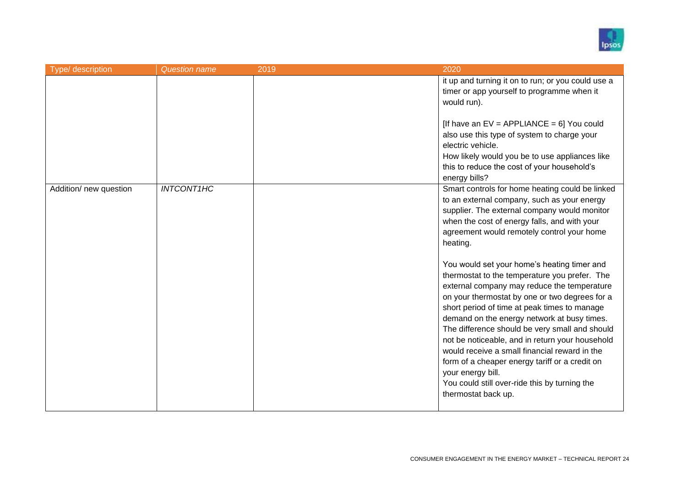

| Type/ description      | <b>Question name</b> | 2019 | 2020                                                                                                                                                                                                                                                                                                                                                                                                                                                                                                                                                                                              |
|------------------------|----------------------|------|---------------------------------------------------------------------------------------------------------------------------------------------------------------------------------------------------------------------------------------------------------------------------------------------------------------------------------------------------------------------------------------------------------------------------------------------------------------------------------------------------------------------------------------------------------------------------------------------------|
|                        |                      |      | it up and turning it on to run; or you could use a<br>timer or app yourself to programme when it<br>would run).                                                                                                                                                                                                                                                                                                                                                                                                                                                                                   |
|                        |                      |      | [If have an $EV = APPLIANCE = 6$ ] You could<br>also use this type of system to charge your<br>electric vehicle.<br>How likely would you be to use appliances like<br>this to reduce the cost of your household's<br>energy bills?                                                                                                                                                                                                                                                                                                                                                                |
| Addition/ new question | <b>INTCONT1HC</b>    |      | Smart controls for home heating could be linked<br>to an external company, such as your energy<br>supplier. The external company would monitor<br>when the cost of energy falls, and with your<br>agreement would remotely control your home<br>heating.                                                                                                                                                                                                                                                                                                                                          |
|                        |                      |      | You would set your home's heating timer and<br>thermostat to the temperature you prefer. The<br>external company may reduce the temperature<br>on your thermostat by one or two degrees for a<br>short period of time at peak times to manage<br>demand on the energy network at busy times.<br>The difference should be very small and should<br>not be noticeable, and in return your household<br>would receive a small financial reward in the<br>form of a cheaper energy tariff or a credit on<br>your energy bill.<br>You could still over-ride this by turning the<br>thermostat back up. |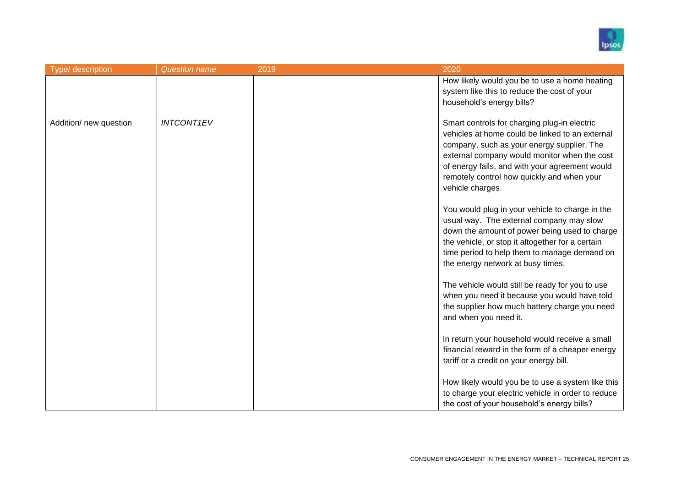

| Type/ description      | <b>Question name</b> | 2019 | 2020                                                                                                                                                                                                                                                                                                              |
|------------------------|----------------------|------|-------------------------------------------------------------------------------------------------------------------------------------------------------------------------------------------------------------------------------------------------------------------------------------------------------------------|
|                        |                      |      | How likely would you be to use a home heating<br>system like this to reduce the cost of your<br>household's energy bills?                                                                                                                                                                                         |
| Addition/ new question | <b>INTCONT1EV</b>    |      | Smart controls for charging plug-in electric<br>vehicles at home could be linked to an external<br>company, such as your energy supplier. The<br>external company would monitor when the cost<br>of energy falls, and with your agreement would<br>remotely control how quickly and when your<br>vehicle charges. |
|                        |                      |      | You would plug in your vehicle to charge in the<br>usual way. The external company may slow<br>down the amount of power being used to charge<br>the vehicle, or stop it altogether for a certain<br>time period to help them to manage demand on<br>the energy network at busy times.                             |
|                        |                      |      | The vehicle would still be ready for you to use<br>when you need it because you would have told<br>the supplier how much battery charge you need<br>and when you need it.                                                                                                                                         |
|                        |                      |      | In return your household would receive a small<br>financial reward in the form of a cheaper energy<br>tariff or a credit on your energy bill.                                                                                                                                                                     |
|                        |                      |      | How likely would you be to use a system like this<br>to charge your electric vehicle in order to reduce<br>the cost of your household's energy bills?                                                                                                                                                             |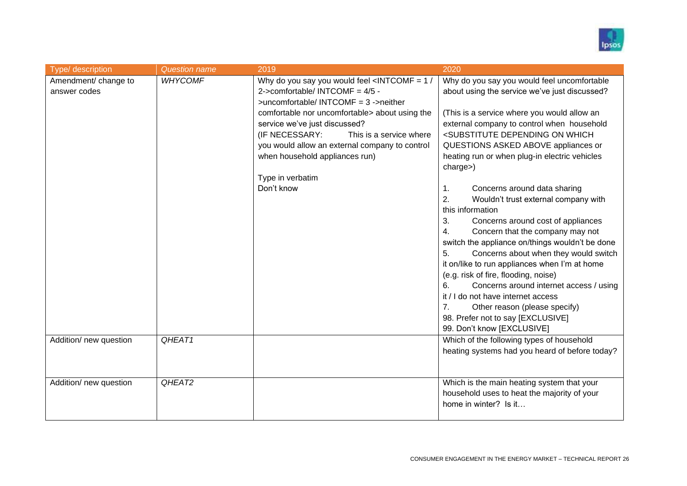

| Type/ description                    | <b>Question name</b> | 2019                                                                                                                                                                                                                                                                                                                                                                                                                      | 2020                                                                                                                                                                                                                                                                                                                                                                                                                                                                                                                                                                                                                                                                                                                                                                                                                                                                                                                                                                                            |
|--------------------------------------|----------------------|---------------------------------------------------------------------------------------------------------------------------------------------------------------------------------------------------------------------------------------------------------------------------------------------------------------------------------------------------------------------------------------------------------------------------|-------------------------------------------------------------------------------------------------------------------------------------------------------------------------------------------------------------------------------------------------------------------------------------------------------------------------------------------------------------------------------------------------------------------------------------------------------------------------------------------------------------------------------------------------------------------------------------------------------------------------------------------------------------------------------------------------------------------------------------------------------------------------------------------------------------------------------------------------------------------------------------------------------------------------------------------------------------------------------------------------|
| Amendment/ change to<br>answer codes | <b>WHYCOMF</b>       | Why do you say you would feel <intcomf <math="" =="">1/<br/>2-&gt;comfortable/ INTCOMF = 4/5 -<br/>&gt;uncomfortable/ INTCOMF = 3 -&gt;neither<br/>comfortable nor uncomfortable&gt; about using the<br/>service we've just discussed?<br/>(IF NECESSARY:<br/>This is a service where<br/>you would allow an external company to control<br/>when household appliances run)<br/>Type in verbatim<br/>Don't know</intcomf> | Why do you say you would feel uncomfortable<br>about using the service we've just discussed?<br>(This is a service where you would allow an<br>external company to control when household<br><substitute depending="" on="" which<br="">QUESTIONS ASKED ABOVE appliances or<br/>heating run or when plug-in electric vehicles<br/>charge&gt;)<br/>Concerns around data sharing<br/><math>\mathbf{1}</math>.<br/>2.<br/>Wouldn't trust external company with<br/>this information<br/>3.<br/>Concerns around cost of appliances<br/>Concern that the company may not<br/>4.<br/>switch the appliance on/things wouldn't be done<br/>Concerns about when they would switch<br/>5.<br/>it on/like to run appliances when I'm at home<br/>(e.g. risk of fire, flooding, noise)<br/>6.<br/>Concerns around internet access / using<br/>it / I do not have internet access<br/>7.<br/>Other reason (please specify)<br/>98. Prefer not to say [EXCLUSIVE]<br/>99. Don't know [EXCLUSIVE]</substitute> |
| Addition/ new question               | QHEAT1               |                                                                                                                                                                                                                                                                                                                                                                                                                           | Which of the following types of household<br>heating systems had you heard of before today?                                                                                                                                                                                                                                                                                                                                                                                                                                                                                                                                                                                                                                                                                                                                                                                                                                                                                                     |
| Addition/ new question               | QHEAT2               |                                                                                                                                                                                                                                                                                                                                                                                                                           | Which is the main heating system that your<br>household uses to heat the majority of your<br>home in winter? Is it                                                                                                                                                                                                                                                                                                                                                                                                                                                                                                                                                                                                                                                                                                                                                                                                                                                                              |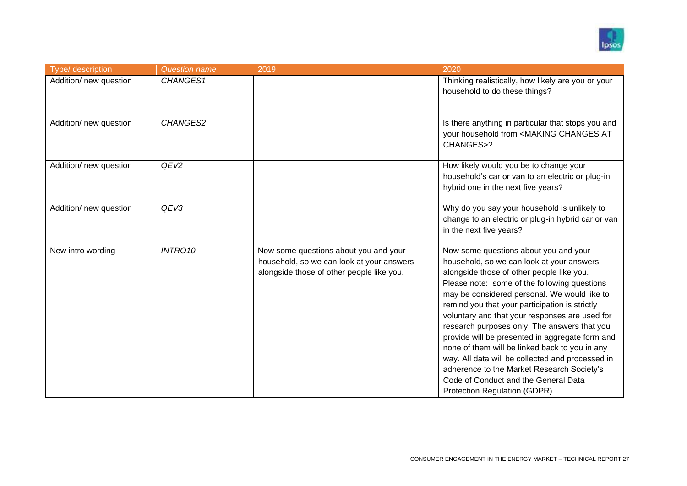

| Type/ description      | <b>Question name</b> | 2019                                                                                                                            | 2020                                                                                                                                                                                                                                                                                                                                                                                                                                                                                                                                                                                                                                                                |
|------------------------|----------------------|---------------------------------------------------------------------------------------------------------------------------------|---------------------------------------------------------------------------------------------------------------------------------------------------------------------------------------------------------------------------------------------------------------------------------------------------------------------------------------------------------------------------------------------------------------------------------------------------------------------------------------------------------------------------------------------------------------------------------------------------------------------------------------------------------------------|
| Addition/ new question | CHANGES1             |                                                                                                                                 | Thinking realistically, how likely are you or your<br>household to do these things?                                                                                                                                                                                                                                                                                                                                                                                                                                                                                                                                                                                 |
| Addition/ new question | CHANGES2             |                                                                                                                                 | Is there anything in particular that stops you and<br>your household from <making at<br="" changes="">CHANGES&gt;?</making>                                                                                                                                                                                                                                                                                                                                                                                                                                                                                                                                         |
| Addition/ new question | QEV <sub>2</sub>     |                                                                                                                                 | How likely would you be to change your<br>household's car or van to an electric or plug-in<br>hybrid one in the next five years?                                                                                                                                                                                                                                                                                                                                                                                                                                                                                                                                    |
| Addition/ new question | QEV3                 |                                                                                                                                 | Why do you say your household is unlikely to<br>change to an electric or plug-in hybrid car or van<br>in the next five years?                                                                                                                                                                                                                                                                                                                                                                                                                                                                                                                                       |
| New intro wording      | <b>INTRO10</b>       | Now some questions about you and your<br>household, so we can look at your answers<br>alongside those of other people like you. | Now some questions about you and your<br>household, so we can look at your answers<br>alongside those of other people like you.<br>Please note: some of the following questions<br>may be considered personal. We would like to<br>remind you that your participation is strictly<br>voluntary and that your responses are used for<br>research purposes only. The answers that you<br>provide will be presented in aggregate form and<br>none of them will be linked back to you in any<br>way. All data will be collected and processed in<br>adherence to the Market Research Society's<br>Code of Conduct and the General Data<br>Protection Regulation (GDPR). |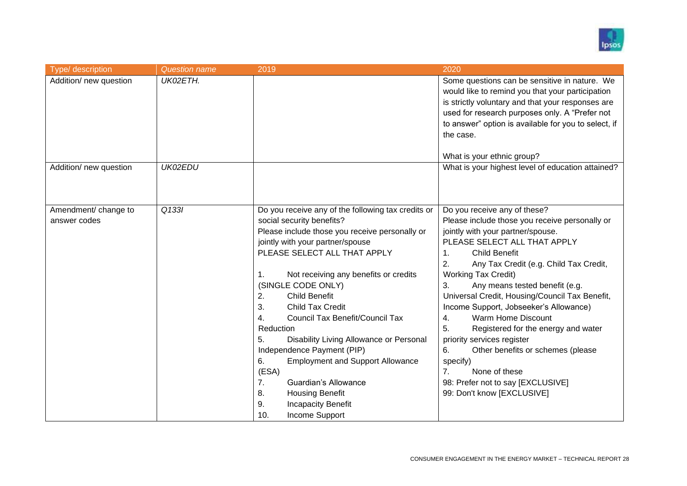

| Type/ description      | <b>Question name</b> | 2019                                                                                                                                                                                                                                                                                                                                                                                                                                                                                                                                                                                                                     | 2020                                                                                                                                                                                                                                                                                                                                                                                                                                                                                                                                                                                                                                    |
|------------------------|----------------------|--------------------------------------------------------------------------------------------------------------------------------------------------------------------------------------------------------------------------------------------------------------------------------------------------------------------------------------------------------------------------------------------------------------------------------------------------------------------------------------------------------------------------------------------------------------------------------------------------------------------------|-----------------------------------------------------------------------------------------------------------------------------------------------------------------------------------------------------------------------------------------------------------------------------------------------------------------------------------------------------------------------------------------------------------------------------------------------------------------------------------------------------------------------------------------------------------------------------------------------------------------------------------------|
| Addition/ new question | UK02ETH.             |                                                                                                                                                                                                                                                                                                                                                                                                                                                                                                                                                                                                                          | Some questions can be sensitive in nature. We<br>would like to remind you that your participation<br>is strictly voluntary and that your responses are<br>used for research purposes only. A "Prefer not<br>to answer" option is available for you to select, if<br>the case.<br>What is your ethnic group?                                                                                                                                                                                                                                                                                                                             |
| Addition/ new question | UK02EDU              |                                                                                                                                                                                                                                                                                                                                                                                                                                                                                                                                                                                                                          | What is your highest level of education attained?                                                                                                                                                                                                                                                                                                                                                                                                                                                                                                                                                                                       |
| Amendment/ change to   | Q133I                | Do you receive any of the following tax credits or                                                                                                                                                                                                                                                                                                                                                                                                                                                                                                                                                                       | Do you receive any of these?                                                                                                                                                                                                                                                                                                                                                                                                                                                                                                                                                                                                            |
| answer codes           |                      | social security benefits?<br>Please include those you receive personally or<br>jointly with your partner/spouse<br>PLEASE SELECT ALL THAT APPLY<br>Not receiving any benefits or credits<br>$\mathbf{1}$ .<br>(SINGLE CODE ONLY)<br><b>Child Benefit</b><br>2.<br>3.<br><b>Child Tax Credit</b><br>4.<br>Council Tax Benefit/Council Tax<br>Reduction<br>5.<br>Disability Living Allowance or Personal<br>Independence Payment (PIP)<br>6.<br><b>Employment and Support Allowance</b><br>(ESA)<br>7.<br>Guardian's Allowance<br>8.<br><b>Housing Benefit</b><br>9.<br><b>Incapacity Benefit</b><br>Income Support<br>10. | Please include those you receive personally or<br>jointly with your partner/spouse.<br>PLEASE SELECT ALL THAT APPLY<br><b>Child Benefit</b><br>$\mathbf{1}$ .<br>2.<br>Any Tax Credit (e.g. Child Tax Credit,<br><b>Working Tax Credit)</b><br>3.<br>Any means tested benefit (e.g.<br>Universal Credit, Housing/Council Tax Benefit,<br>Income Support, Jobseeker's Allowance)<br>Warm Home Discount<br>4.<br>5.<br>Registered for the energy and water<br>priority services register<br>6.<br>Other benefits or schemes (please<br>specify)<br>None of these<br>7.<br>98: Prefer not to say [EXCLUSIVE]<br>99: Don't know [EXCLUSIVE] |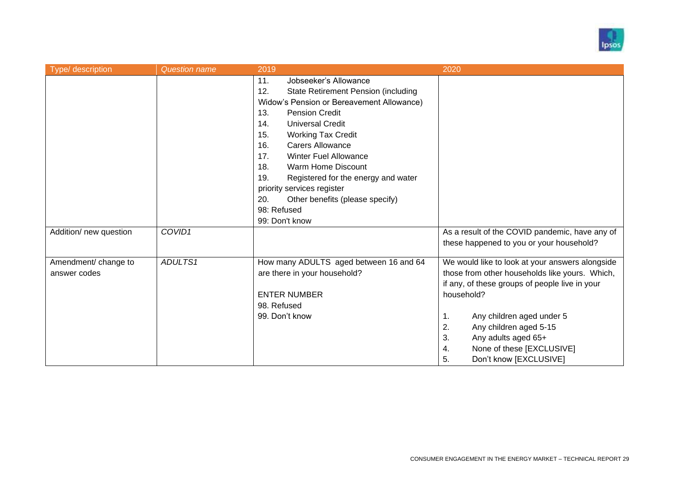

| Type/ description                    | <b>Question name</b> | 2019                                                                                                                                                                                                                                                                                                                                                                                            | 2020                                                                                                                                                                                                                                                                                                                                 |
|--------------------------------------|----------------------|-------------------------------------------------------------------------------------------------------------------------------------------------------------------------------------------------------------------------------------------------------------------------------------------------------------------------------------------------------------------------------------------------|--------------------------------------------------------------------------------------------------------------------------------------------------------------------------------------------------------------------------------------------------------------------------------------------------------------------------------------|
|                                      |                      | 11.<br>Jobseeker's Allowance<br><b>State Retirement Pension (including</b><br>12.<br>Widow's Pension or Bereavement Allowance)<br>13.<br><b>Pension Credit</b><br><b>Universal Credit</b><br>14.<br>15.<br><b>Working Tax Credit</b><br><b>Carers Allowance</b><br>16.<br><b>Winter Fuel Allowance</b><br>17.<br><b>Warm Home Discount</b><br>18.<br>Registered for the energy and water<br>19. |                                                                                                                                                                                                                                                                                                                                      |
|                                      |                      | priority services register<br>Other benefits (please specify)<br>20.<br>98: Refused<br>99: Don't know                                                                                                                                                                                                                                                                                           |                                                                                                                                                                                                                                                                                                                                      |
| Addition/ new question               | COVID1               |                                                                                                                                                                                                                                                                                                                                                                                                 | As a result of the COVID pandemic, have any of<br>these happened to you or your household?                                                                                                                                                                                                                                           |
| Amendment/ change to<br>answer codes | ADULTS1              | How many ADULTS aged between 16 and 64<br>are there in your household?<br><b>ENTER NUMBER</b><br>98. Refused<br>99. Don't know                                                                                                                                                                                                                                                                  | We would like to look at your answers alongside<br>those from other households like yours. Which,<br>if any, of these groups of people live in your<br>household?<br>Any children aged under 5<br>1.<br>2.<br>Any children aged 5-15<br>3.<br>Any adults aged 65+<br>None of these [EXCLUSIVE]<br>4.<br>5.<br>Don't know [EXCLUSIVE] |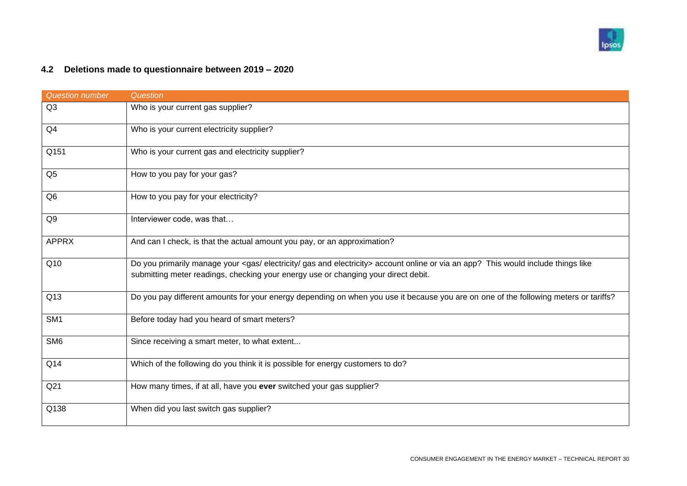

## **4.2 Deletions made to questionnaire between 2019 – 2020**

<span id="page-29-0"></span>

| <b>Question number</b> | Question                                                                                                                                                                                                                  |
|------------------------|---------------------------------------------------------------------------------------------------------------------------------------------------------------------------------------------------------------------------|
| Q3                     | Who is your current gas supplier?                                                                                                                                                                                         |
| Q4                     | Who is your current electricity supplier?                                                                                                                                                                                 |
| Q151                   | Who is your current gas and electricity supplier?                                                                                                                                                                         |
| Q <sub>5</sub>         | How to you pay for your gas?                                                                                                                                                                                              |
| Q <sub>6</sub>         | How to you pay for your electricity?                                                                                                                                                                                      |
| Q9                     | Interviewer code, was that                                                                                                                                                                                                |
| <b>APPRX</b>           | And can I check, is that the actual amount you pay, or an approximation?                                                                                                                                                  |
| Q10                    | Do you primarily manage your <gas and="" electricity="" gas=""> account online or via an app? This would include things like<br/>submitting meter readings, checking your energy use or changing your direct debit.</gas> |
| Q13                    | Do you pay different amounts for your energy depending on when you use it because you are on one of the following meters or tariffs?                                                                                      |
| SM <sub>1</sub>        | Before today had you heard of smart meters?                                                                                                                                                                               |
| SM <sub>6</sub>        | Since receiving a smart meter, to what extent                                                                                                                                                                             |
| Q14                    | Which of the following do you think it is possible for energy customers to do?                                                                                                                                            |
| Q <sub>21</sub>        | How many times, if at all, have you ever switched your gas supplier?                                                                                                                                                      |
| Q138                   | When did you last switch gas supplier?                                                                                                                                                                                    |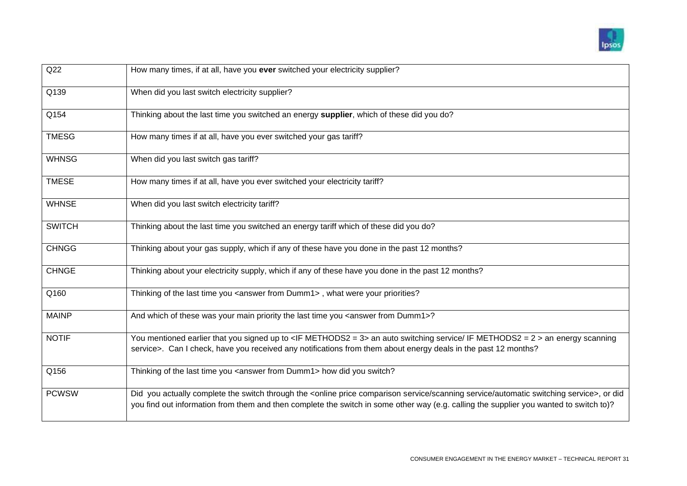

| Q22           | How many times, if at all, have you ever switched your electricity supplier?                                                                                                                                                                                                                  |
|---------------|-----------------------------------------------------------------------------------------------------------------------------------------------------------------------------------------------------------------------------------------------------------------------------------------------|
| Q139          | When did you last switch electricity supplier?                                                                                                                                                                                                                                                |
| Q154          | Thinking about the last time you switched an energy supplier, which of these did you do?                                                                                                                                                                                                      |
| <b>TMESG</b>  | How many times if at all, have you ever switched your gas tariff?                                                                                                                                                                                                                             |
| <b>WHNSG</b>  | When did you last switch gas tariff?                                                                                                                                                                                                                                                          |
| <b>TMESE</b>  | How many times if at all, have you ever switched your electricity tariff?                                                                                                                                                                                                                     |
| <b>WHNSE</b>  | When did you last switch electricity tariff?                                                                                                                                                                                                                                                  |
| <b>SWITCH</b> | Thinking about the last time you switched an energy tariff which of these did you do?                                                                                                                                                                                                         |
| <b>CHNGG</b>  | Thinking about your gas supply, which if any of these have you done in the past 12 months?                                                                                                                                                                                                    |
| <b>CHNGE</b>  | Thinking about your electricity supply, which if any of these have you done in the past 12 months?                                                                                                                                                                                            |
| Q160          | Thinking of the last time you <answer dumm1="" from="">, what were your priorities?</answer>                                                                                                                                                                                                  |
| <b>MAINP</b>  | And which of these was your main priority the last time you <answer dumm1="" from="">?</answer>                                                                                                                                                                                               |
| <b>NOTIF</b>  | You mentioned earlier that you signed up to <if methods2="3"> an auto switching service/ IF METHODS2 = 2 &gt; an energy scanning<br/>service&gt;. Can I check, have you received any notifications from them about energy deals in the past 12 months?</if>                                   |
| Q156          | Thinking of the last time you <answer dumm1="" from=""> how did you switch?</answer>                                                                                                                                                                                                          |
| <b>PCWSW</b>  | Did you actually complete the switch through the <online automatic="" comparison="" price="" scanning="" service="" switching="">, or did<br/>you find out information from them and then complete the switch in some other way (e.g. calling the supplier you wanted to switch to)?</online> |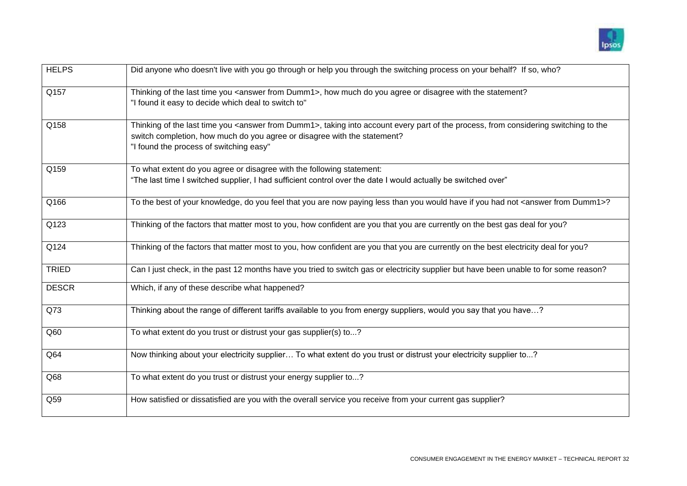

| <b>HELPS</b> | Did anyone who doesn't live with you go through or help you through the switching process on your behalf? If so, who?                                                                                                                                                       |
|--------------|-----------------------------------------------------------------------------------------------------------------------------------------------------------------------------------------------------------------------------------------------------------------------------|
| Q157         | Thinking of the last time you <answer dumm1="" from="">, how much do you agree or disagree with the statement?<br/>"I found it easy to decide which deal to switch to"</answer>                                                                                             |
| Q158         | Thinking of the last time you <answer dumm1="" from="">, taking into account every part of the process, from considering switching to the<br/>switch completion, how much do you agree or disagree with the statement?<br/>"I found the process of switching easy"</answer> |
| Q159         | To what extent do you agree or disagree with the following statement:<br>"The last time I switched supplier, I had sufficient control over the date I would actually be switched over"                                                                                      |
| Q166         | To the best of your knowledge, do you feel that you are now paying less than you would have if you had not <answer dumm1="" from="">?</answer>                                                                                                                              |
| Q123         | Thinking of the factors that matter most to you, how confident are you that you are currently on the best gas deal for you?                                                                                                                                                 |
| Q124         | Thinking of the factors that matter most to you, how confident are you that you are currently on the best electricity deal for you?                                                                                                                                         |
| <b>TRIED</b> | Can I just check, in the past 12 months have you tried to switch gas or electricity supplier but have been unable to for some reason?                                                                                                                                       |
| <b>DESCR</b> | Which, if any of these describe what happened?                                                                                                                                                                                                                              |
| Q73          | Thinking about the range of different tariffs available to you from energy suppliers, would you say that you have?                                                                                                                                                          |
| Q60          | To what extent do you trust or distrust your gas supplier(s) to?                                                                                                                                                                                                            |
| Q64          | Now thinking about your electricity supplier To what extent do you trust or distrust your electricity supplier to?                                                                                                                                                          |
| Q68          | To what extent do you trust or distrust your energy supplier to?                                                                                                                                                                                                            |
| Q59          | How satisfied or dissatisfied are you with the overall service you receive from your current gas supplier?                                                                                                                                                                  |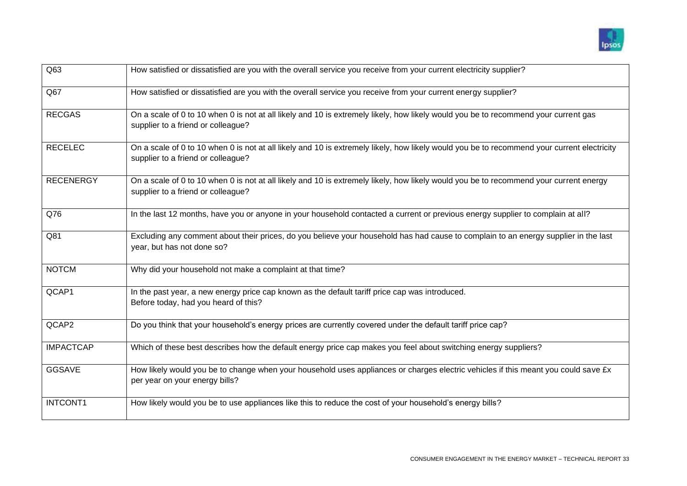

| Q63              | How satisfied or dissatisfied are you with the overall service you receive from your current electricity supplier?                                                                |
|------------------|-----------------------------------------------------------------------------------------------------------------------------------------------------------------------------------|
| Q67              | How satisfied or dissatisfied are you with the overall service you receive from your current energy supplier?                                                                     |
| <b>RECGAS</b>    | On a scale of 0 to 10 when 0 is not at all likely and 10 is extremely likely, how likely would you be to recommend your current gas<br>supplier to a friend or colleague?         |
| <b>RECELEC</b>   | On a scale of 0 to 10 when 0 is not at all likely and 10 is extremely likely, how likely would you be to recommend your current electricity<br>supplier to a friend or colleague? |
| <b>RECENERGY</b> | On a scale of 0 to 10 when 0 is not at all likely and 10 is extremely likely, how likely would you be to recommend your current energy<br>supplier to a friend or colleague?      |
| Q76              | In the last 12 months, have you or anyone in your household contacted a current or previous energy supplier to complain at all?                                                   |
| Q81              | Excluding any comment about their prices, do you believe your household has had cause to complain to an energy supplier in the last<br>year, but has not done so?                 |
| <b>NOTCM</b>     | Why did your household not make a complaint at that time?                                                                                                                         |
| QCAP1            | In the past year, a new energy price cap known as the default tariff price cap was introduced.<br>Before today, had you heard of this?                                            |
| QCAP2            | Do you think that your household's energy prices are currently covered under the default tariff price cap?                                                                        |
| <b>IMPACTCAP</b> | Which of these best describes how the default energy price cap makes you feel about switching energy suppliers?                                                                   |
| <b>GGSAVE</b>    | How likely would you be to change when your household uses appliances or charges electric vehicles if this meant you could save £x<br>per year on your energy bills?              |
| <b>INTCONT1</b>  | How likely would you be to use appliances like this to reduce the cost of your household's energy bills?                                                                          |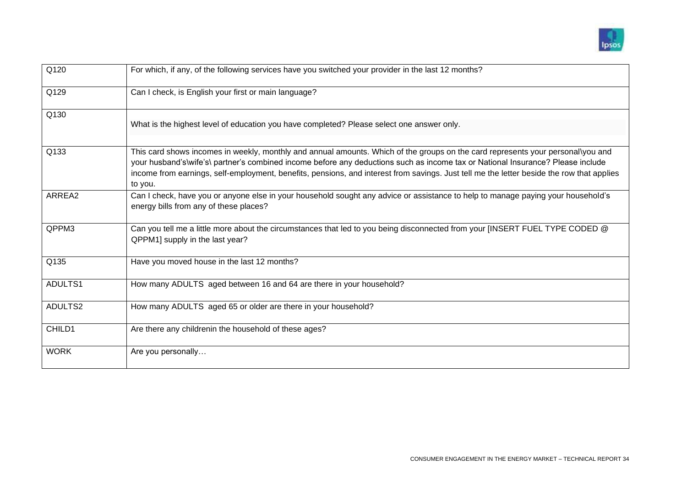

| Q120        | For which, if any, of the following services have you switched your provider in the last 12 months?                                                                                                                                                                                                                                                                                                                        |
|-------------|----------------------------------------------------------------------------------------------------------------------------------------------------------------------------------------------------------------------------------------------------------------------------------------------------------------------------------------------------------------------------------------------------------------------------|
| Q129        | Can I check, is English your first or main language?                                                                                                                                                                                                                                                                                                                                                                       |
| Q130        | What is the highest level of education you have completed? Please select one answer only.                                                                                                                                                                                                                                                                                                                                  |
| Q133        | This card shows incomes in weekly, monthly and annual amounts. Which of the groups on the card represents your personal\you and<br>your husband's\wife's\ partner's combined income before any deductions such as income tax or National Insurance? Please include<br>income from earnings, self-employment, benefits, pensions, and interest from savings. Just tell me the letter beside the row that applies<br>to you. |
| ARREA2      | Can I check, have you or anyone else in your household sought any advice or assistance to help to manage paying your household's<br>energy bills from any of these places?                                                                                                                                                                                                                                                 |
| QPPM3       | Can you tell me a little more about the circumstances that led to you being disconnected from your [INSERT FUEL TYPE CODED @<br>QPPM1] supply in the last year?                                                                                                                                                                                                                                                            |
| Q135        | Have you moved house in the last 12 months?                                                                                                                                                                                                                                                                                                                                                                                |
| ADULTS1     | How many ADULTS aged between 16 and 64 are there in your household?                                                                                                                                                                                                                                                                                                                                                        |
| ADULTS2     | How many ADULTS aged 65 or older are there in your household?                                                                                                                                                                                                                                                                                                                                                              |
| CHILD1      | Are there any childrenin the household of these ages?                                                                                                                                                                                                                                                                                                                                                                      |
| <b>WORK</b> | Are you personally                                                                                                                                                                                                                                                                                                                                                                                                         |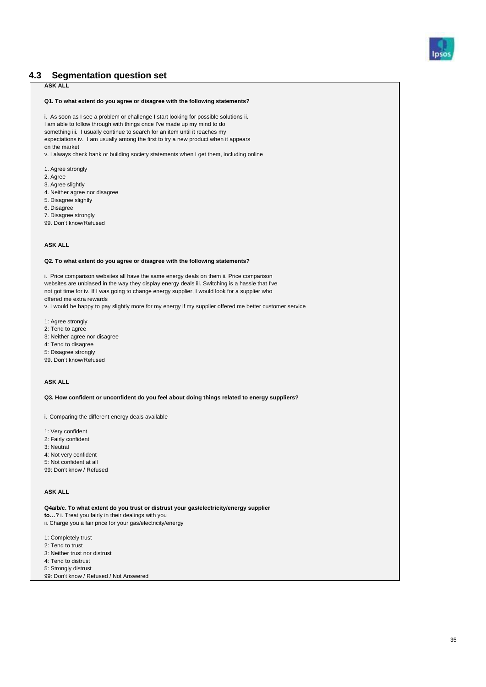

#### <span id="page-34-0"></span>**4.3 Segmentation question set**

#### **ASK ALL**

#### **Q1. To what extent do you agree or disagree with the following statements?**

i. As soon as I see a problem or challenge I start looking for possible solutions ii. I am able to follow through with things once I've made up my mind to do something iii. I usually continue to search for an item until it reaches my expectations iv. I am usually among the first to try a new product when it appears on the market

v. I always check bank or building society statements when I get them, including online

- 1. Agree strongly
- 2. Agree
- 3. Agree slightly
- 4. Neither agree nor disagree
- 5. Disagree slightly
- 6. Disagree
- 7. Disagree strongly

99. Don't know/Refused

#### **ASK ALL**

#### **Q2. To what extent do you agree or disagree with the following statements?**

i. Price comparison websites all have the same energy deals on them ii. Price comparison websites are unbiased in the way they display energy deals iii. Switching is a hassle that I've not got time for iv. If I was going to change energy supplier, I would look for a supplier who offered me extra rewards

v. I would be happy to pay slightly more for my energy if my supplier offered me better customer service

- 1: Agree strongly
- 2: Tend to agree
- 3: Neither agree nor disagree
- 4: Tend to disagree
- 5: Disagree strongly
- 99. Don't know/Refused

#### **ASK ALL**

**Q3. How confident or unconfident do you feel about doing things related to energy suppliers?**

i. Comparing the different energy deals available

- 1: Very confident
- 2: Fairly confident
- 3: Neutral
- 4: Not very confident
- 5: Not confident at all
- 99: Don't know / Refused

#### **ASK ALL**

**Q4a/b/c. To what extent do you trust or distrust your gas/electricity/energy supplier to…?** i. Treat you fairly in their dealings with you ii. Charge you a fair price for your gas/electricity/energy

- 1: Completely trust
- 2: Tend to trust
- 3: Neither trust nor distrust
- 4: Tend to distrust
- 5: Strongly distrust
- 99: Don't know / Refused / Not Answered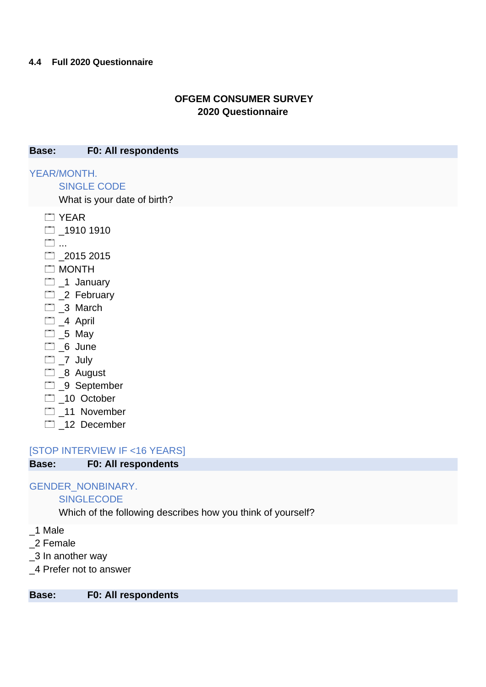## **OFGEM CONSUMER SURVEY 2020 Questionnaire**

<span id="page-35-0"></span>**Base: F0: All respondents**

YEAR/MONTH.

SINGLE CODE

What is your date of birth?

- **T** YEAR
- $\Box$  1910 1910
- ...
- $2015 2015$
- **MONTH**
- $\Box$  1 January
- 2 February
- \_3 March
- $\Box$  4 April
- $\Box$  \_5 May
- $\Box$  6 June
- $\Box$   $\Box$  July
- **D** 8 August
- □ 9 September
- 10 October
- 11 November
- 12 December

[STOP INTERVIEW IF <16 YEARS]

**Base: F0: All respondents**

## GENDER\_NONBINARY.

## **SINGLECODE**

Which of the following describes how you think of yourself?

- \_1 Male
- \_2 Female
- \_3 In another way
- \_4 Prefer not to answer

**Base: F0: All respondents**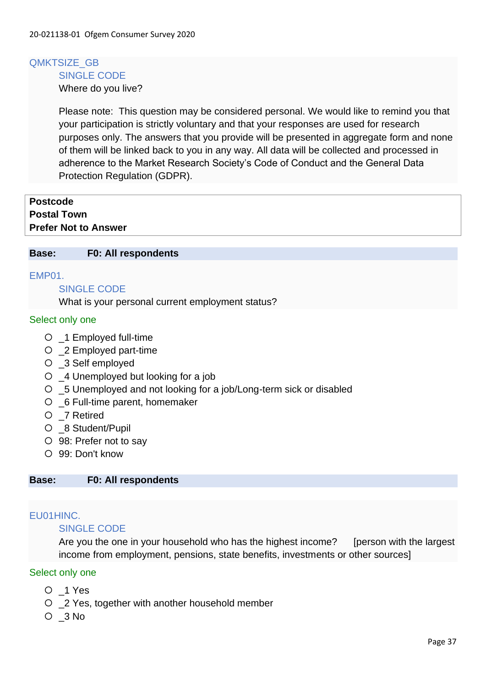#### QMKTSIZE\_GB SINGLE CODE

Where do you live?

Please note: This question may be considered personal. We would like to remind you that your participation is strictly voluntary and that your responses are used for research purposes only. The answers that you provide will be presented in aggregate form and none of them will be linked back to you in any way. All data will be collected and processed in adherence to the Market Research Society's Code of Conduct and the General Data Protection Regulation (GDPR).

| <b>Postcode</b>             |  |  |
|-----------------------------|--|--|
| <b>Postal Town</b>          |  |  |
| <b>Prefer Not to Answer</b> |  |  |

#### **Base: F0: All respondents**

#### EMP01.

#### SINGLE CODE

What is your personal current employment status?

#### Select only one

- \_1 Employed full-time
- \_2 Employed part-time
- \_3 Self employed
- \_4 Unemployed but looking for a job
- \_5 Unemployed and not looking for a job/Long-term sick or disabled
- \_6 Full-time parent, homemaker
- \_7 Retired
- \_8 Student/Pupil
- 98: Prefer not to say
- 99: Don't know

#### **Base: F0: All respondents**

### EU01HINC.

### SINGLE CODE

Are you the one in your household who has the highest income? [person with the largest income from employment, pensions, state benefits, investments or other sources]

#### Select only one

- \_1 Yes
- \_2 Yes, together with another household member
- $O<sub>3</sub>$  No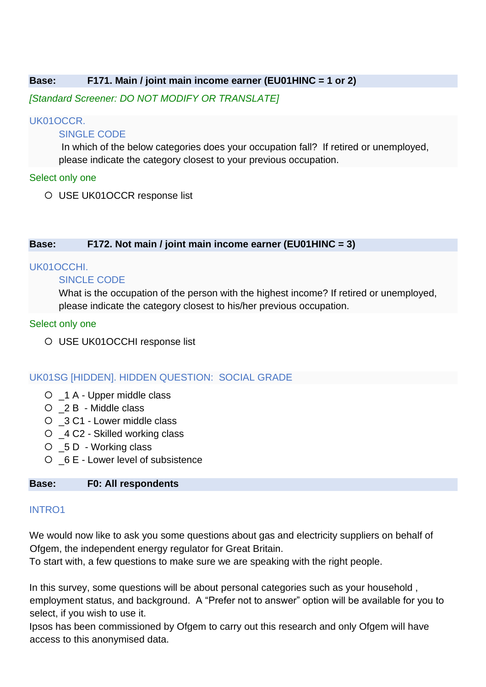### **Base: F171. Main / joint main income earner (EU01HINC = 1 or 2)**

*[Standard Screener: DO NOT MODIFY OR TRANSLATE]*

### UK01OCCR.

### SINGLE CODE

In which of the below categories does your occupation fall? If retired or unemployed, please indicate the category closest to your previous occupation.

### Select only one

USE UK01OCCR response list

### **Base: F172. Not main / joint main income earner (EU01HINC = 3)**

#### UK01OCCHI.

### SINCLE CODE

What is the occupation of the person with the highest income? If retired or unemployed, please indicate the category closest to his/her previous occupation.

### Select only one

USE UK01OCCHI response list

### UK01SG [HIDDEN]. HIDDEN QUESTION: SOCIAL GRADE

- \_1 A Upper middle class
- \_2 B Middle class
- \_3 C1 Lower middle class
- \_4 C2 Skilled working class
- \_5 D Working class
- \_6 E Lower level of subsistence

### **Base: F0: All respondents**

### INTRO1

We would now like to ask you some questions about gas and electricity suppliers on behalf of Ofgem, the independent energy regulator for Great Britain.

To start with, a few questions to make sure we are speaking with the right people.

In this survey, some questions will be about personal categories such as your household , employment status, and background. A "Prefer not to answer" option will be available for you to select, if you wish to use it.

Ipsos has been commissioned by Ofgem to carry out this research and only Ofgem will have access to this anonymised data.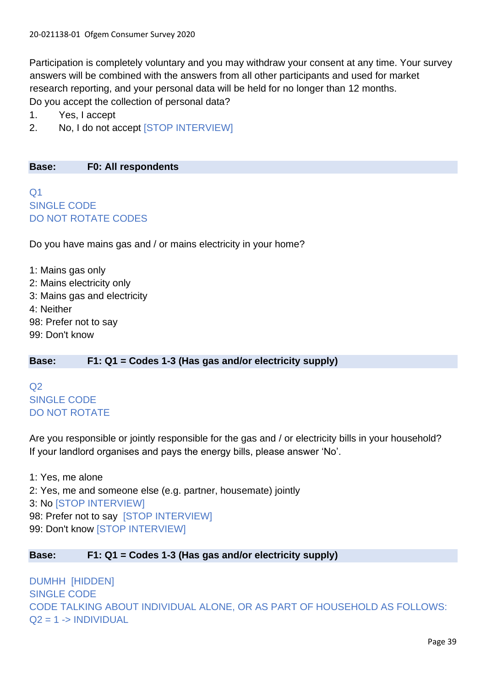Participation is completely voluntary and you may withdraw your consent at any time. Your survey answers will be combined with the answers from all other participants and used for market research reporting, and your personal data will be held for no longer than 12 months. Do you accept the collection of personal data?

- 1. Yes, I accept
- 2. No, I do not accept [STOP INTERVIEW]

**Base: F0: All respondents**

 $O<sub>1</sub>$ SINGLE CODE DO NOT ROTATE CODES

Do you have mains gas and / or mains electricity in your home?

1: Mains gas only 2: Mains electricity only 3: Mains gas and electricity 4: Neither 98: Prefer not to say 99: Don't know

### **Base: F1: Q1 = Codes 1-3 (Has gas and/or electricity supply)**

 $Q<sub>2</sub>$ SINGLE CODE DO NOT ROTATE

Are you responsible or jointly responsible for the gas and / or electricity bills in your household? If your landlord organises and pays the energy bills, please answer 'No'.

1: Yes, me alone 2: Yes, me and someone else (e.g. partner, housemate) jointly 3: No [STOP INTERVIEW] 98: Prefer not to say [STOP INTERVIEW] 99: Don't know [STOP INTERVIEW]

### **Base: F1: Q1 = Codes 1-3 (Has gas and/or electricity supply)**

DUMHH [HIDDEN] SINGLE CODE CODE TALKING ABOUT INDIVIDUAL ALONE, OR AS PART OF HOUSEHOLD AS FOLLOWS:  $Q2 = 1$  -> INDIVIDUAL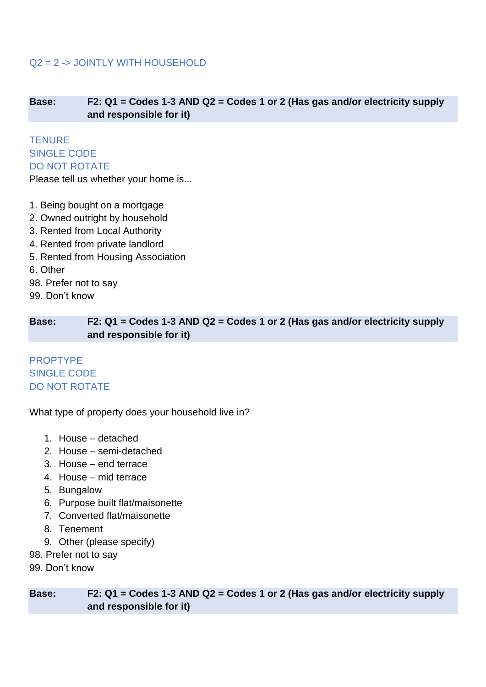# Q2 = 2 -> JOINTLY WITH HOUSEHOLD

**Base: F2: Q1 = Codes 1-3 AND Q2 = Codes 1 or 2 (Has gas and/or electricity supply and responsible for it)**

**TENURE** SINGLE CODE DO NOT ROTATE

Please tell us whether your home is...

- 1. Being bought on a mortgage
- 2. Owned outright by household
- 3. Rented from Local Authority
- 4. Rented from private landlord
- 5. Rented from Housing Association
- 6. Other
- 98. Prefer not to say
- 99. Don't know

**Base: F2: Q1 = Codes 1-3 AND Q2 = Codes 1 or 2 (Has gas and/or electricity supply and responsible for it)**

PROPTYPE SINGLE CODE DO NOT ROTATE

What type of property does your household live in?

- 1. House detached
- 2. House semi-detached
- 3. House end terrace
- 4. House mid terrace
- 5. Bungalow
- 6. Purpose built flat/maisonette
- 7. Converted flat/maisonette
- 8. Tenement
- 9. Other (please specify)
- 98. Prefer not to say
- 99. Don't know

**Base: F2: Q1 = Codes 1-3 AND Q2 = Codes 1 or 2 (Has gas and/or electricity supply and responsible for it)**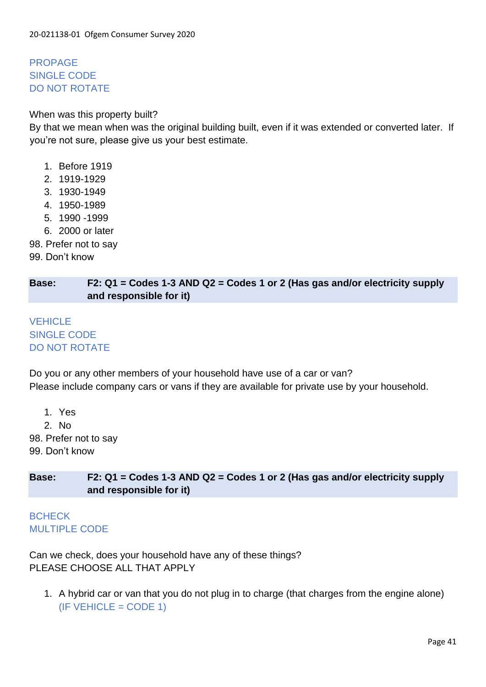PROPAGE SINGLE CODE DO NOT ROTATE

### When was this property built?

By that we mean when was the original building built, even if it was extended or converted later. If you're not sure, please give us your best estimate.

- 1. Before 1919
- 2. 1919-1929
- 3. 1930-1949
- 4. 1950-1989
- 5. 1990 -1999
- 6. 2000 or later
- 98. Prefer not to say
- 99. Don't know

### **Base: F2: Q1 = Codes 1-3 AND Q2 = Codes 1 or 2 (Has gas and/or electricity supply and responsible for it)**

# **VEHICLE** SINGLE CODE DO NOT ROTATE

Do you or any other members of your household have use of a car or van? Please include company cars or vans if they are available for private use by your household.

1. Yes 2. No

98. Prefer not to say

99. Don't know

**Base: F2: Q1 = Codes 1-3 AND Q2 = Codes 1 or 2 (Has gas and/or electricity supply and responsible for it)**

**BCHECK** MULTIPLE CODE

Can we check, does your household have any of these things? PLEASE CHOOSE ALL THAT APPLY

1. A hybrid car or van that you do not plug in to charge (that charges from the engine alone)  $(IF VEHICLE = CODE 1)$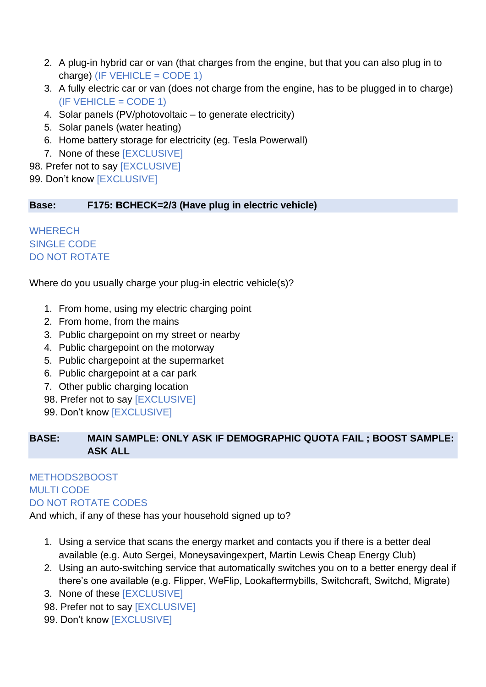- 2. A plug-in hybrid car or van (that charges from the engine, but that you can also plug in to charge) (IF VEHICLE = CODE 1)
- 3. A fully electric car or van (does not charge from the engine, has to be plugged in to charge)  $(IF VEHICLE = CODE 1)$
- 4. Solar panels (PV/photovoltaic to generate electricity)
- 5. Solar panels (water heating)
- 6. Home battery storage for electricity (eg. Tesla Powerwall)
- 7. None of these [EXCLUSIVE]
- 98. Prefer not to say [EXCLUSIVE]
- 99. Don't know [EXCLUSIVE]

### **Base: F175: BCHECK=2/3 (Have plug in electric vehicle)**

### **WHERECH** SINGLE CODE DO NOT ROTATE

### Where do you usually charge your plug-in electric vehicle(s)?

- 1. From home, using my electric charging point
- 2. From home, from the mains
- 3. Public chargepoint on my street or nearby
- 4. Public chargepoint on the motorway
- 5. Public chargepoint at the supermarket
- 6. Public chargepoint at a car park
- 7. Other public charging location
- 98. Prefer not to say [EXCLUSIVE]
- 99. Don't know [EXCLUSIVE]

# **BASE: MAIN SAMPLE: ONLY ASK IF DEMOGRAPHIC QUOTA FAIL ; BOOST SAMPLE: ASK ALL**

# METHODS2BOOST MULTI CODE DO NOT ROTATE CODES

And which, if any of these has your household signed up to?

- 1. Using a service that scans the energy market and contacts you if there is a better deal available (e.g. Auto Sergei, Moneysavingexpert, Martin Lewis Cheap Energy Club)
- 2. Using an auto-switching service that automatically switches you on to a better energy deal if there's one available (e.g. Flipper, WeFlip, Lookaftermybills, Switchcraft, Switchd, Migrate)
- 3. None of these [EXCLUSIVE]
- 98. Prefer not to say [EXCLUSIVE]
- 99. Don't know [EXCLUSIVE]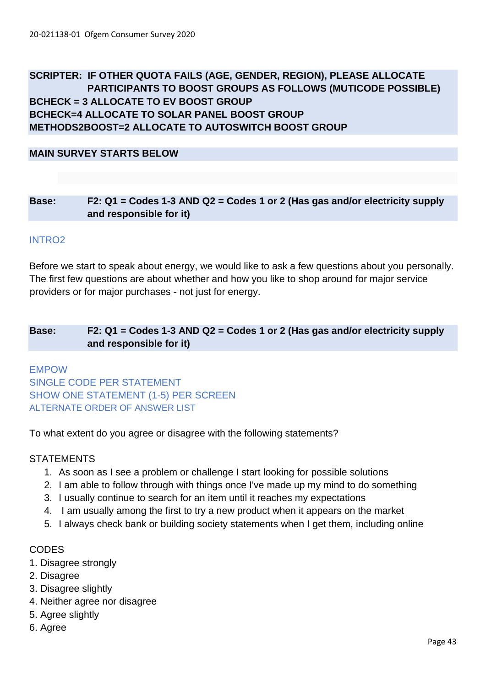# **SCRIPTER: IF OTHER QUOTA FAILS (AGE, GENDER, REGION), PLEASE ALLOCATE PARTICIPANTS TO BOOST GROUPS AS FOLLOWS (MUTICODE POSSIBLE) BCHECK = 3 ALLOCATE TO EV BOOST GROUP BCHECK=4 ALLOCATE TO SOLAR PANEL BOOST GROUP METHODS2BOOST=2 ALLOCATE TO AUTOSWITCH BOOST GROUP**

**MAIN SURVEY STARTS BELOW**

### **Base: F2: Q1 = Codes 1-3 AND Q2 = Codes 1 or 2 (Has gas and/or electricity supply and responsible for it)**

#### INTRO2

Before we start to speak about energy, we would like to ask a few questions about you personally. The first few questions are about whether and how you like to shop around for major service providers or for major purchases - not just for energy.

### **Base: F2: Q1 = Codes 1-3 AND Q2 = Codes 1 or 2 (Has gas and/or electricity supply and responsible for it)**

# EMPOW SINGLE CODE PER STATEMENT SHOW ONE STATEMENT (1-5) PER SCREEN ALTERNATE ORDER OF ANSWER LIST

To what extent do you agree or disagree with the following statements?

### **STATEMENTS**

- 1. As soon as I see a problem or challenge I start looking for possible solutions
- 2. I am able to follow through with things once I've made up my mind to do something
- 3. I usually continue to search for an item until it reaches my expectations
- 4. I am usually among the first to try a new product when it appears on the market
- 5. I always check bank or building society statements when I get them, including online

### **CODES**

- 1. Disagree strongly
- 2. Disagree
- 3. Disagree slightly
- 4. Neither agree nor disagree
- 5. Agree slightly
- 6. Agree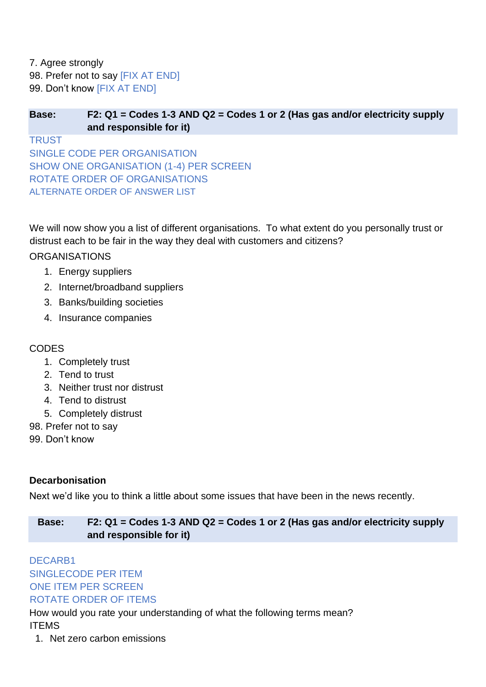7. Agree strongly 98. Prefer not to say [FIX AT END] 99. Don't know [FIX AT END]

## **Base: F2: Q1 = Codes 1-3 AND Q2 = Codes 1 or 2 (Has gas and/or electricity supply and responsible for it)**

**TRUST** SINGLE CODE PER ORGANISATION SHOW ONE ORGANISATION (1-4) PER SCREEN ROTATE ORDER OF ORGANISATIONS ALTERNATE ORDER OF ANSWER LIST

We will now show you a list of different organisations. To what extent do you personally trust or distrust each to be fair in the way they deal with customers and citizens?

# **ORGANISATIONS**

- 1. Energy suppliers
- 2. Internet/broadband suppliers
- 3. Banks/building societies
- 4. Insurance companies

# **CODES**

- 1. Completely trust
- 2. Tend to trust
- 3. Neither trust nor distrust
- 4. Tend to distrust
- 5. Completely distrust
- 98. Prefer not to say
- 99. Don't know

# **Decarbonisation**

Next we'd like you to think a little about some issues that have been in the news recently.

# **Base: F2: Q1 = Codes 1-3 AND Q2 = Codes 1 or 2 (Has gas and/or electricity supply and responsible for it)**

# DECARB1 SINGLECODE PER ITEM ONE ITEM PER SCREEN ROTATE ORDER OF ITEMS

How would you rate your understanding of what the following terms mean? ITEMS

1. Net zero carbon emissions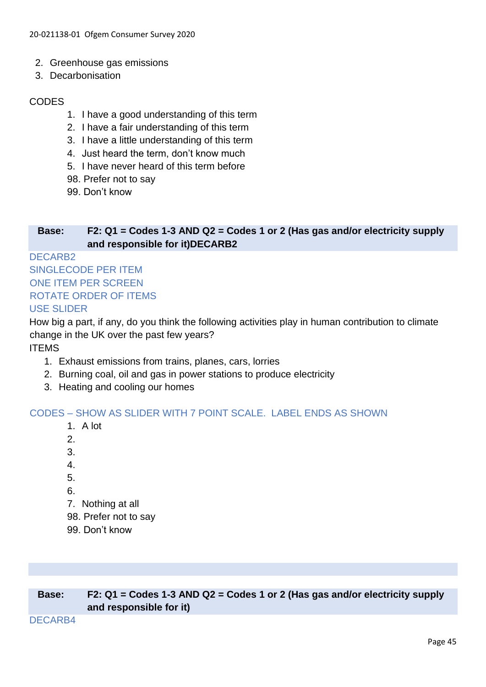- 2. Greenhouse gas emissions
- 3. Decarbonisation

### CODES

- 1. I have a good understanding of this term
- 2. I have a fair understanding of this term
- 3. I have a little understanding of this term
- 4. Just heard the term, don't know much
- 5. I have never heard of this term before
- 98. Prefer not to say
- 99. Don't know

### **Base: F2: Q1 = Codes 1-3 AND Q2 = Codes 1 or 2 (Has gas and/or electricity supply and responsible for it)DECARB2**

# DECARB2 SINGLECODE PER ITEM ONE ITEM PER SCREEN ROTATE ORDER OF ITEMS

### USE SLIDER

How big a part, if any, do you think the following activities play in human contribution to climate change in the UK over the past few years?

ITEMS

- 1. Exhaust emissions from trains, planes, cars, lorries
- 2. Burning coal, oil and gas in power stations to produce electricity
- 3. Heating and cooling our homes

### CODES – SHOW AS SLIDER WITH 7 POINT SCALE. LABEL ENDS AS SHOWN

- 1. A lot
- 2.
- 3.
- 4.
- 5.
- 6.
- 7. Nothing at all
- 98. Prefer not to say
- 99. Don't know

| Base: | F2: $Q1 =$ Codes 1-3 AND $Q2 =$ Codes 1 or 2 (Has gas and/or electricity supply |  |  |
|-------|---------------------------------------------------------------------------------|--|--|
|       | and responsible for it)                                                         |  |  |

#### DECARB4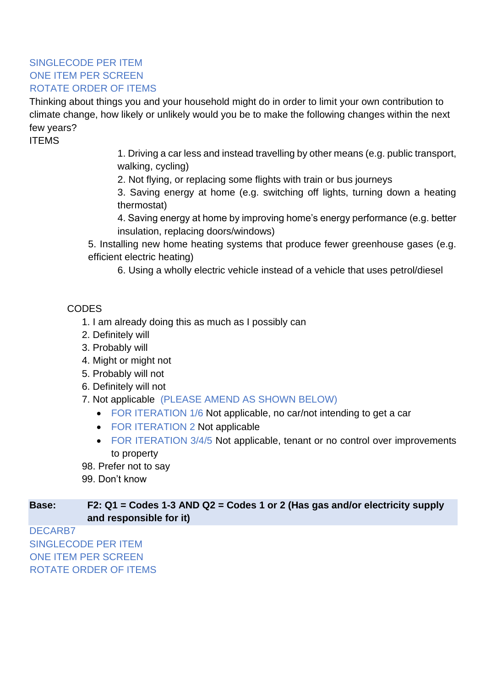# SINGLECODE PER ITEM ONE ITEM PER SCREEN ROTATE ORDER OF ITEMS

Thinking about things you and your household might do in order to limit your own contribution to climate change, how likely or unlikely would you be to make the following changes within the next few years?

ITEMS

1. Driving a car less and instead travelling by other means (e.g. public transport, walking, cycling)

2. Not flying, or replacing some flights with train or bus journeys

3. Saving energy at home (e.g. switching off lights, turning down a heating thermostat)

4. Saving energy at home by improving home's energy performance (e.g. better insulation, replacing doors/windows)

5. Installing new home heating systems that produce fewer greenhouse gases (e.g. efficient electric heating)

6. Using a wholly electric vehicle instead of a vehicle that uses petrol/diesel

# CODES

- 1. I am already doing this as much as I possibly can
- 2. Definitely will
- 3. Probably will
- 4. Might or might not
- 5. Probably will not
- 6. Definitely will not
- 7. Not applicable (PLEASE AMEND AS SHOWN BELOW)
	- FOR ITERATION 1/6 Not applicable, no car/not intending to get a car
	- FOR ITERATION 2 Not applicable
	- FOR ITERATION 3/4/5 Not applicable, tenant or no control over improvements to property
- 98. Prefer not to say
- 99. Don't know

### **Base: F2: Q1 = Codes 1-3 AND Q2 = Codes 1 or 2 (Has gas and/or electricity supply and responsible for it)**

DECARB7 SINGLECODE PER ITEM ONE ITEM PER SCREEN ROTATE ORDER OF ITEMS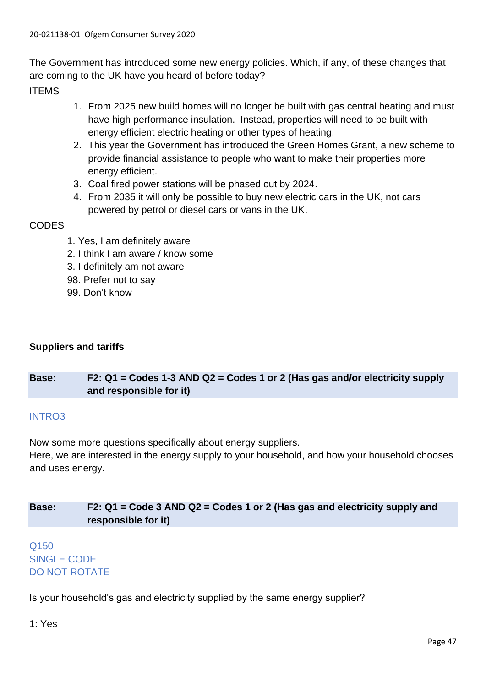The Government has introduced some new energy policies. Which, if any, of these changes that are coming to the UK have you heard of before today?

ITEMS

- 1. From 2025 new build homes will no longer be built with gas central heating and must have high performance insulation. Instead, properties will need to be built with energy efficient electric heating or other types of heating.
- 2. This year the Government has introduced the Green Homes Grant, a new scheme to provide financial assistance to people who want to make their properties more energy efficient.
- 3. Coal fired power stations will be phased out by 2024.
- 4. From 2035 it will only be possible to buy new electric cars in the UK, not cars powered by petrol or diesel cars or vans in the UK.

### **CODES**

- 1. Yes, I am definitely aware
- 2. I think I am aware / know some
- 3. I definitely am not aware
- 98. Prefer not to say
- 99. Don't know

# **Suppliers and tariffs**

# **Base: F2: Q1 = Codes 1-3 AND Q2 = Codes 1 or 2 (Has gas and/or electricity supply and responsible for it)**

### INTRO3

Now some more questions specifically about energy suppliers.

Here, we are interested in the energy supply to your household, and how your household chooses and uses energy.

# **Base: F2: Q1 = Code 3 AND Q2 = Codes 1 or 2 (Has gas and electricity supply and responsible for it)**

# Q150 SINGLE CODE DO NOT ROTATE

Is your household's gas and electricity supplied by the same energy supplier?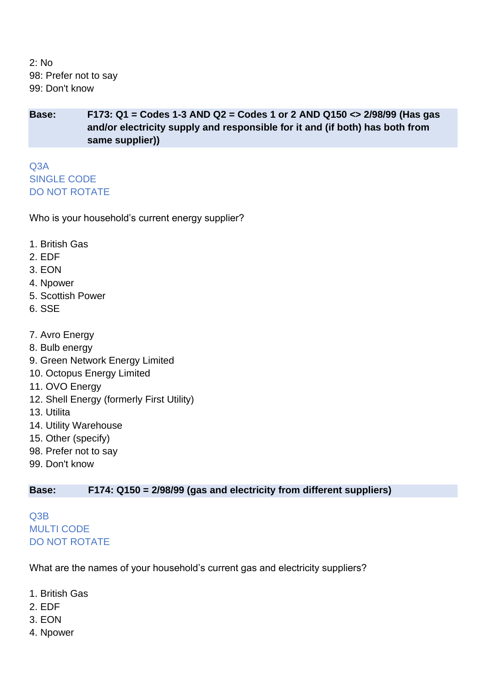2: No 98: Prefer not to say 99: Don't know

**Base: F173: Q1 = Codes 1-3 AND Q2 = Codes 1 or 2 AND Q150 <> 2/98/99 (Has gas and/or electricity supply and responsible for it and (if both) has both from same supplier))**

Q3A SINGLE CODE DO NOT ROTATE

Who is your household's current energy supplier?

- 1. British Gas
- 2. EDF
- 3. EON
- 4. Npower
- 5. Scottish Power
- 6. SSE
- 7. Avro Energy
- 8. Bulb energy
- 9. Green Network Energy Limited
- 10. Octopus Energy Limited
- 11. OVO Energy
- 12. Shell Energy (formerly First Utility)
- 13. Utilita
- 14. Utility Warehouse
- 15. Other (specify)
- 98. Prefer not to say
- 99. Don't know

### **Base: F174: Q150 = 2/98/99 (gas and electricity from different suppliers)**

Q3B MULTI CODE DO NOT ROTATE

What are the names of your household's current gas and electricity suppliers?

- 1. British Gas
- 2. EDF
- 3. EON
- 4. Npower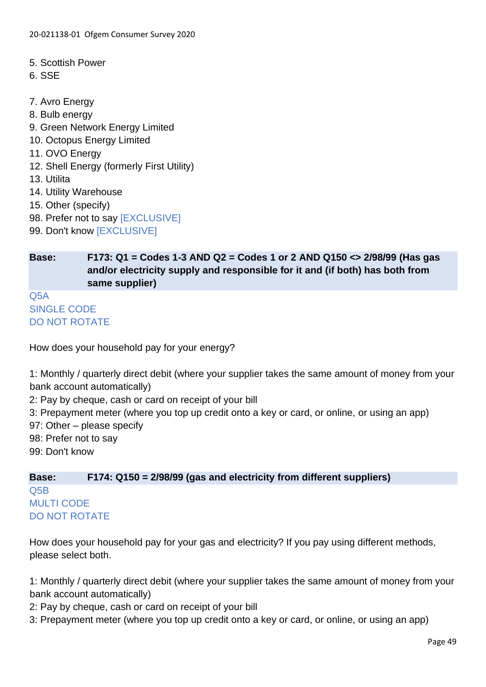- 5. Scottish Power
- 6. SSE
- 7. Avro Energy
- 8. Bulb energy
- 9. Green Network Energy Limited
- 10. Octopus Energy Limited
- 11. OVO Energy
- 12. Shell Energy (formerly First Utility)
- 13. Utilita
- 14. Utility Warehouse
- 15. Other (specify)
- 98. Prefer not to say [EXCLUSIVE]
- 99. Don't know [EXCLUSIVE]

**Base: F173: Q1 = Codes 1-3 AND Q2 = Codes 1 or 2 AND Q150 <> 2/98/99 (Has gas and/or electricity supply and responsible for it and (if both) has both from same supplier)**

Q5A SINGLE CODE DO NOT ROTATE

How does your household pay for your energy?

1: Monthly / quarterly direct debit (where your supplier takes the same amount of money from your bank account automatically)

2: Pay by cheque, cash or card on receipt of your bill

3: Prepayment meter (where you top up credit onto a key or card, or online, or using an app)

97: Other – please specify

- 98: Prefer not to say
- 99: Don't know

**Base: F174: Q150 = 2/98/99 (gas and electricity from different suppliers)** Q5B MULTI CODE DO NOT ROTATE

How does your household pay for your gas and electricity? If you pay using different methods, please select both.

1: Monthly / quarterly direct debit (where your supplier takes the same amount of money from your bank account automatically)

- 2: Pay by cheque, cash or card on receipt of your bill
- 3: Prepayment meter (where you top up credit onto a key or card, or online, or using an app)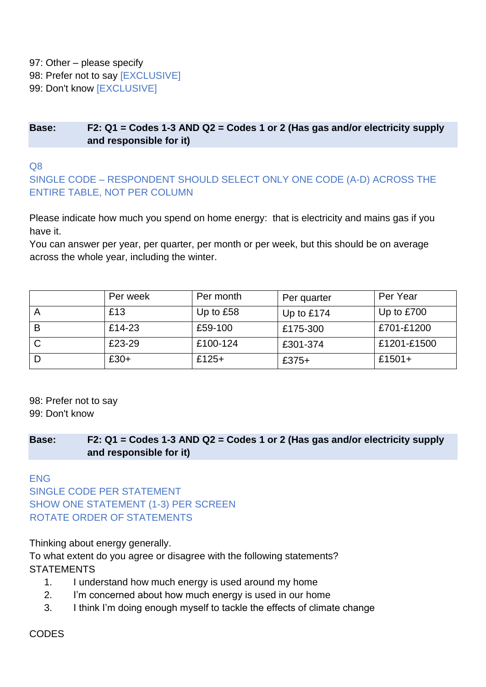97: Other – please specify

98: Prefer not to say [EXCLUSIVE]

99: Don't know [EXCLUSIVE]

### **Base: F2: Q1 = Codes 1-3 AND Q2 = Codes 1 or 2 (Has gas and/or electricity supply and responsible for it)**

Q8

SINGLE CODE – RESPONDENT SHOULD SELECT ONLY ONE CODE (A-D) ACROSS THE ENTIRE TABLE, NOT PER COLUMN

Please indicate how much you spend on home energy: that is electricity and mains gas if you have it.

You can answer per year, per quarter, per month or per week, but this should be on average across the whole year, including the winter.

|   | Per week | Per month   | Per quarter  | Per Year     |
|---|----------|-------------|--------------|--------------|
|   | £13      | Up to $£58$ | Up to $£174$ | Up to $£700$ |
| B | £14-23   | £59-100     | £175-300     | £701-£1200   |
|   | £23-29   | £100-124    | £301-374     | £1201-£1500  |
|   | $£30+$   | £125+       | $£375+$      | £1501+       |

98: Prefer not to say

99: Don't know

**Base: F2: Q1 = Codes 1-3 AND Q2 = Codes 1 or 2 (Has gas and/or electricity supply and responsible for it)**

ENG

SINGLE CODE PER STATEMENT SHOW ONE STATEMENT (1-3) PER SCREEN ROTATE ORDER OF STATEMENTS

Thinking about energy generally.

To what extent do you agree or disagree with the following statements? **STATEMENTS** 

- 1. I understand how much energy is used around my home
- 2. I'm concerned about how much energy is used in our home
- 3. I think I'm doing enough myself to tackle the effects of climate change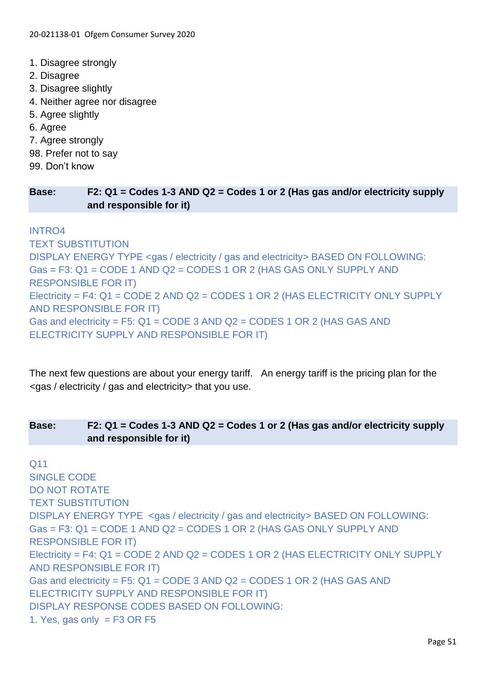- 1. Disagree strongly
- 2. Disagree
- 3. Disagree slightly
- 4. Neither agree nor disagree
- 5. Agree slightly
- 6. Agree
- 7. Agree strongly
- 98. Prefer not to say
- 99. Don't know

### **Base: F2: Q1 = Codes 1-3 AND Q2 = Codes 1 or 2 (Has gas and/or electricity supply and responsible for it)**

### INTRO4

TEXT SUBSTITUTION DISPLAY ENERGY TYPE <gas / electricity / gas and electricity> BASED ON FOLLOWING: Gas = F3: Q1 = CODE 1 AND Q2 = CODES 1 OR 2 (HAS GAS ONLY SUPPLY AND RESPONSIBLE FOR IT) Electricity = F4: Q1 = CODE 2 AND Q2 = CODES 1 OR 2 (HAS ELECTRICITY ONLY SUPPLY AND RESPONSIBLE FOR IT) Gas and electricity = F5:  $Q1$  = CODE 3 AND  $Q2$  = CODES 1 OR 2 (HAS GAS AND ELECTRICITY SUPPLY AND RESPONSIBLE FOR IT)

The next few questions are about your energy tariff. An energy tariff is the pricing plan for the <gas / electricity / gas and electricity> that you use.

# **Base: F2: Q1 = Codes 1-3 AND Q2 = Codes 1 or 2 (Has gas and/or electricity supply and responsible for it)**

Q11 SINGLE CODE DO NOT ROTATE TEXT SUBSTITUTION DISPLAY ENERGY TYPE <gas / electricity / gas and electricity> BASED ON FOLLOWING: Gas = F3: Q1 = CODE 1 AND Q2 = CODES 1 OR 2 (HAS GAS ONLY SUPPLY AND RESPONSIBLE FOR IT) Electricity = F4: Q1 = CODE 2 AND Q2 = CODES 1 OR 2 (HAS ELECTRICITY ONLY SUPPLY AND RESPONSIBLE FOR IT) Gas and electricity = F5: Q1 = CODE 3 AND Q2 = CODES 1 OR 2 (HAS GAS AND ELECTRICITY SUPPLY AND RESPONSIBLE FOR IT) DISPLAY RESPONSE CODES BASED ON FOLLOWING: 1. Yes, gas only =  $F3$  OR F5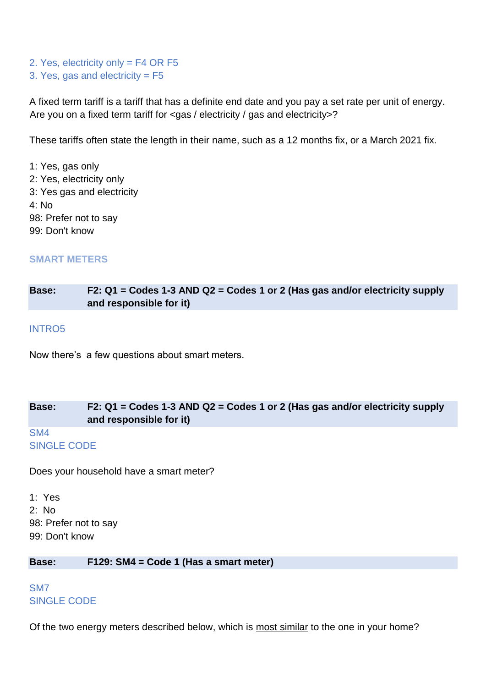2. Yes, electricity only = F4 OR F5 3. Yes, gas and electricity = F5

A fixed term tariff is a tariff that has a definite end date and you pay a set rate per unit of energy. Are you on a fixed term tariff for <gas / electricity / gas and electricity>?

These tariffs often state the length in their name, such as a 12 months fix, or a March 2021 fix.

1: Yes, gas only 2: Yes, electricity only 3: Yes gas and electricity 4: No 98: Prefer not to say 99: Don't know

#### **SMART METERS**

**Base: F2: Q1 = Codes 1-3 AND Q2 = Codes 1 or 2 (Has gas and/or electricity supply and responsible for it)**

#### INTRO5

Now there's a few questions about smart meters.

### **Base: F2: Q1 = Codes 1-3 AND Q2 = Codes 1 or 2 (Has gas and/or electricity supply and responsible for it)** SM4

# SINGLE CODE

Does your household have a smart meter?

1: Yes 2: No 98: Prefer not to say 99: Don't know

**Base: F129: SM4 = Code 1 (Has a smart meter)**

SM7 SINGLE CODE

Of the two energy meters described below, which is most similar to the one in your home?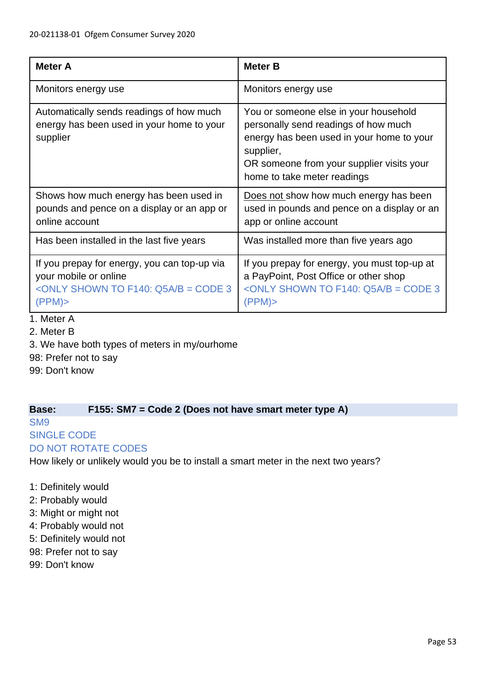| <b>Meter A</b>                                                                                                                                  | <b>Meter B</b>                                                                                                                                                                                                      |
|-------------------------------------------------------------------------------------------------------------------------------------------------|---------------------------------------------------------------------------------------------------------------------------------------------------------------------------------------------------------------------|
| Monitors energy use                                                                                                                             | Monitors energy use                                                                                                                                                                                                 |
| Automatically sends readings of how much<br>energy has been used in your home to your<br>supplier                                               | You or someone else in your household<br>personally send readings of how much<br>energy has been used in your home to your<br>supplier,<br>OR someone from your supplier visits your<br>home to take meter readings |
| Shows how much energy has been used in<br>pounds and pence on a display or an app or<br>online account                                          | Does not show how much energy has been<br>used in pounds and pence on a display or an<br>app or online account                                                                                                      |
| Has been installed in the last five years                                                                                                       | Was installed more than five years ago                                                                                                                                                                              |
| If you prepay for energy, you can top-up via<br>your mobile or online<br><only <math="" f140:="" shown="" to="">Q5A/B = CODE 3<br/>(PPM)</only> | If you prepay for energy, you must top-up at<br>a PayPoint, Post Office or other shop<br><only <math="" f140:="" shown="" to="">Q5A/B = CODE 3<br/>(PPM)</only>                                                     |

- 1. Meter A
- 2. Meter B
- 3. We have both types of meters in my/ourhome
- 98: Prefer not to say
- 99: Don't know

### **Base: F155: SM7 = Code 2 (Does not have smart meter type A)**

SM9

# SINGLE CODE

### DO NOT ROTATE CODES

How likely or unlikely would you be to install a smart meter in the next two years?

- 1: Definitely would
- 2: Probably would
- 3: Might or might not
- 4: Probably would not
- 5: Definitely would not
- 98: Prefer not to say
- 99: Don't know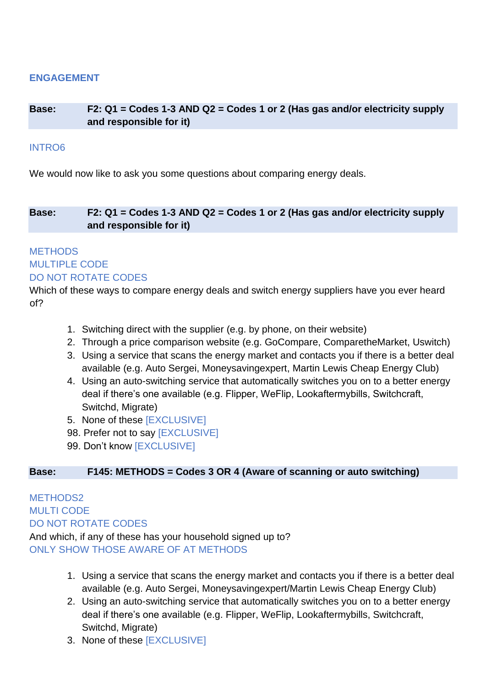### **ENGAGEMENT**

### **Base: F2: Q1 = Codes 1-3 AND Q2 = Codes 1 or 2 (Has gas and/or electricity supply and responsible for it)**

### INTRO6

We would now like to ask you some questions about comparing energy deals.

**Base: F2: Q1 = Codes 1-3 AND Q2 = Codes 1 or 2 (Has gas and/or electricity supply and responsible for it)**

# **METHODS** MULTIPLE CODE DO NOT ROTATE CODES

Which of these ways to compare energy deals and switch energy suppliers have you ever heard of?

- 1. Switching direct with the supplier (e.g. by phone, on their website)
- 2. Through a price comparison website (e.g. GoCompare, ComparetheMarket, Uswitch)
- 3. Using a service that scans the energy market and contacts you if there is a better deal available (e.g. Auto Sergei, Moneysavingexpert, Martin Lewis Cheap Energy Club)
- 4. Using an auto-switching service that automatically switches you on to a better energy deal if there's one available (e.g. Flipper, WeFlip, Lookaftermybills, Switchcraft, Switchd, Migrate)
- 5. None of these [EXCLUSIVE]
- 98. Prefer not to say **[EXCLUSIVE]**
- 99. Don't know [EXCLUSIVE]

### **Base: F145: METHODS = Codes 3 OR 4 (Aware of scanning or auto switching)**

MFTHODS<sub>2</sub> MULTI CODE DO NOT ROTATE CODES And which, if any of these has your household signed up to? ONLY SHOW THOSE AWARE OF AT METHODS

- 1. Using a service that scans the energy market and contacts you if there is a better deal available (e.g. Auto Sergei, Moneysavingexpert/Martin Lewis Cheap Energy Club)
- 2. Using an auto-switching service that automatically switches you on to a better energy deal if there's one available (e.g. Flipper, WeFlip, Lookaftermybills, Switchcraft, Switchd, Migrate)
- 3. None of these [EXCLUSIVE]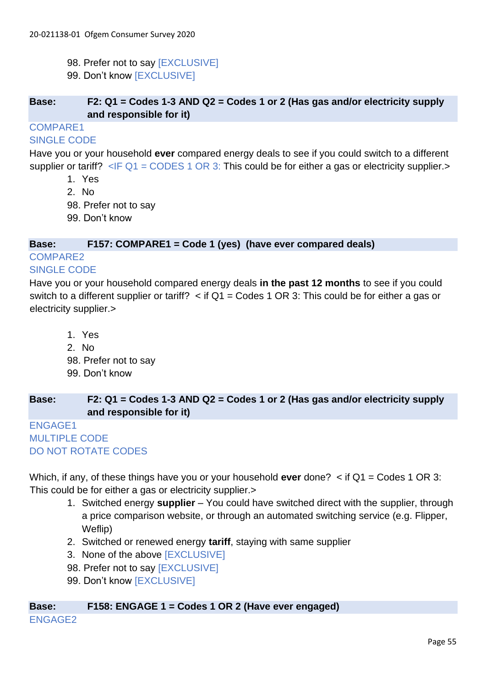- 98. Prefer not to say [EXCLUSIVE]
- 99. Don't know [EXCLUSIVE]

### **Base: F2: Q1 = Codes 1-3 AND Q2 = Codes 1 or 2 (Has gas and/or electricity supply and responsible for it)**

COMPARE1

### SINGLE CODE

Have you or your household **ever** compared energy deals to see if you could switch to a different supplier or tariff?  $\leq$  F Q1 = CODES 1 OR 3: This could be for either a gas or electricity supplier.>

- 1. Yes
- 2. No
- 98. Prefer not to say
- 99. Don't know

### **Base: F157: COMPARE1 = Code 1 (yes) (have ever compared deals)**

# COMPARE2

### SINGLE CODE

Have you or your household compared energy deals **in the past 12 months** to see if you could switch to a different supplier or tariff?  $\lt$  if Q1 = Codes 1 OR 3: This could be for either a gas or electricity supplier.>

- 1. Yes
- 2. No
- 98. Prefer not to say
- 99. Don't know

# **Base: F2: Q1 = Codes 1-3 AND Q2 = Codes 1 or 2 (Has gas and/or electricity supply and responsible for it)**

```
ENGAGE1
MULTIPLE CODE
DO NOT ROTATE CODES
```
Which, if any, of these things have you or your household **ever** done? < if Q1 = Codes 1 OR 3: This could be for either a gas or electricity supplier.>

- 1. Switched energy **supplier**  You could have switched direct with the supplier, through a price comparison website, or through an automated switching service (e.g. Flipper, Weflip)
- 2. Switched or renewed energy **tariff**, staying with same supplier
- 3. None of the above [EXCLUSIVE]
- 98. Prefer not to say [EXCLUSIVE]
- 99. Don't know [EXCLUSIVE]

#### **Base: F158: ENGAGE 1 = Codes 1 OR 2 (Have ever engaged)** ENGAGE2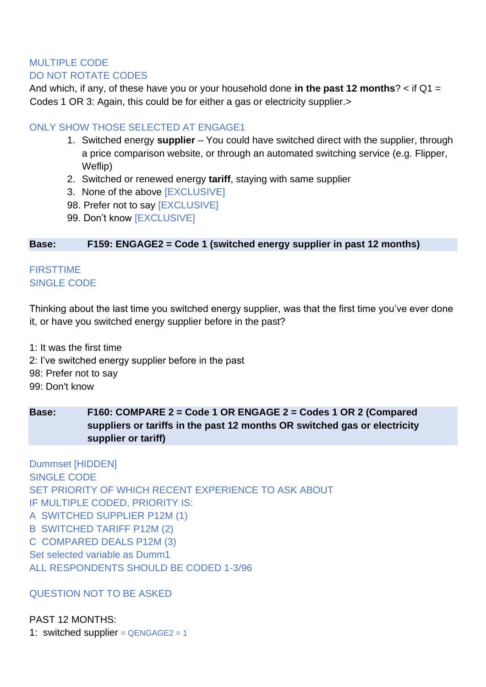# MULTIPLE CODE DO NOT ROTATE CODES

And which, if any, of these have you or your household done **in the past 12 months**? < if Q1 = Codes 1 OR 3: Again, this could be for either a gas or electricity supplier.>

# ONLY SHOW THOSE SELECTED AT ENGAGE1

- 1. Switched energy **supplier** You could have switched direct with the supplier, through a price comparison website, or through an automated switching service (e.g. Flipper, Weflip)
- 2. Switched or renewed energy **tariff**, staying with same supplier
- 3. None of the above [EXCLUSIVE]
- 98. Prefer not to say [EXCLUSIVE]
- 99. Don't know [EXCLUSIVE]

### **Base: F159: ENGAGE2 = Code 1 (switched energy supplier in past 12 months)**

### **FIRSTTIME** SINGLE CODE

Thinking about the last time you switched energy supplier, was that the first time you've ever done it, or have you switched energy supplier before in the past?

1: It was the first time 2: I've switched energy supplier before in the past 98: Prefer not to say 99: Don't know

# **Base: F160: COMPARE 2 = Code 1 OR ENGAGE 2 = Codes 1 OR 2 (Compared suppliers or tariffs in the past 12 months OR switched gas or electricity supplier or tariff)**

Dummset [HIDDEN] SINGLE CODE SET PRIORITY OF WHICH RECENT EXPERIENCE TO ASK ABOUT IF MULTIPLE CODED, PRIORITY IS: A SWITCHED SUPPLIER P12M (1) B SWITCHED TARIFF P12M (2) C COMPARED DEALS P12M (3) Set selected variable as Dumm1 ALL RESPONDENTS SHOULD BE CODED 1-3/96

### QUESTION NOT TO BE ASKED

PAST 12 MONTHS: 1: switched supplier =  $QENGAGE2 = 1$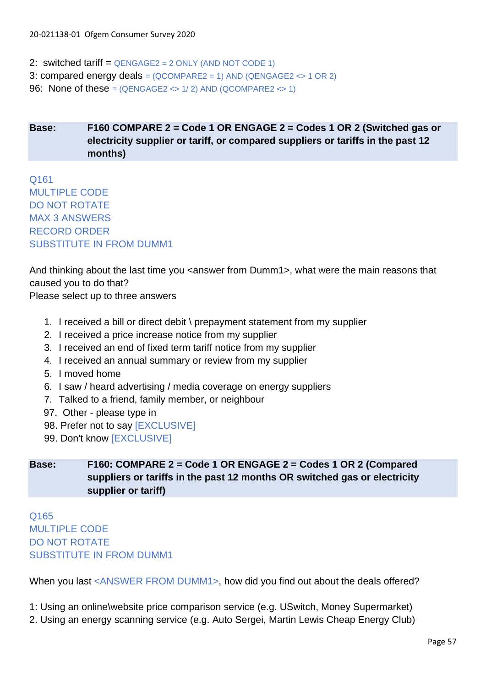2: switched tariff =  $QENGAGE2 = 2$  ONLY (AND NOT CODE 1) 3: compared energy deals =  $(QCOMPARE2 = 1)$  AND  $(QENGAGE2 \leq 1$  OR 2) 96: None of these =  $(QENGAGE2 \leq 1/2)$  AND  $(QCOMPARE2 \leq 1)$ 

# **Base: F160 COMPARE 2 = Code 1 OR ENGAGE 2 = Codes 1 OR 2 (Switched gas or electricity supplier or tariff, or compared suppliers or tariffs in the past 12 months)**

Q161 MULTIPLE CODE DO NOT ROTATE MAX 3 ANSWERS RECORD ORDER SUBSTITUTE IN FROM DUMM1

And thinking about the last time you <answer from Dumm1>, what were the main reasons that caused you to do that?

Please select up to three answers

- 1. I received a bill or direct debit \ prepayment statement from my supplier
- 2. I received a price increase notice from my supplier
- 3. I received an end of fixed term tariff notice from my supplier
- 4. I received an annual summary or review from my supplier
- 5. I moved home
- 6. I saw / heard advertising / media coverage on energy suppliers
- 7. Talked to a friend, family member, or neighbour
- 97. Other please type in
- 98. Prefer not to say [EXCLUSIVE]
- 99. Don't know [EXCLUSIVE]

**Base: F160: COMPARE 2 = Code 1 OR ENGAGE 2 = Codes 1 OR 2 (Compared suppliers or tariffs in the past 12 months OR switched gas or electricity supplier or tariff)**

Q165 MULTIPLE CODE DO NOT ROTATE SUBSTITUTE IN FROM DUMM1

When you last <ANSWER FROM DUMM1>, how did you find out about the deals offered?

1: Using an online\website price comparison service (e.g. USwitch, Money Supermarket)

2. Using an energy scanning service (e.g. Auto Sergei, Martin Lewis Cheap Energy Club)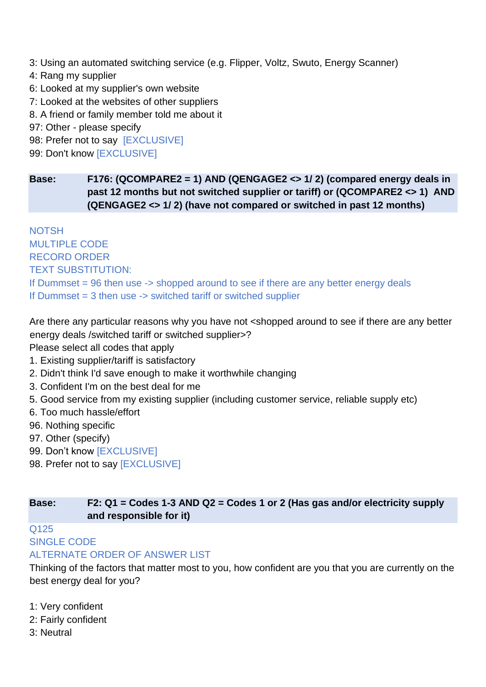3: Using an automated switching service (e.g. Flipper, Voltz, Swuto, Energy Scanner)

- 4: Rang my supplier
- 6: Looked at my supplier's own website
- 7: Looked at the websites of other suppliers
- 8. A friend or family member told me about it
- 97: Other please specify
- 98: Prefer not to say [EXCLUSIVE]
- 99: Don't know [EXCLUSIVE]

**Base: F176: (QCOMPARE2 = 1) AND (QENGAGE2 <> 1/ 2) (compared energy deals in past 12 months but not switched supplier or tariff) or (QCOMPARE2 <> 1) AND (QENGAGE2 <> 1/ 2) (have not compared or switched in past 12 months)**

**NOTSH** MULTIPLE CODE RECORD ORDER TEXT SUBSTITUTION: If Dummset = 96 then use -> shopped around to see if there are any better energy deals If Dummset = 3 then use -> switched tariff or switched supplier

Are there any particular reasons why you have not <shopped around to see if there are any better energy deals /switched tariff or switched supplier>?

Please select all codes that apply

- 1. Existing supplier/tariff is satisfactory
- 2. Didn't think I'd save enough to make it worthwhile changing
- 3. Confident I'm on the best deal for me
- 5. Good service from my existing supplier (including customer service, reliable supply etc)
- 6. Too much hassle/effort
- 96. Nothing specific
- 97. Other (specify)
- 99. Don't know [EXCLUSIVE]
- 98. Prefer not to say [EXCLUSIVE]

### **Base: F2: Q1 = Codes 1-3 AND Q2 = Codes 1 or 2 (Has gas and/or electricity supply and responsible for it)**

# Q125 SINGLE CODE

# ALTERNATE ORDER OF ANSWER LIST

Thinking of the factors that matter most to you, how confident are you that you are currently on the best energy deal for you?

- 1: Very confident
- 2: Fairly confident
- 3: Neutral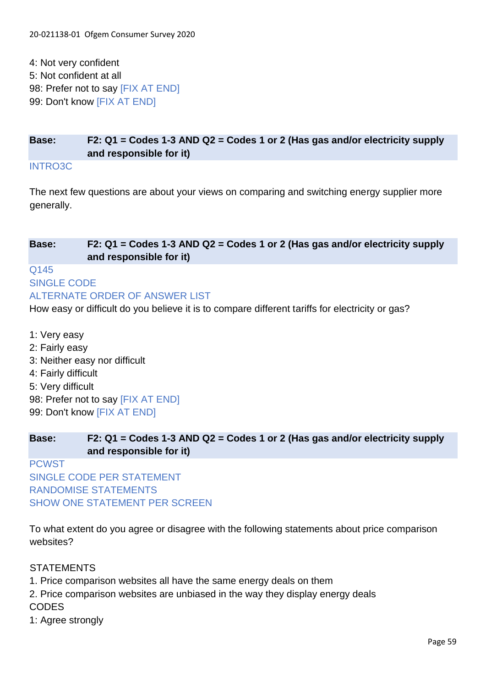4: Not very confident 5: Not confident at all 98: Prefer not to say [FIX AT END] 99: Don't know [FIX AT END]

# **Base: F2: Q1 = Codes 1-3 AND Q2 = Codes 1 or 2 (Has gas and/or electricity supply and responsible for it)**

INTRO3C

The next few questions are about your views on comparing and switching energy supplier more generally.

# **Base: F2: Q1 = Codes 1-3 AND Q2 = Codes 1 or 2 (Has gas and/or electricity supply and responsible for it)** Q145

SINGLE CODE ALTERNATE ORDER OF ANSWER LIST

How easy or difficult do you believe it is to compare different tariffs for electricity or gas?

1: Very easy 2: Fairly easy 3: Neither easy nor difficult 4: Fairly difficult 5: Very difficult 98: Prefer not to say [FIX AT END] 99: Don't know [FIX AT END]

# **Base: F2: Q1 = Codes 1-3 AND Q2 = Codes 1 or 2 (Has gas and/or electricity supply and responsible for it)**

**PCWST** SINGLE CODE PER STATEMENT RANDOMISE STATEMENTS SHOW ONE STATEMENT PER SCREEN

To what extent do you agree or disagree with the following statements about price comparison websites?

# **STATEMENTS**

1. Price comparison websites all have the same energy deals on them

2. Price comparison websites are unbiased in the way they display energy deals **CODES** 

1: Agree strongly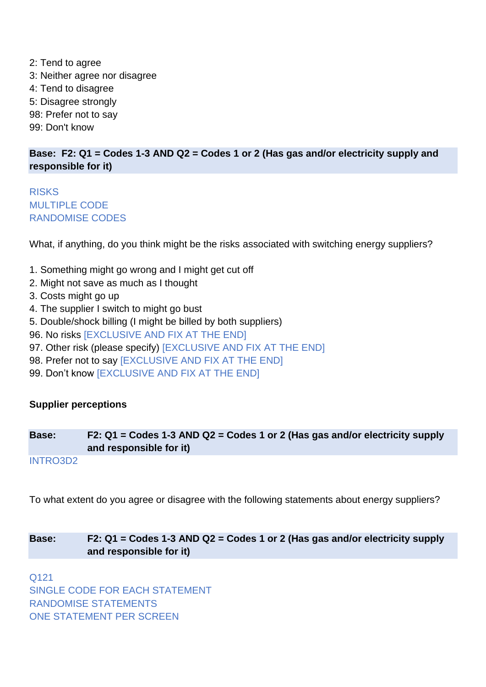2: Tend to agree 3: Neither agree nor disagree 4: Tend to disagree 5: Disagree strongly 98: Prefer not to say 99: Don't know

# **Base: F2: Q1 = Codes 1-3 AND Q2 = Codes 1 or 2 (Has gas and/or electricity supply and responsible for it)**

**RISKS** MULTIPLE CODE RANDOMISE CODES

What, if anything, do you think might be the risks associated with switching energy suppliers?

- 1. Something might go wrong and I might get cut off
- 2. Might not save as much as I thought
- 3. Costs might go up
- 4. The supplier I switch to might go bust
- 5. Double/shock billing (I might be billed by both suppliers)
- 96. No risks [EXCLUSIVE AND FIX AT THE END]
- 97. Other risk (please specify) [EXCLUSIVE AND FIX AT THE END]
- 98. Prefer not to say [EXCLUSIVE AND FIX AT THE END]
- 99. Don't know [EXCLUSIVE AND FIX AT THE END]

### **Supplier perceptions**

**Base: F2: Q1 = Codes 1-3 AND Q2 = Codes 1 or 2 (Has gas and/or electricity supply and responsible for it)**

INTRO3D2

To what extent do you agree or disagree with the following statements about energy suppliers?

### **Base: F2: Q1 = Codes 1-3 AND Q2 = Codes 1 or 2 (Has gas and/or electricity supply and responsible for it)**

Q121 SINGLE CODE FOR EACH STATEMENT RANDOMISE STATEMENTS ONE STATEMENT PER SCREEN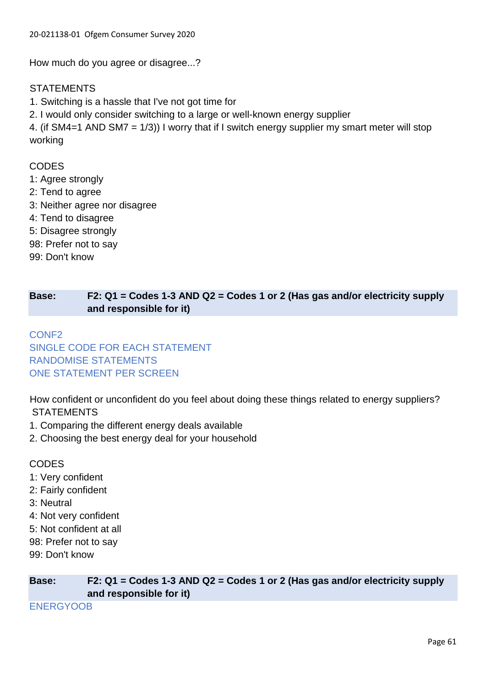How much do you agree or disagree...?

### **STATEMENTS**

- 1. Switching is a hassle that I've not got time for
- 2. I would only consider switching to a large or well-known energy supplier

4. (if SM4=1 AND SM7 = 1/3)) I worry that if I switch energy supplier my smart meter will stop working

### **CODES**

- 1: Agree strongly
- 2: Tend to agree
- 3: Neither agree nor disagree
- 4: Tend to disagree
- 5: Disagree strongly
- 98: Prefer not to say
- 99: Don't know

# **Base: F2: Q1 = Codes 1-3 AND Q2 = Codes 1 or 2 (Has gas and/or electricity supply and responsible for it)**

# CONF2 SINGLE CODE FOR EACH STATEMENT RANDOMISE STATEMENTS ONE STATEMENT PER SCREEN

How confident or unconfident do you feel about doing these things related to energy suppliers? **STATEMENTS** 

- 1. Comparing the different energy deals available
- 2. Choosing the best energy deal for your household

### **CODES**

- 1: Very confident
- 2: Fairly confident
- 3: Neutral
- 4: Not very confident
- 5: Not confident at all
- 98: Prefer not to say
- 99: Don't know

ENERGYOOB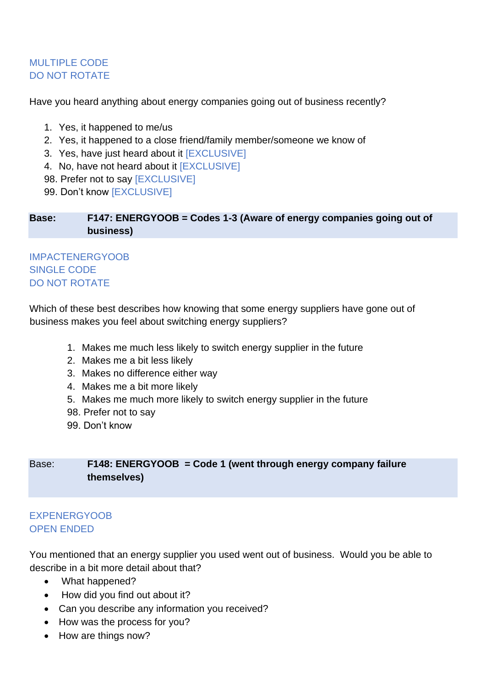# MULTIPLE CODE DO NOT ROTATE

Have you heard anything about energy companies going out of business recently?

- 1. Yes, it happened to me/us
- 2. Yes, it happened to a close friend/family member/someone we know of
- 3. Yes, have just heard about it [EXCLUSIVE]
- 4. No, have not heard about it [EXCLUSIVE]
- 98. Prefer not to say [EXCLUSIVE]
- 99. Don't know [EXCLUSIVE]

**Base: F147: ENERGYOOB = Codes 1-3 (Aware of energy companies going out of business)**

# IMPACTENERGYOOB SINGLE CODE DO NOT ROTATE

Which of these best describes how knowing that some energy suppliers have gone out of business makes you feel about switching energy suppliers?

- 1. Makes me much less likely to switch energy supplier in the future
- 2. Makes me a bit less likely
- 3. Makes no difference either way
- 4. Makes me a bit more likely
- 5. Makes me much more likely to switch energy supplier in the future
- 98. Prefer not to say
- 99. Don't know

# Base: **F148: ENERGYOOB = Code 1 (went through energy company failure themselves)**

### EXPENERGYOOB OPEN ENDED

You mentioned that an energy supplier you used went out of business. Would you be able to describe in a bit more detail about that?

- What happened?
- How did you find out about it?
- Can you describe any information you received?
- How was the process for you?
- How are things now?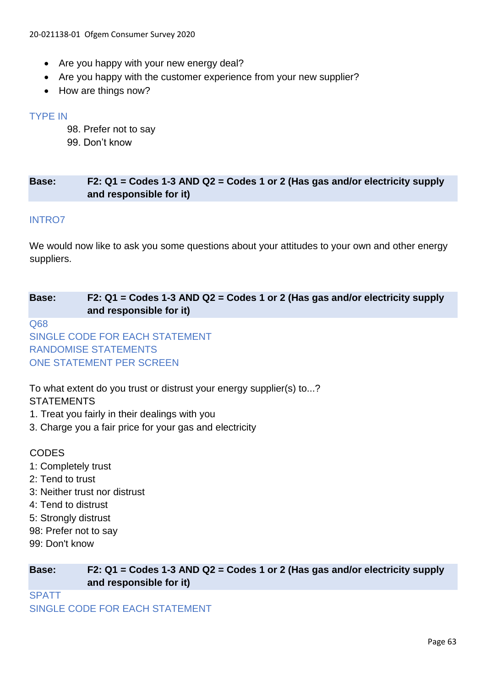- Are you happy with your new energy deal?
- Are you happy with the customer experience from your new supplier?
- How are things now?

### TYPE IN

- 98. Prefer not to say
- 99. Don't know

### **Base: F2: Q1 = Codes 1-3 AND Q2 = Codes 1 or 2 (Has gas and/or electricity supply and responsible for it)**

### INTRO7

We would now like to ask you some questions about your attitudes to your own and other energy suppliers.

# **Base: F2: Q1 = Codes 1-3 AND Q2 = Codes 1 or 2 (Has gas and/or electricity supply and responsible for it)**

Q68

SINGLE CODE FOR EACH STATEMENT RANDOMISE STATEMENTS ONE STATEMENT PER SCREEN

To what extent do you trust or distrust your energy supplier(s) to...?

### **STATEMENTS**

- 1. Treat you fairly in their dealings with you
- 3. Charge you a fair price for your gas and electricity

### **CODES**

- 1: Completely trust
- 2: Tend to trust
- 3: Neither trust nor distrust
- 4: Tend to distrust
- 5: Strongly distrust
- 98: Prefer not to say
- 99: Don't know

**Base: F2: Q1 = Codes 1-3 AND Q2 = Codes 1 or 2 (Has gas and/or electricity supply and responsible for it)**

**SPATT** 

SINGLE CODE FOR EACH STATEMENT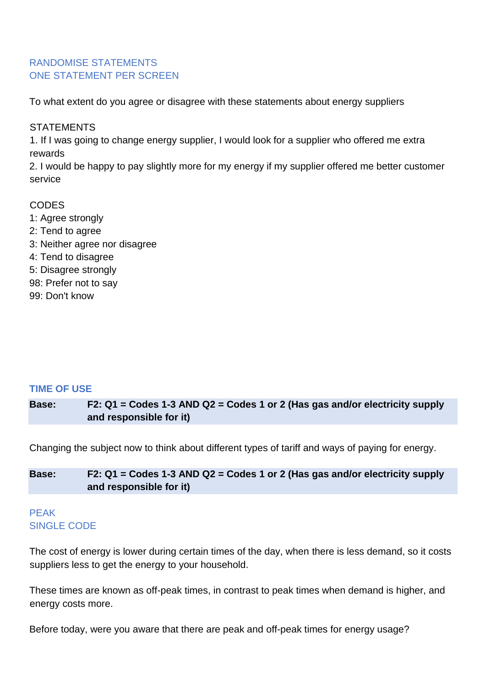### RANDOMISE STATEMENTS ONE STATEMENT PER SCREEN

To what extent do you agree or disagree with these statements about energy suppliers

### **STATEMENTS**

1. If I was going to change energy supplier, I would look for a supplier who offered me extra rewards

2. I would be happy to pay slightly more for my energy if my supplier offered me better customer service

### **CODES**

1: Agree strongly 2: Tend to agree 3: Neither agree nor disagree 4: Tend to disagree 5: Disagree strongly 98: Prefer not to say 99: Don't know

### **TIME OF USE**

**Base: F2: Q1 = Codes 1-3 AND Q2 = Codes 1 or 2 (Has gas and/or electricity supply and responsible for it)**

Changing the subject now to think about different types of tariff and ways of paying for energy.

### **Base: F2: Q1 = Codes 1-3 AND Q2 = Codes 1 or 2 (Has gas and/or electricity supply and responsible for it)**

# PEAK SINGLE CODE

The cost of energy is lower during certain times of the day, when there is less demand, so it costs suppliers less to get the energy to your household.

These times are known as off-peak times, in contrast to peak times when demand is higher, and energy costs more.

Before today, were you aware that there are peak and off-peak times for energy usage?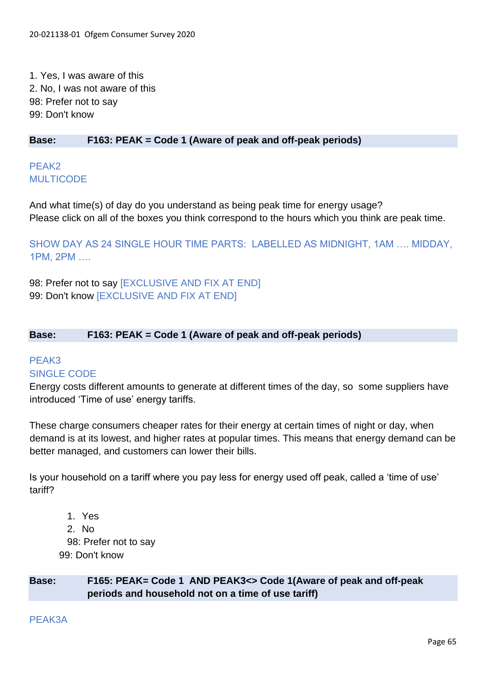1. Yes, I was aware of this 2. No, I was not aware of this 98: Prefer not to say 99: Don't know

### **Base: F163: PEAK = Code 1 (Aware of peak and off-peak periods)**

# PFAK<sub>2</sub> **MULTICODE**

And what time(s) of day do you understand as being peak time for energy usage? Please click on all of the boxes you think correspond to the hours which you think are peak time.

SHOW DAY AS 24 SINGLE HOUR TIME PARTS: LABELLED AS MIDNIGHT, 1AM …. MIDDAY, 1PM, 2PM ….

98: Prefer not to say [EXCLUSIVE AND FIX AT END] 99: Don't know [EXCLUSIVE AND FIX AT END]

### **Base: F163: PEAK = Code 1 (Aware of peak and off-peak periods)**

### PEAK3 SINGLE CODE

Energy costs different amounts to generate at different times of the day, so some suppliers have introduced 'Time of use' energy tariffs.

These charge consumers cheaper rates for their energy at certain times of night or day, when demand is at its lowest, and higher rates at popular times. This means that energy demand can be better managed, and customers can lower their bills.

Is your household on a tariff where you pay less for energy used off peak, called a 'time of use' tariff?

1. Yes 2. No 98: Prefer not to say 99: Don't know

**Base: F165: PEAK= Code 1 AND PEAK3<> Code 1(Aware of peak and off-peak periods and household not on a time of use tariff)**

PEAK3A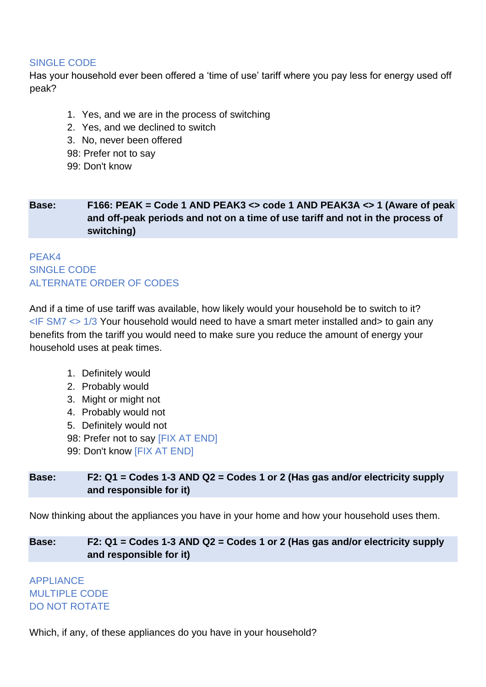### SINGLE CODE

Has your household ever been offered a 'time of use' tariff where you pay less for energy used off peak?

- 1. Yes, and we are in the process of switching
- 2. Yes, and we declined to switch
- 3. No, never been offered
- 98: Prefer not to say
- 99: Don't know

# **Base: F166: PEAK = Code 1 AND PEAK3 <> code 1 AND PEAK3A <> 1 (Aware of peak and off-peak periods and not on a time of use tariff and not in the process of switching)**

# PEAK4 SINGLE CODE ALTERNATE ORDER OF CODES

And if a time of use tariff was available, how likely would your household be to switch to it?  $\leq$ IF SM7  $\leq$  1/3 Your household would need to have a smart meter installed and to gain any benefits from the tariff you would need to make sure you reduce the amount of energy your household uses at peak times.

- 1. Definitely would
- 2. Probably would
- 3. Might or might not
- 4. Probably would not
- 5. Definitely would not
- 98: Prefer not to say [FIX AT END]
- 99: Don't know [FIX AT END]

# **Base: F2: Q1 = Codes 1-3 AND Q2 = Codes 1 or 2 (Has gas and/or electricity supply and responsible for it)**

Now thinking about the appliances you have in your home and how your household uses them.

# **Base: F2: Q1 = Codes 1-3 AND Q2 = Codes 1 or 2 (Has gas and/or electricity supply and responsible for it)**

APPLIANCE MULTIPLE CODE DO NOT ROTATE

Which, if any, of these appliances do you have in your household?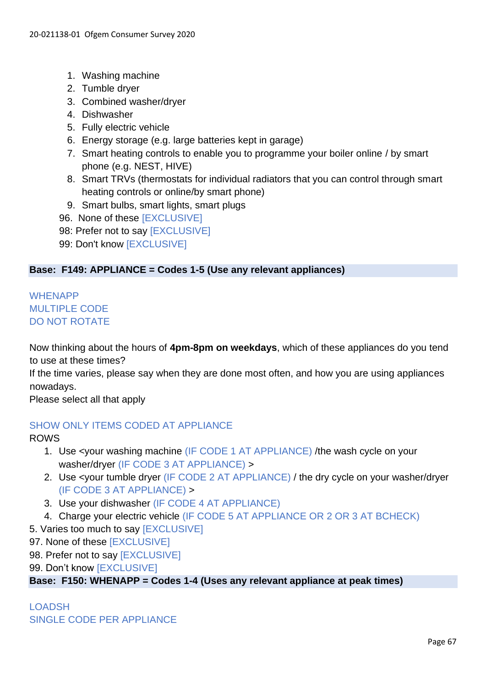- 1. Washing machine
- 2. Tumble dryer
- 3. Combined washer/dryer
- 4. Dishwasher
- 5. Fully electric vehicle
- 6. Energy storage (e.g. large batteries kept in garage)
- 7. Smart heating controls to enable you to programme your boiler online / by smart phone (e.g. NEST, HIVE)
- 8. Smart TRVs (thermostats for individual radiators that you can control through smart heating controls or online/by smart phone)
- 9. Smart bulbs, smart lights, smart plugs
- 96. None of these [EXCLUSIVE]
- 98: Prefer not to say **[EXCLUSIVE]**
- 99: Don't know [EXCLUSIVE]

### **Base: F149: APPLIANCE = Codes 1-5 (Use any relevant appliances)**

# WHENAPP MULTIPLE CODE DO NOT ROTATE

Now thinking about the hours of **4pm-8pm on weekdays**, which of these appliances do you tend to use at these times?

If the time varies, please say when they are done most often, and how you are using appliances nowadays.

Please select all that apply

### SHOW ONLY ITEMS CODED AT APPLIANCE

ROWS

- 1. Use <your washing machine (IF CODE 1 AT APPLIANCE) /the wash cycle on your washer/dryer (IF CODE 3 AT APPLIANCE) >
- 2. Use <your tumble dryer (IF CODE 2 AT APPLIANCE) / the dry cycle on your washer/dryer (IF CODE 3 AT APPLIANCE) >
- 3. Use your dishwasher (IF CODE 4 AT APPLIANCE)
- 4. Charge your electric vehicle (IF CODE 5 AT APPLIANCE OR 2 OR 3 AT BCHECK)
- 5. Varies too much to say [EXCLUSIVE]
- 97. None of these [EXCLUSIVE]
- 98. Prefer not to say [EXCLUSIVE]
- 99. Don't know [EXCLUSIVE]

**Base: F150: WHENAPP = Codes 1-4 (Uses any relevant appliance at peak times)**

# LOADSH SINGLE CODE PER APPLIANCE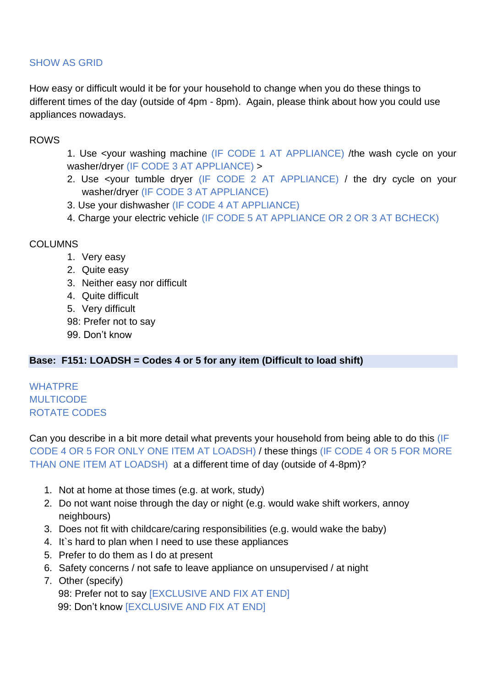# SHOW AS GRID

How easy or difficult would it be for your household to change when you do these things to different times of the day (outside of 4pm - 8pm). Again, please think about how you could use appliances nowadays.

### ROWS

- 1. Use <your washing machine (IF CODE 1 AT APPLIANCE) /the wash cycle on your washer/dryer (IF CODE 3 AT APPLIANCE) >
- 2. Use <your tumble dryer (IF CODE 2 AT APPLIANCE) / the dry cycle on your washer/dryer (IF CODE 3 AT APPLIANCE)
- 3. Use your dishwasher (IF CODE 4 AT APPLIANCE)
- 4. Charge your electric vehicle (IF CODE 5 AT APPLIANCE OR 2 OR 3 AT BCHECK)

### COLUMNS

- 1. Very easy
- 2. Quite easy
- 3. Neither easy nor difficult
- 4. Quite difficult
- 5. Very difficult
- 98: Prefer not to say
- 99. Don't know

### **Base: F151: LOADSH = Codes 4 or 5 for any item (Difficult to load shift)**

# WHATPRE **MULTICODE** ROTATE CODES

Can you describe in a bit more detail what prevents your household from being able to do this (IF CODE 4 OR 5 FOR ONLY ONE ITEM AT LOADSH) / these things (IF CODE 4 OR 5 FOR MORE THAN ONE ITEM AT LOADSH) at a different time of day (outside of 4-8pm)?

- 1. Not at home at those times (e.g. at work, study)
- 2. Do not want noise through the day or night (e.g. would wake shift workers, annoy neighbours)
- 3. Does not fit with childcare/caring responsibilities (e.g. would wake the baby)
- 4. It`s hard to plan when I need to use these appliances
- 5. Prefer to do them as I do at present
- 6. Safety concerns / not safe to leave appliance on unsupervised / at night
- 7. Other (specify)

98: Prefer not to say [EXCLUSIVE AND FIX AT END] 99: Don't know [EXCLUSIVE AND FIX AT END]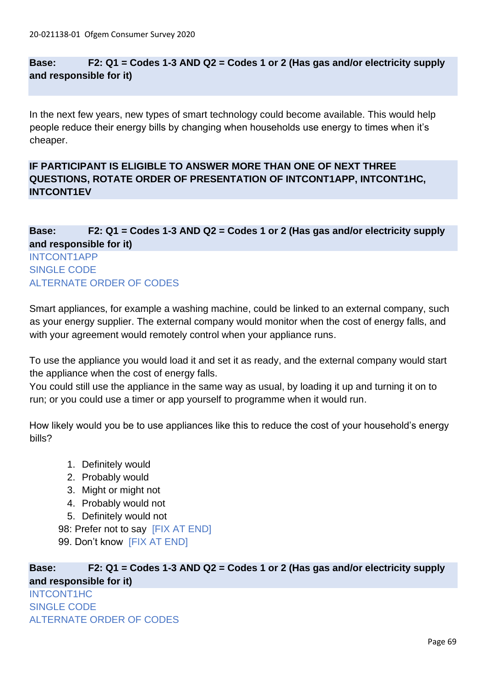### **Base: F2: Q1 = Codes 1-3 AND Q2 = Codes 1 or 2 (Has gas and/or electricity supply and responsible for it)**

In the next few years, new types of smart technology could become available. This would help people reduce their energy bills by changing when households use energy to times when it's cheaper.

# **IF PARTICIPANT IS ELIGIBLE TO ANSWER MORE THAN ONE OF NEXT THREE QUESTIONS, ROTATE ORDER OF PRESENTATION OF INTCONT1APP, INTCONT1HC, INTCONT1EV**

# **Base: F2: Q1 = Codes 1-3 AND Q2 = Codes 1 or 2 (Has gas and/or electricity supply and responsible for it)**

### INTCONT1APP SINGLE CODE ALTERNATE ORDER OF CODES

Smart appliances, for example a washing machine, could be linked to an external company, such as your energy supplier. The external company would monitor when the cost of energy falls, and with your agreement would remotely control when your appliance runs.

To use the appliance you would load it and set it as ready, and the external company would start the appliance when the cost of energy falls.

You could still use the appliance in the same way as usual, by loading it up and turning it on to run; or you could use a timer or app yourself to programme when it would run.

How likely would you be to use appliances like this to reduce the cost of your household's energy bills?

- 1. Definitely would
- 2. Probably would
- 3. Might or might not
- 4. Probably would not
- 5. Definitely would not

98: Prefer not to say [FIX AT END] 99. Don't know [FIX AT END]

**Base: F2: Q1 = Codes 1-3 AND Q2 = Codes 1 or 2 (Has gas and/or electricity supply and responsible for it)**

INTCONT1HC SINGLE CODE ALTERNATE ORDER OF CODES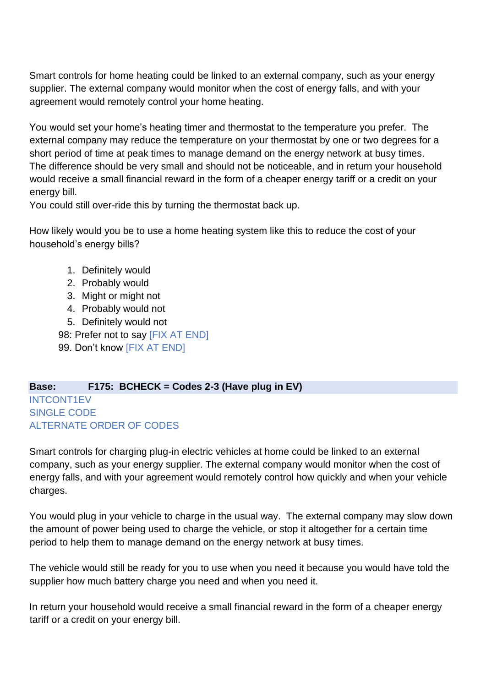Smart controls for home heating could be linked to an external company, such as your energy supplier. The external company would monitor when the cost of energy falls, and with your agreement would remotely control your home heating.

You would set your home's heating timer and thermostat to the temperature you prefer. The external company may reduce the temperature on your thermostat by one or two degrees for a short period of time at peak times to manage demand on the energy network at busy times. The difference should be very small and should not be noticeable, and in return your household would receive a small financial reward in the form of a cheaper energy tariff or a credit on your energy bill.

You could still over-ride this by turning the thermostat back up.

How likely would you be to use a home heating system like this to reduce the cost of your household's energy bills?

- 1. Definitely would
- 2. Probably would
- 3. Might or might not
- 4. Probably would not
- 5. Definitely would not

98: Prefer not to say [FIX AT END]

99. Don't know [FIX AT END]

### **Base: F175: BCHECK = Codes 2-3 (Have plug in EV)** INTCONT1EV SINGLE CODE ALTERNATE ORDER OF CODES

Smart controls for charging plug-in electric vehicles at home could be linked to an external company, such as your energy supplier. The external company would monitor when the cost of energy falls, and with your agreement would remotely control how quickly and when your vehicle charges.

You would plug in your vehicle to charge in the usual way. The external company may slow down the amount of power being used to charge the vehicle, or stop it altogether for a certain time period to help them to manage demand on the energy network at busy times.

The vehicle would still be ready for you to use when you need it because you would have told the supplier how much battery charge you need and when you need it.

In return your household would receive a small financial reward in the form of a cheaper energy tariff or a credit on your energy bill.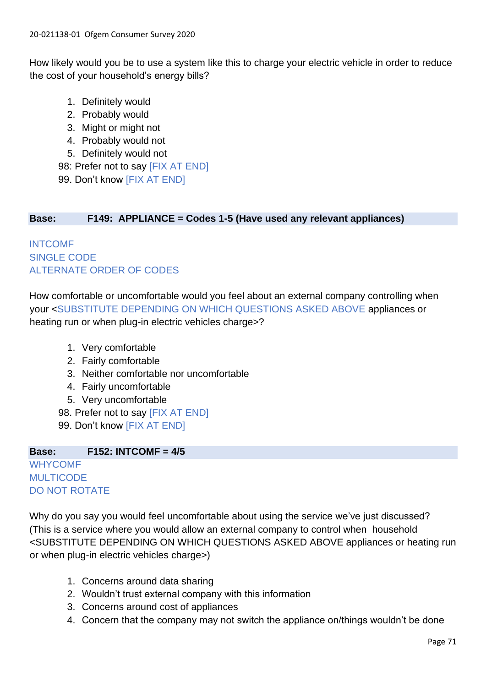How likely would you be to use a system like this to charge your electric vehicle in order to reduce the cost of your household's energy bills?

- 1. Definitely would
- 2. Probably would
- 3. Might or might not
- 4. Probably would not
- 5. Definitely would not

98: Prefer not to say [FIX AT END] 99. Don't know [FIX AT END]

# **Base: F149: APPLIANCE = Codes 1-5 (Have used any relevant appliances)**

INTCOMF SINGLE CODE ALTERNATE ORDER OF CODES

How comfortable or uncomfortable would you feel about an external company controlling when your <SUBSTITUTE DEPENDING ON WHICH QUESTIONS ASKED ABOVE appliances or heating run or when plug-in electric vehicles charge>?

- 1. Very comfortable
- 2. Fairly comfortable
- 3. Neither comfortable nor uncomfortable
- 4. Fairly uncomfortable
- 5. Very uncomfortable
- 98. Prefer not to say [FIX AT END]
- 99. Don't know [FIX AT END]

### **Base: F152: INTCOMF = 4/5 WHYCOMF MULTICODE** DO NOT ROTATE

Why do you say you would feel uncomfortable about using the service we've just discussed? (This is a service where you would allow an external company to control when household <SUBSTITUTE DEPENDING ON WHICH QUESTIONS ASKED ABOVE appliances or heating run or when plug-in electric vehicles charge>)

- 1. Concerns around data sharing
- 2. Wouldn't trust external company with this information
- 3. Concerns around cost of appliances
- 4. Concern that the company may not switch the appliance on/things wouldn't be done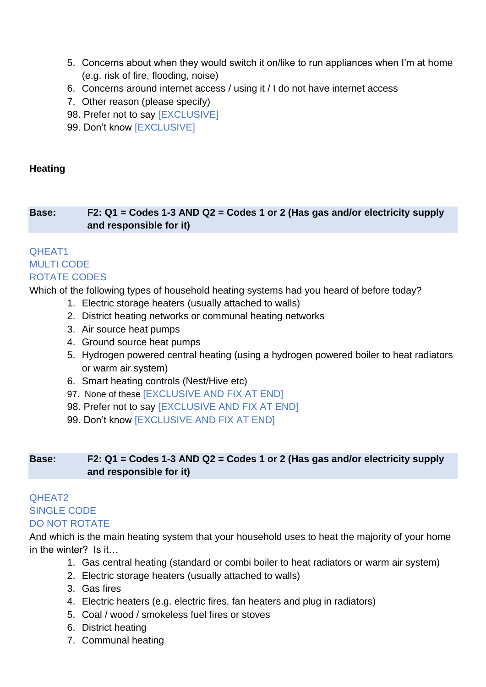- 5. Concerns about when they would switch it on/like to run appliances when I'm at home (e.g. risk of fire, flooding, noise)
- 6. Concerns around internet access / using it / I do not have internet access
- 7. Other reason (please specify)
- 98. Prefer not to say [EXCLUSIVE]
- 99. Don't know [EXCLUSIVE]

## **Heating**

# **Base: F2: Q1 = Codes 1-3 AND Q2 = Codes 1 or 2 (Has gas and/or electricity supply and responsible for it)**

# QHEAT1 MULTI CODE ROTATE CODES

Which of the following types of household heating systems had you heard of before today?

- 1. Electric storage heaters (usually attached to walls)
- 2. District heating networks or communal heating networks
- 3. Air source heat pumps
- 4. Ground source heat pumps
- 5. Hydrogen powered central heating (using a hydrogen powered boiler to heat radiators or warm air system)
- 6. Smart heating controls (Nest/Hive etc)
- 97. None of these [EXCLUSIVE AND FIX AT END]
- 98. Prefer not to say [EXCLUSIVE AND FIX AT END]
- 99. Don't know [EXCLUSIVE AND FIX AT END]

# **Base: F2: Q1 = Codes 1-3 AND Q2 = Codes 1 or 2 (Has gas and/or electricity supply and responsible for it)**

### QHEAT2 SINGLE CODE DO NOT ROTATE

And which is the main heating system that your household uses to heat the majority of your home in the winter? Is it…

- 1. Gas central heating (standard or combi boiler to heat radiators or warm air system)
- 2. Electric storage heaters (usually attached to walls)
- 3. Gas fires
- 4. Electric heaters (e.g. electric fires, fan heaters and plug in radiators)
- 5. Coal / wood / smokeless fuel fires or stoves
- 6. District heating
- 7. Communal heating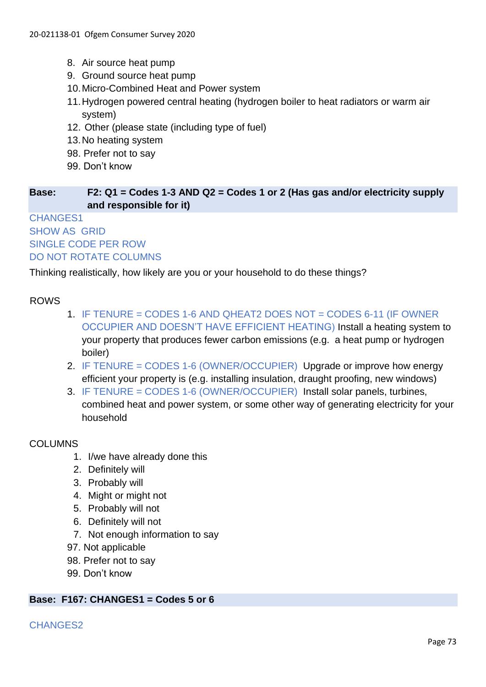- 8. Air source heat pump
- 9. Ground source heat pump
- 10.Micro-Combined Heat and Power system
- 11.Hydrogen powered central heating (hydrogen boiler to heat radiators or warm air system)
- 12. Other (please state (including type of fuel)
- 13.No heating system
- 98. Prefer not to say
- 99. Don't know

#### **Base: F2: Q1 = Codes 1-3 AND Q2 = Codes 1 or 2 (Has gas and/or electricity supply and responsible for it)**

## CHANGES1 SHOW AS GRID SINGLE CODE PER ROW DO NOT ROTATE COLUMNS

Thinking realistically, how likely are you or your household to do these things?

## ROWS

- 1. IF TENURE = CODES 1-6 AND QHEAT2 DOES NOT = CODES 6-11 (IF OWNER OCCUPIER AND DOESN'T HAVE EFFICIENT HEATING) Install a heating system to your property that produces fewer carbon emissions (e.g. a heat pump or hydrogen boiler)
- 2. IF TENURE = CODES 1-6 (OWNER/OCCUPIER) Upgrade or improve how energy efficient your property is (e.g. installing insulation, draught proofing, new windows)
- 3. IF TENURE = CODES 1-6 (OWNER/OCCUPIER) Install solar panels, turbines, combined heat and power system, or some other way of generating electricity for your household

#### COLUMNS

- 1. I/we have already done this
- 2. Definitely will
- 3. Probably will
- 4. Might or might not
- 5. Probably will not
- 6. Definitely will not
- 7. Not enough information to say
- 97. Not applicable
- 98. Prefer not to say
- 99. Don't know

#### **Base: F167: CHANGES1 = Codes 5 or 6**

#### CHANGES2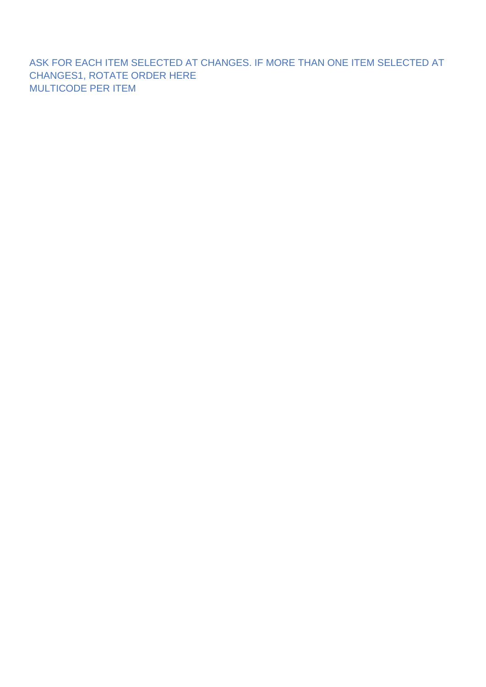ASK FOR EACH ITEM SELECTED AT CHANGES. IF MORE THAN ONE ITEM SELECTED AT CHANGES1, ROTATE ORDER HERE MULTICODE PER ITEM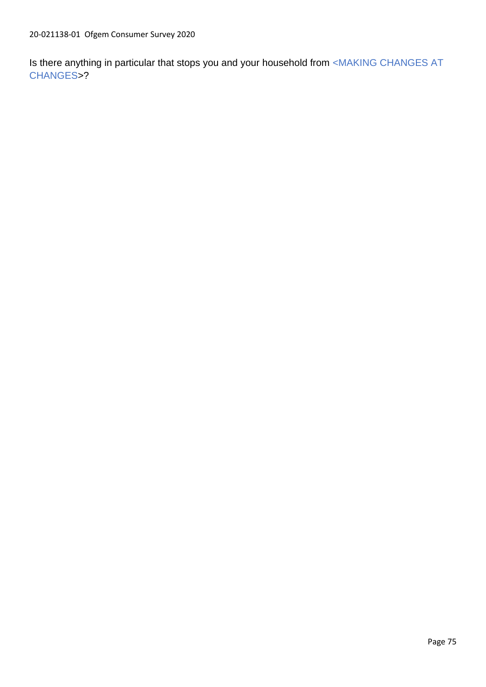Is there anything in particular that stops you and your household from <MAKING CHANGES AT CHANGES>?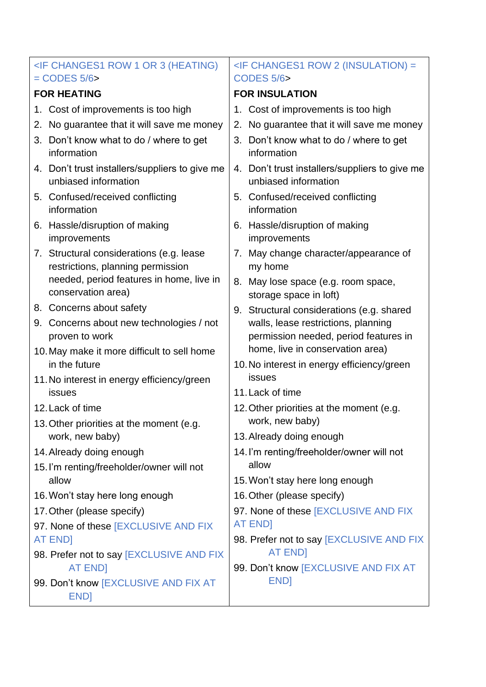| <if (heating)<="" 1="" 3="" changes1="" or="" row="" th=""><th></th><th><if (insulation)="&lt;/th" 2="" changes1="" row=""></if></th></if> |                                                                               |                      | <if (insulation)="&lt;/th" 2="" changes1="" row=""></if>                     |  |
|--------------------------------------------------------------------------------------------------------------------------------------------|-------------------------------------------------------------------------------|----------------------|------------------------------------------------------------------------------|--|
| $=$ CODES 5/6 $>$                                                                                                                          |                                                                               | <b>CODES 5/6&gt;</b> |                                                                              |  |
| <b>FOR HEATING</b>                                                                                                                         |                                                                               |                      | <b>FOR INSULATION</b>                                                        |  |
|                                                                                                                                            | 1. Cost of improvements is too high                                           |                      | 1. Cost of improvements is too high                                          |  |
| 2.                                                                                                                                         | No guarantee that it will save me money                                       | 2.                   | No guarantee that it will save me money                                      |  |
|                                                                                                                                            | 3. Don't know what to do / where to get<br>information                        |                      | 3. Don't know what to do / where to get<br>information                       |  |
|                                                                                                                                            | 4. Don't trust installers/suppliers to give me<br>unbiased information        |                      | 4. Don't trust installers/suppliers to give me<br>unbiased information       |  |
|                                                                                                                                            | 5. Confused/received conflicting<br>information                               |                      | 5. Confused/received conflicting<br>information                              |  |
|                                                                                                                                            | 6. Hassle/disruption of making<br>improvements                                |                      | 6. Hassle/disruption of making<br>improvements                               |  |
|                                                                                                                                            | 7. Structural considerations (e.g. lease<br>restrictions, planning permission | 7.                   | May change character/appearance of<br>my home                                |  |
|                                                                                                                                            | needed, period features in home, live in<br>conservation area)                |                      | 8. May lose space (e.g. room space,<br>storage space in loft)                |  |
|                                                                                                                                            | 8. Concerns about safety                                                      |                      | 9. Structural considerations (e.g. shared                                    |  |
|                                                                                                                                            | 9. Concerns about new technologies / not<br>proven to work                    |                      | walls, lease restrictions, planning<br>permission needed, period features in |  |
|                                                                                                                                            | 10. May make it more difficult to sell home                                   |                      | home, live in conservation area)                                             |  |
|                                                                                                                                            | in the future                                                                 |                      | 10. No interest in energy efficiency/green                                   |  |
|                                                                                                                                            | 11. No interest in energy efficiency/green                                    |                      | issues                                                                       |  |
|                                                                                                                                            | issues                                                                        |                      | 11. Lack of time                                                             |  |
|                                                                                                                                            | 12. Lack of time                                                              |                      | 12. Other priorities at the moment (e.g.                                     |  |
|                                                                                                                                            | 13. Other priorities at the moment (e.g.                                      |                      | work, new baby)                                                              |  |
|                                                                                                                                            | work, new baby)                                                               |                      | 13. Already doing enough                                                     |  |
|                                                                                                                                            | 14. Already doing enough                                                      |                      | 14. I'm renting/freeholder/owner will not<br>allow                           |  |
|                                                                                                                                            | 15. I'm renting/freeholder/owner will not<br>allow                            |                      | 15. Won't stay here long enough                                              |  |
| 16. Won't stay here long enough                                                                                                            |                                                                               |                      | 16. Other (please specify)                                                   |  |
|                                                                                                                                            | 17. Other (please specify)                                                    |                      | 97. None of these [EXCLUSIVE AND FIX                                         |  |
|                                                                                                                                            | 97. None of these [EXCLUSIVE AND FIX                                          |                      | <b>AT ENDI</b>                                                               |  |
|                                                                                                                                            | AT END]                                                                       |                      | 98. Prefer not to say [EXCLUSIVE AND FIX                                     |  |
|                                                                                                                                            | 98. Prefer not to say [EXCLUSIVE AND FIX                                      |                      | <b>AT END]</b>                                                               |  |
|                                                                                                                                            | <b>AT END]</b>                                                                |                      | 99. Don't know [EXCLUSIVE AND FIX AT                                         |  |
|                                                                                                                                            | 99. Don't know [EXCLUSIVE AND FIX AT<br>END]                                  |                      | END]                                                                         |  |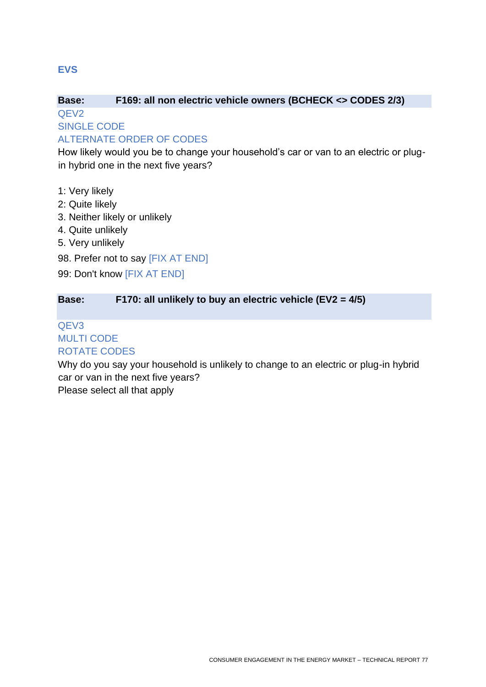#### **Base: F169: all non electric vehicle owners (BCHECK <> CODES 2/3)** QEV2

SINGLE CODE

## ALTERNATE ORDER OF CODES

How likely would you be to change your household's car or van to an electric or plugin hybrid one in the next five years?

- 1: Very likely
- 2: Quite likely
- 3. Neither likely or unlikely
- 4. Quite unlikely
- 5. Very unlikely
- 98. Prefer not to say [FIX AT END]
- 99: Don't know [FIX AT END]

#### **Base: F170: all unlikely to buy an electric vehicle (EV2 = 4/5)**

# QEV3 MULTI CODE ROTATE CODES

Why do you say your household is unlikely to change to an electric or plug-in hybrid car or van in the next five years?

Please select all that apply

**EVS**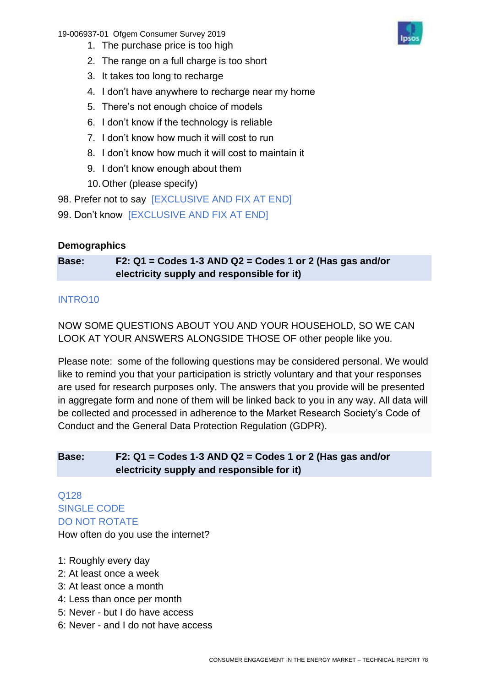19-006937-01 Ofgem Consumer Survey 2019

- 1. The purchase price is too high
- 2. The range on a full charge is too short
- 3. It takes too long to recharge
- 4. I don't have anywhere to recharge near my home
- 5. There's not enough choice of models
- 6. I don't know if the technology is reliable
- 7. I don't know how much it will cost to run
- 8. I don't know how much it will cost to maintain it
- 9. I don't know enough about them
- 10.Other (please specify)

98. Prefer not to say [EXCLUSIVE AND FIX AT END]

99. Don't know [EXCLUSIVE AND FIX AT END]

## **Demographics**

**Base: F2: Q1 = Codes 1-3 AND Q2 = Codes 1 or 2 (Has gas and/or electricity supply and responsible for it)**

## INTRO10

NOW SOME QUESTIONS ABOUT YOU AND YOUR HOUSEHOLD, SO WE CAN LOOK AT YOUR ANSWERS ALONGSIDE THOSE OF other people like you.

Please note: some of the following questions may be considered personal. We would like to remind you that your participation is strictly voluntary and that your responses are used for research purposes only. The answers that you provide will be presented in aggregate form and none of them will be linked back to you in any way. All data will be collected and processed in adherence to the Market Research Society's Code of Conduct and the General Data Protection Regulation (GDPR).

## **Base: F2: Q1 = Codes 1-3 AND Q2 = Codes 1 or 2 (Has gas and/or electricity supply and responsible for it)**

Q128 SINGLE CODE DO NOT ROTATE How often do you use the internet?

- 1: Roughly every day
- 2: At least once a week
- 3: At least once a month
- 4: Less than once per month
- 5: Never but I do have access
- 6: Never and I do not have access

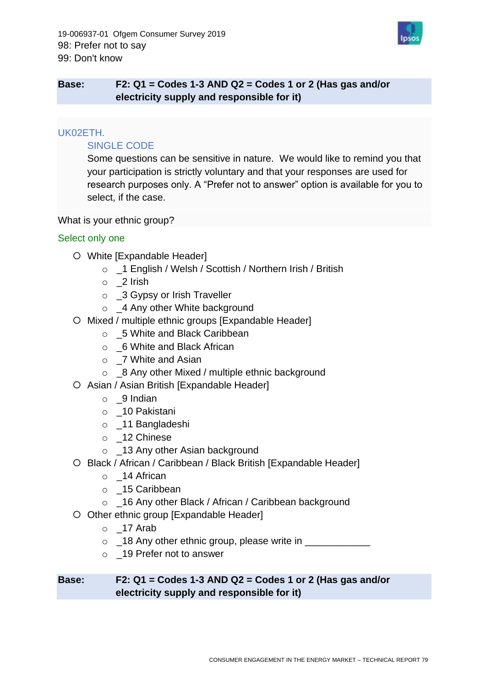

## **Base: F2: Q1 = Codes 1-3 AND Q2 = Codes 1 or 2 (Has gas and/or electricity supply and responsible for it)**

#### UK02ETH.

#### SINGLE CODE

Some questions can be sensitive in nature. We would like to remind you that your participation is strictly voluntary and that your responses are used for research purposes only. A "Prefer not to answer" option is available for you to select, if the case.

#### What is your ethnic group?

#### Select only one

- White [Expandable Header]
	- o \_1 English / Welsh / Scottish / Northern Irish / British
	- o \_2 Irish
	- o 3 Gypsy or Irish Traveller
	- o \_4 Any other White background
- O Mixed / multiple ethnic groups [Expandable Header]
	- o 5 White and Black Caribbean
	- o \_6 White and Black African
	- o \_7 White and Asian
	- $\circ$  8 Any other Mixed / multiple ethnic background
- O Asian / Asian British [Expandable Header]
	- o \_9 Indian
	- o \_10 Pakistani
	- o \_11 Bangladeshi
	- o \_12 Chinese
	- o \_13 Any other Asian background
- O Black / African / Caribbean / Black British [Expandable Header]
	- o \_14 African
	- o \_15 Caribbean
	- o \_16 Any other Black / African / Caribbean background
- O Other ethnic group [Expandable Header]
	- $\circ$  \_17 Arab
	- $\circ$  \_18 Any other ethnic group, please write in  $\equiv$
	- o \_19 Prefer not to answer

#### **Base: F2: Q1 = Codes 1-3 AND Q2 = Codes 1 or 2 (Has gas and/or electricity supply and responsible for it)**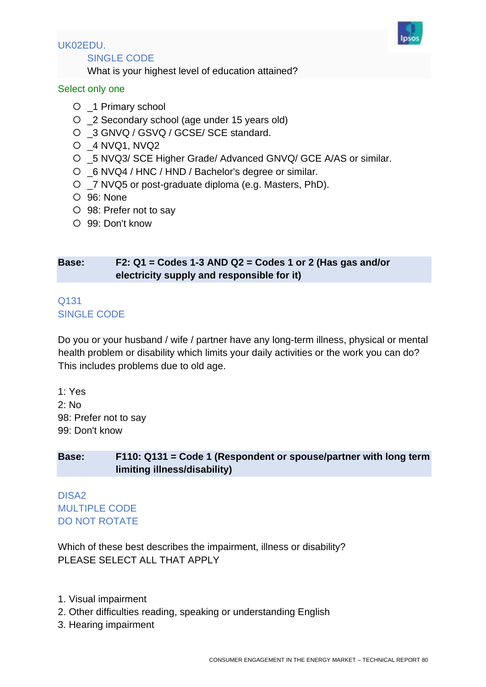

# UK02EDU.

SINGLE CODE

What is your highest level of education attained?

## Select only one

- \_1 Primary school
- \_2 Secondary school (age under 15 years old)
- O \_3 GNVQ / GSVQ / GCSE/ SCE standard.
- \_4 NVQ1, NVQ2
- \_5 NVQ3/ SCE Higher Grade/ Advanced GNVQ/ GCE A/AS or similar.
- \_6 NVQ4 / HNC / HND / Bachelor's degree or similar.
- \_7 NVQ5 or post-graduate diploma (e.g. Masters, PhD).
- 96: None
- 98: Prefer not to say
- 99: Don't know

## **Base: F2: Q1 = Codes 1-3 AND Q2 = Codes 1 or 2 (Has gas and/or electricity supply and responsible for it)**

#### Q131 SINGLE CODE

Do you or your husband / wife / partner have any long-term illness, physical or mental health problem or disability which limits your daily activities or the work you can do? This includes problems due to old age.

1: Yes 2: No 98: Prefer not to say 99: Don't know

## **Base: F110: Q131 = Code 1 (Respondent or spouse/partner with long term limiting illness/disability)**

DISA2 MULTIPLE CODE DO NOT ROTATE

Which of these best describes the impairment, illness or disability? PLEASE SELECT ALL THAT APPLY

- 1. Visual impairment
- 2. Other difficulties reading, speaking or understanding English
- 3. Hearing impairment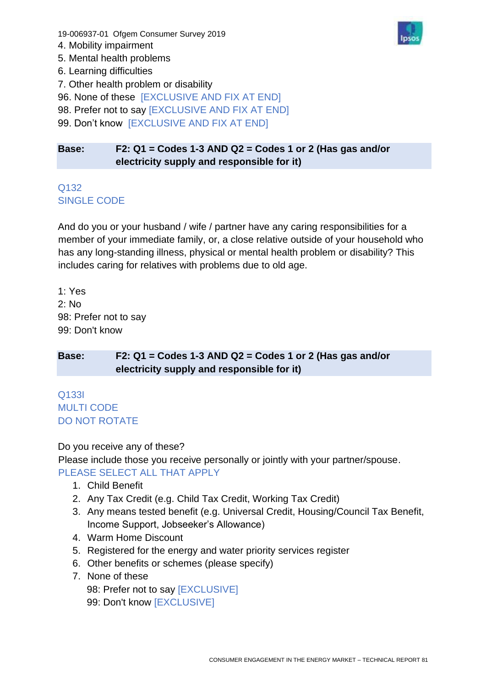19-006937-01 Ofgem Consumer Survey 2019

- 4. Mobility impairment
- 5. Mental health problems
- 6. Learning difficulties
- 7. Other health problem or disability
- 96. None of these [EXCLUSIVE AND FIX AT END]
- 98. Prefer not to say [EXCLUSIVE AND FIX AT END]
- 99. Don't know [EXCLUSIVE AND FIX AT END]

## **Base: F2: Q1 = Codes 1-3 AND Q2 = Codes 1 or 2 (Has gas and/or electricity supply and responsible for it)**

# Q132 SINGLE CODE

And do you or your husband / wife / partner have any caring responsibilities for a member of your immediate family, or, a close relative outside of your household who has any long-standing illness, physical or mental health problem or disability? This includes caring for relatives with problems due to old age.

1: Yes 2: No 98: Prefer not to say 99: Don't know

## **Base: F2: Q1 = Codes 1-3 AND Q2 = Codes 1 or 2 (Has gas and/or electricity supply and responsible for it)**

## Q133I MULTI CODE DO NOT ROTATE

Do you receive any of these?

Please include those you receive personally or jointly with your partner/spouse. PLEASE SELECT ALL THAT APPLY

- 1. Child Benefit
- 2. Any Tax Credit (e.g. Child Tax Credit, Working Tax Credit)
- 3. Any means tested benefit (e.g. Universal Credit, Housing/Council Tax Benefit, Income Support, Jobseeker's Allowance)
- 4. Warm Home Discount
- 5. Registered for the energy and water priority services register
- 6. Other benefits or schemes (please specify)
- 7. None of these
	- 98: Prefer not to say [EXCLUSIVE] 99: Don't know [EXCLUSIVE]

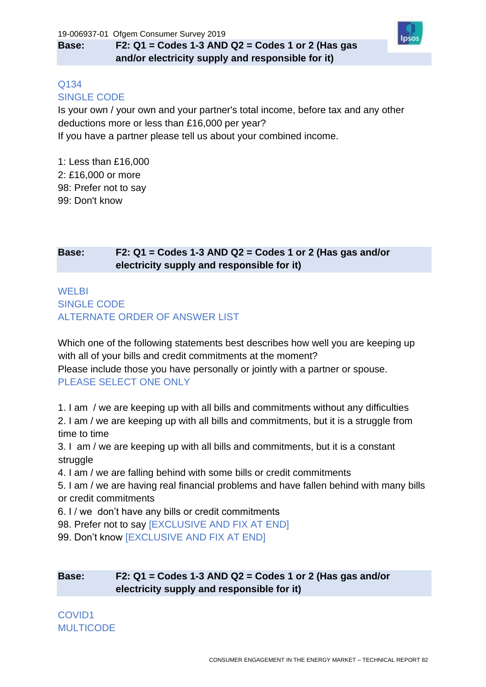# **Base: F2: Q1 = Codes 1-3 AND Q2 = Codes 1 or 2 (Has gas and/or electricity supply and responsible for it)**



#### Q134 SINGLE CODE

Is your own / your own and your partner's total income, before tax and any other deductions more or less than £16,000 per year? If you have a partner please tell us about your combined income.

1: Less than £16,000 2: £16,000 or more 98: Prefer not to say 99: Don't know

# **Base: F2: Q1 = Codes 1-3 AND Q2 = Codes 1 or 2 (Has gas and/or electricity supply and responsible for it)**

# **WELBI** SINGLE CODE ALTERNATE ORDER OF ANSWER LIST

Which one of the following statements best describes how well you are keeping up with all of your bills and credit commitments at the moment? Please include those you have personally or jointly with a partner or spouse. PLEASE SELECT ONE ONLY

1. I am / we are keeping up with all bills and commitments without any difficulties 2. I am / we are keeping up with all bills and commitments, but it is a struggle from time to time

3. I am / we are keeping up with all bills and commitments, but it is a constant struggle

4. I am / we are falling behind with some bills or credit commitments

5. I am / we are having real financial problems and have fallen behind with many bills or credit commitments

6. I / we don't have any bills or credit commitments

- 98. Prefer not to say [EXCLUSIVE AND FIX AT END]
- 99. Don't know [EXCLUSIVE AND FIX AT END]

## **Base: F2: Q1 = Codes 1-3 AND Q2 = Codes 1 or 2 (Has gas and/or electricity supply and responsible for it)**

COVID1 MULTICODE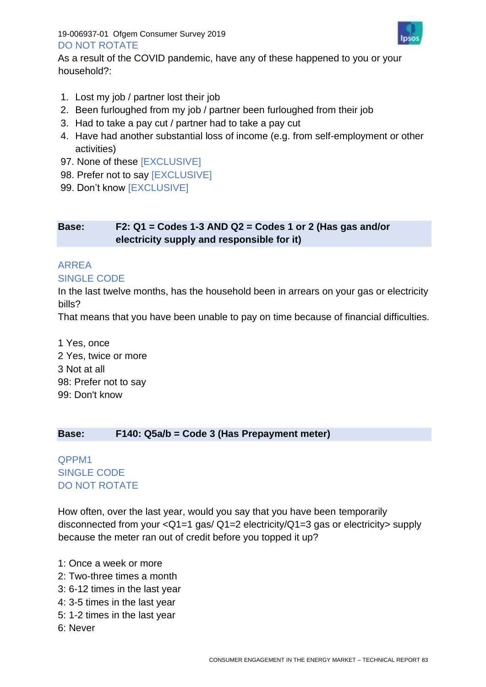#### 19-006937-01 Ofgem Consumer Survey 2019 DO NOT ROTATE



As a result of the COVID pandemic, have any of these happened to you or your household?:

- 1. Lost my job / partner lost their job
- 2. Been furloughed from my job / partner been furloughed from their job
- 3. Had to take a pay cut / partner had to take a pay cut
- 4. Have had another substantial loss of income (e.g. from self-employment or other activities)
- 97. None of these [EXCLUSIVE]
- 98. Prefer not to say [EXCLUSIVE]
- 99. Don't know [EXCLUSIVE]

#### **Base: F2: Q1 = Codes 1-3 AND Q2 = Codes 1 or 2 (Has gas and/or electricity supply and responsible for it)**

# ARREA

#### SINGLE CODE

In the last twelve months, has the household been in arrears on your gas or electricity bills?

That means that you have been unable to pay on time because of financial difficulties.

1 Yes, once 2 Yes, twice or more 3 Not at all 98: Prefer not to say 99: Don't know

#### **Base: F140: Q5a/b = Code 3 (Has Prepayment meter)**

## QPPM1 SINGLE CODE DO NOT ROTATE

How often, over the last year, would you say that you have been temporarily disconnected from your <Q1=1 gas/ Q1=2 electricity/Q1=3 gas or electricity> supply because the meter ran out of credit before you topped it up?

- 1: Once a week or more
- 2: Two-three times a month
- 3: 6-12 times in the last year
- 4: 3-5 times in the last year
- 5: 1-2 times in the last year
- 6: Never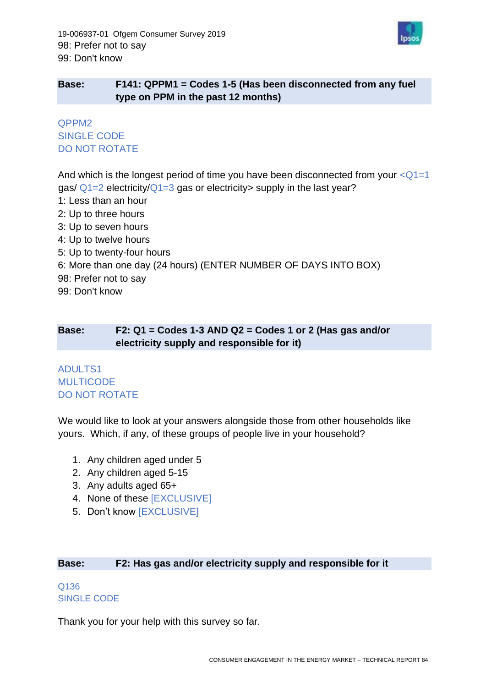

## **Base: F141: QPPM1 = Codes 1-5 (Has been disconnected from any fuel type on PPM in the past 12 months)**

## QPPM2 SINGLE CODE DO NOT ROTATE

And which is the longest period of time you have been disconnected from your  $<\Omega$ 1=1 gas/  $Q1=2$  electricity/ $Q1=3$  gas or electricity supply in the last year?

- 1: Less than an hour
- 2: Up to three hours
- 3: Up to seven hours
- 4: Up to twelve hours
- 5: Up to twenty-four hours
- 6: More than one day (24 hours) (ENTER NUMBER OF DAYS INTO BOX)
- 98: Prefer not to say
- 99: Don't know

#### **Base: F2: Q1 = Codes 1-3 AND Q2 = Codes 1 or 2 (Has gas and/or electricity supply and responsible for it)**

## ADULTS1 **MULTICODE** DO NOT ROTATE

We would like to look at your answers alongside those from other households like yours. Which, if any, of these groups of people live in your household?

- 1. Any children aged under 5
- 2. Any children aged 5-15
- 3. Any adults aged 65+
- 4. None of these [EXCLUSIVE]
- 5. Don't know [EXCLUSIVE]

#### **Base: F2: Has gas and/or electricity supply and responsible for it**

#### Q136 SINGLE CODE

Thank you for your help with this survey so far.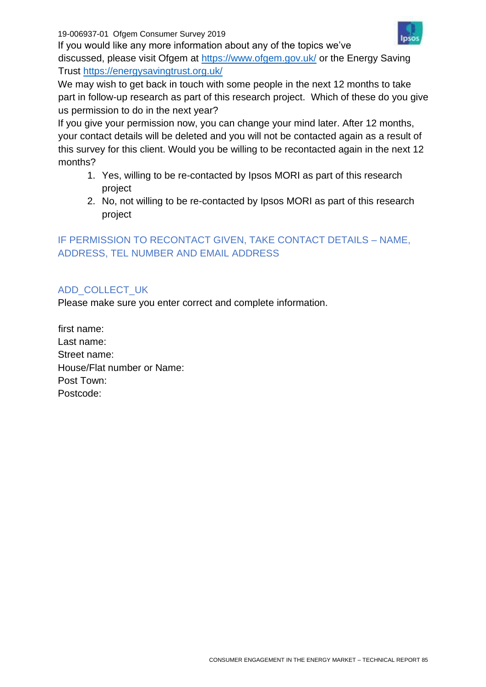19-006937-01 Ofgem Consumer Survey 2019



If you would like any more information about any of the topics we've discussed, please visit Ofgem at<https://www.ofgem.gov.uk/> or the Energy Saving Trust<https://energysavingtrust.org.uk/>

We may wish to get back in touch with some people in the next 12 months to take part in follow-up research as part of this research project. Which of these do you give us permission to do in the next year?

If you give your permission now, you can change your mind later. After 12 months, your contact details will be deleted and you will not be contacted again as a result of this survey for this client. Would you be willing to be recontacted again in the next 12 months?

- 1. Yes, willing to be re-contacted by Ipsos MORI as part of this research project
- 2. No, not willing to be re-contacted by Ipsos MORI as part of this research project

# IF PERMISSION TO RECONTACT GIVEN, TAKE CONTACT DETAILS – NAME, ADDRESS, TEL NUMBER AND EMAIL ADDRESS

# ADD\_COLLECT\_UK

Please make sure you enter correct and complete information.

first name: Last name: Street name: House/Flat number or Name: Post Town: Postcode: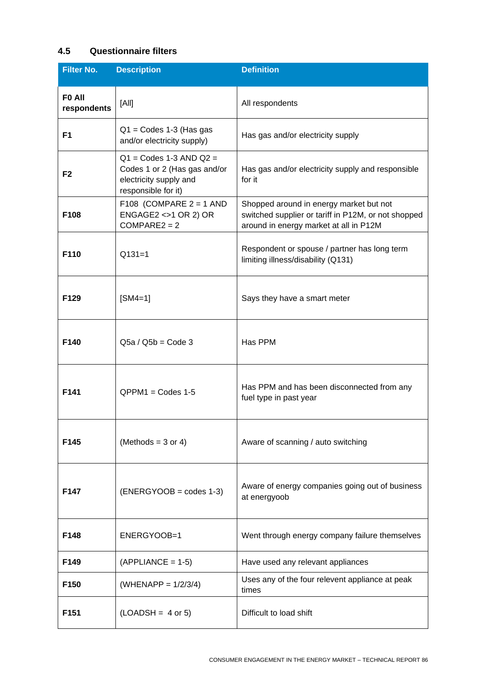## **4.5 Questionnaire filters**

| <b>Filter No.</b>     | <b>Description</b>                                                                                           | <b>Definition</b>                                                                                                                        |
|-----------------------|--------------------------------------------------------------------------------------------------------------|------------------------------------------------------------------------------------------------------------------------------------------|
| FO All<br>respondents | [All]                                                                                                        | All respondents                                                                                                                          |
| F <sub>1</sub>        | $Q1 =$ Codes 1-3 (Has gas<br>and/or electricity supply)                                                      | Has gas and/or electricity supply                                                                                                        |
| F <sub>2</sub>        | $Q1 =$ Codes 1-3 AND $Q2 =$<br>Codes 1 or 2 (Has gas and/or<br>electricity supply and<br>responsible for it) | Has gas and/or electricity supply and responsible<br>for it                                                                              |
| F108                  | F108 (COMPARE $2 = 1$ AND<br>ENGAGE2 <>1 OR 2) OR<br>$COMPARE2 = 2$                                          | Shopped around in energy market but not<br>switched supplier or tariff in P12M, or not shopped<br>around in energy market at all in P12M |
| F110                  | $Q131=1$                                                                                                     | Respondent or spouse / partner has long term<br>limiting illness/disability (Q131)                                                       |
| F129                  | $[SM4=1]$                                                                                                    | Says they have a smart meter                                                                                                             |
| F140                  | $Q5a / Q5b = Code 3$                                                                                         | Has PPM                                                                                                                                  |
| F141                  | $QPPM1 = Codes 1-5$                                                                                          | Has PPM and has been disconnected from any<br>fuel type in past year                                                                     |
| F145                  | (Methods = $3$ or 4)                                                                                         | Aware of scanning / auto switching                                                                                                       |
| F147                  | $(ENERGYOOB = codes 1-3)$                                                                                    | Aware of energy companies going out of business<br>at energyoob                                                                          |
| F148                  | ENERGYOOB=1                                                                                                  | Went through energy company failure themselves                                                                                           |
| F149                  | $(APPLIANCE = 1-5)$                                                                                          | Have used any relevant appliances                                                                                                        |
| F <sub>150</sub>      | $(WHENAPP = 1/2/3/4)$                                                                                        | Uses any of the four relevent appliance at peak<br>times                                                                                 |
| F151                  | $(LOADSH = 4 or 5)$                                                                                          | Difficult to load shift                                                                                                                  |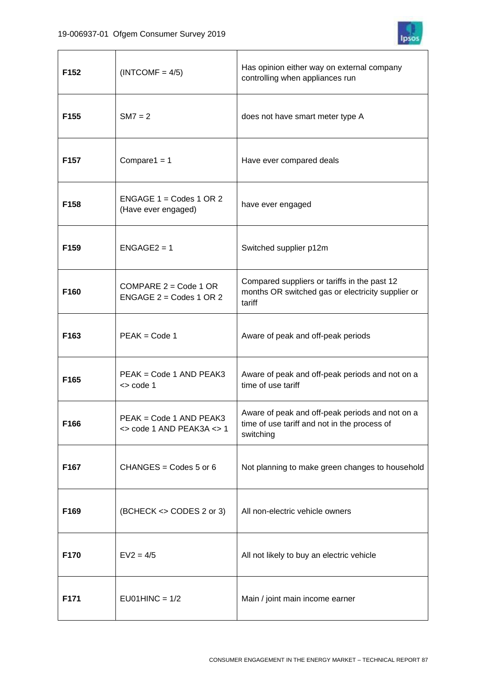

| F <sub>152</sub> | $(INTCOMF = 4/5)$                                                     | Has opinion either way on external company<br>controlling when appliances run                                |
|------------------|-----------------------------------------------------------------------|--------------------------------------------------------------------------------------------------------------|
| F <sub>155</sub> | $SM7 = 2$                                                             | does not have smart meter type A                                                                             |
| F157             | Compare $1 = 1$                                                       | Have ever compared deals                                                                                     |
| F158             | ENGAGE $1 =$ Codes 1 OR 2<br>(Have ever engaged)                      | have ever engaged                                                                                            |
| F <sub>159</sub> | $ENGAGE2 = 1$                                                         | Switched supplier p12m                                                                                       |
| F160             | COMPARE $2 = \text{Code } 1 \text{ OR }$<br>ENGAGE $2 =$ Codes 1 OR 2 | Compared suppliers or tariffs in the past 12<br>months OR switched gas or electricity supplier or<br>tariff  |
| F163             | $PEAK = Code 1$                                                       | Aware of peak and off-peak periods                                                                           |
| F165             | PEAK = Code 1 AND PEAK3<br>$\le$ code 1                               | Aware of peak and off-peak periods and not on a<br>time of use tariff                                        |
| F166             | PEAK = Code 1 AND PEAK3<br>$\le$ code 1 AND PEAK3A $\le$ 1            | Aware of peak and off-peak periods and not on a<br>time of use tariff and not in the process of<br>switching |
| F167             | CHANGES = $\text{Codes } 5 \text{ or } 6$                             | Not planning to make green changes to household                                                              |
| F169             | (BCHECK <> CODES 2 or 3)                                              | All non-electric vehicle owners                                                                              |
| F170             | $EV2 = 4/5$                                                           | All not likely to buy an electric vehicle                                                                    |
| F171             | $EU01HINC = 1/2$                                                      | Main / joint main income earner                                                                              |